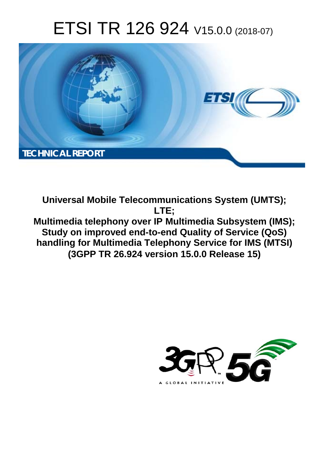# ETSI TR 126 924 V15.0.0 (2018-07)



**Universal Mobile Telecommunications System (UMTS); LTE; Multimedia telephony over IP Multimedia Subsystem (IMS); Study on improved end-to-end Quality of Service (QoS) handling for Multimedia Telephony Service for IMS (MTSI) (3GPP TR 26.924 version 15.0.0 Release 15)** 

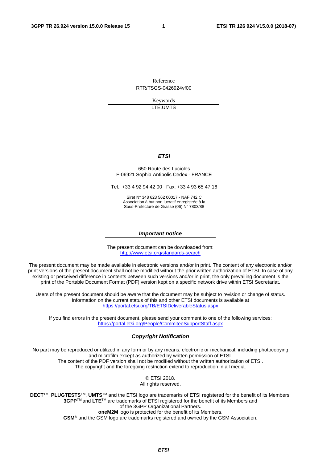Reference RTR/TSGS-0426924vf00

> Keywords LTE,UMTS

#### *ETSI*

#### 650 Route des Lucioles F-06921 Sophia Antipolis Cedex - FRANCE

Tel.: +33 4 92 94 42 00 Fax: +33 4 93 65 47 16

Siret N° 348 623 562 00017 - NAF 742 C Association à but non lucratif enregistrée à la Sous-Préfecture de Grasse (06) N° 7803/88

#### *Important notice*

The present document can be downloaded from: <http://www.etsi.org/standards-search>

The present document may be made available in electronic versions and/or in print. The content of any electronic and/or print versions of the present document shall not be modified without the prior written authorization of ETSI. In case of any existing or perceived difference in contents between such versions and/or in print, the only prevailing document is the print of the Portable Document Format (PDF) version kept on a specific network drive within ETSI Secretariat.

Users of the present document should be aware that the document may be subject to revision or change of status. Information on the current status of this and other ETSI documents is available at <https://portal.etsi.org/TB/ETSIDeliverableStatus.aspx>

If you find errors in the present document, please send your comment to one of the following services: <https://portal.etsi.org/People/CommiteeSupportStaff.aspx>

#### *Copyright Notification*

No part may be reproduced or utilized in any form or by any means, electronic or mechanical, including photocopying and microfilm except as authorized by written permission of ETSI. The content of the PDF version shall not be modified without the written authorization of ETSI. The copyright and the foregoing restriction extend to reproduction in all media.

> © ETSI 2018. All rights reserved.

**DECT**TM, **PLUGTESTS**TM, **UMTS**TM and the ETSI logo are trademarks of ETSI registered for the benefit of its Members. **3GPP**TM and **LTE**TM are trademarks of ETSI registered for the benefit of its Members and of the 3GPP Organizational Partners. **oneM2M** logo is protected for the benefit of its Members.

**GSM**® and the GSM logo are trademarks registered and owned by the GSM Association.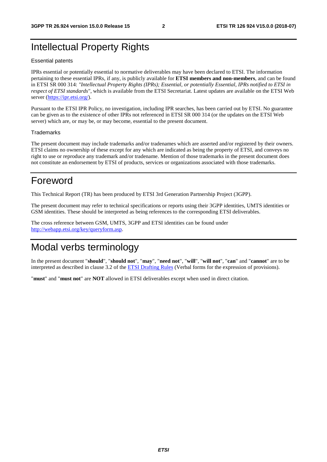# Intellectual Property Rights

#### Essential patents

IPRs essential or potentially essential to normative deliverables may have been declared to ETSI. The information pertaining to these essential IPRs, if any, is publicly available for **ETSI members and non-members**, and can be found in ETSI SR 000 314: *"Intellectual Property Rights (IPRs); Essential, or potentially Essential, IPRs notified to ETSI in respect of ETSI standards"*, which is available from the ETSI Secretariat. Latest updates are available on the ETSI Web server ([https://ipr.etsi.org/\)](https://ipr.etsi.org/).

Pursuant to the ETSI IPR Policy, no investigation, including IPR searches, has been carried out by ETSI. No guarantee can be given as to the existence of other IPRs not referenced in ETSI SR 000 314 (or the updates on the ETSI Web server) which are, or may be, or may become, essential to the present document.

#### **Trademarks**

The present document may include trademarks and/or tradenames which are asserted and/or registered by their owners. ETSI claims no ownership of these except for any which are indicated as being the property of ETSI, and conveys no right to use or reproduce any trademark and/or tradename. Mention of those trademarks in the present document does not constitute an endorsement by ETSI of products, services or organizations associated with those trademarks.

# Foreword

This Technical Report (TR) has been produced by ETSI 3rd Generation Partnership Project (3GPP).

The present document may refer to technical specifications or reports using their 3GPP identities, UMTS identities or GSM identities. These should be interpreted as being references to the corresponding ETSI deliverables.

The cross reference between GSM, UMTS, 3GPP and ETSI identities can be found under [http://webapp.etsi.org/key/queryform.asp.](http://webapp.etsi.org/key/queryform.asp)

# Modal verbs terminology

In the present document "**should**", "**should not**", "**may**", "**need not**", "**will**", "**will not**", "**can**" and "**cannot**" are to be interpreted as described in clause 3.2 of the [ETSI Drafting Rules](https://portal.etsi.org/Services/editHelp!/Howtostart/ETSIDraftingRules.aspx) (Verbal forms for the expression of provisions).

"**must**" and "**must not**" are **NOT** allowed in ETSI deliverables except when used in direct citation.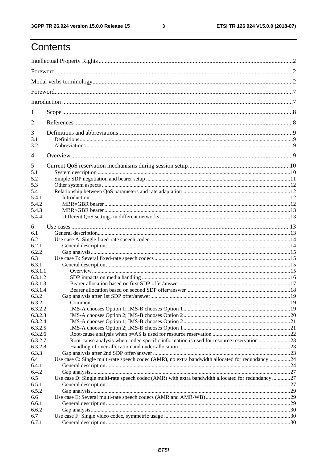$\mathbf{3}$ 

# Contents

| 1          |                                                                                                   |  |
|------------|---------------------------------------------------------------------------------------------------|--|
| 2          |                                                                                                   |  |
| 3          |                                                                                                   |  |
| 3.1<br>3.2 |                                                                                                   |  |
|            |                                                                                                   |  |
| 4          |                                                                                                   |  |
| 5          |                                                                                                   |  |
| 5.1        |                                                                                                   |  |
| 5.2        |                                                                                                   |  |
| 5.3        |                                                                                                   |  |
| 5.4        |                                                                                                   |  |
| 5.4.1      |                                                                                                   |  |
| 5.4.2      |                                                                                                   |  |
| 5.4.3      |                                                                                                   |  |
| 5.4.4      |                                                                                                   |  |
| 6          |                                                                                                   |  |
| 6.1        |                                                                                                   |  |
| 6.2        |                                                                                                   |  |
| 6.2.1      |                                                                                                   |  |
| 6.2.2      |                                                                                                   |  |
| 6.3        |                                                                                                   |  |
| 6.3.1      |                                                                                                   |  |
| 6.3.1.1    |                                                                                                   |  |
| 6.3.1.2    |                                                                                                   |  |
| 6.3.1.3    |                                                                                                   |  |
| 6.3.1.4    |                                                                                                   |  |
| 6.3.2      |                                                                                                   |  |
| 6.3.2.1    |                                                                                                   |  |
| 6.3.2.2    |                                                                                                   |  |
| 6.3.2.3    |                                                                                                   |  |
| 6.3.2.4    |                                                                                                   |  |
| 6.3.2.5    |                                                                                                   |  |
| 6.3.2.6    |                                                                                                   |  |
| 6.3.2.7    | Root-cause analysis when codec-specific information is used for resource reservation23            |  |
| 6.3.2.8    |                                                                                                   |  |
| 6.3.3      |                                                                                                   |  |
| 6.4        | Use case C: Single multi-rate speech codec (AMR), no extra bandwidth allocated for redundancy 24  |  |
| 6.4.1      |                                                                                                   |  |
| 6.4.2      |                                                                                                   |  |
| 6.5        | Use case D: Single multi-rate speech codec (AMR) with extra bandwidth allocated for redundancy 27 |  |
| 6.5.1      |                                                                                                   |  |
| 6.5.2      |                                                                                                   |  |
| 6.6        |                                                                                                   |  |
| 6.6.1      |                                                                                                   |  |
| 6.6.2      |                                                                                                   |  |
| 6.7        |                                                                                                   |  |
| 6.7.1      |                                                                                                   |  |
|            |                                                                                                   |  |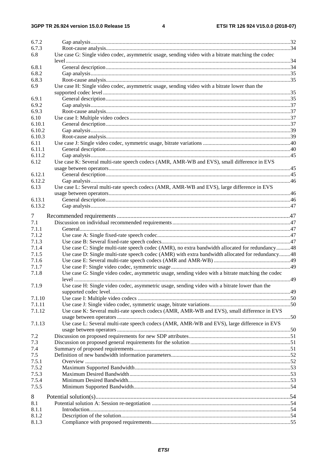#### $\overline{\mathbf{4}}$

| 6.7.2<br>6.7.3 |                                                                                                   |  |
|----------------|---------------------------------------------------------------------------------------------------|--|
| 6.8            | Use case G: Single video codec, asymmetric usage, sending video with a bitrate matching the codec |  |
|                |                                                                                                   |  |
| 6.8.1          |                                                                                                   |  |
|                |                                                                                                   |  |
| 6.8.2          |                                                                                                   |  |
| 6.8.3          |                                                                                                   |  |
| 6.9            | Use case H: Single video codec, asymmetric usage, sending video with a bitrate lower than the     |  |
|                |                                                                                                   |  |
| 6.9.1          |                                                                                                   |  |
| 6.9.2          |                                                                                                   |  |
| 6.9.3          |                                                                                                   |  |
| 6.10           |                                                                                                   |  |
| 6.10.1         |                                                                                                   |  |
| 6.10.2         |                                                                                                   |  |
| 6.10.3         |                                                                                                   |  |
| 6.11           |                                                                                                   |  |
| 6.11.1         |                                                                                                   |  |
| 6.11.2         |                                                                                                   |  |
| 6.12           | Use case K: Several multi-rate speech codecs (AMR, AMR-WB and EVS), small difference in EVS       |  |
|                |                                                                                                   |  |
| 6.12.1         |                                                                                                   |  |
| 6.12.2         |                                                                                                   |  |
| 6.13           | Use case L: Several multi-rate speech codecs (AMR, AMR-WB and EVS), large difference in EVS       |  |
|                |                                                                                                   |  |
| 6.13.1         |                                                                                                   |  |
| 6.13.2         |                                                                                                   |  |
| 7              |                                                                                                   |  |
| 7.1            |                                                                                                   |  |
| 7.1.1          |                                                                                                   |  |
| 7.1.2          |                                                                                                   |  |
| 7.1.3          |                                                                                                   |  |
| 7.1.4          | Use case C: Single multi-rate speech codec (AMR), no extra bandwidth allocated for redundancy48   |  |
| 7.1.5          | Use case D: Single multi-rate speech codec (AMR) with extra bandwidth allocated for redundancy48  |  |
| 7.1.6          |                                                                                                   |  |
| 7.1.7          |                                                                                                   |  |
| 7.1.8          | Use case G: Single video codec, asymmetric usage, sending video with a bitrate matching the codec |  |
|                |                                                                                                   |  |
| 7.1.9          | Use case H: Single video codec, asymmetric usage, sending video with a bitrate lower than the     |  |
|                |                                                                                                   |  |
| 7.1.10         |                                                                                                   |  |
| 7.1.11         |                                                                                                   |  |
| 7.1.12         | Use case K: Several multi-rate speech codecs (AMR, AMR-WB and EVS), small difference in EVS       |  |
|                |                                                                                                   |  |
| 7.1.13         | Use case L: Several multi-rate speech codecs (AMR, AMR-WB and EVS), large difference in EVS       |  |
|                |                                                                                                   |  |
| 7.2            |                                                                                                   |  |
| 7.3            |                                                                                                   |  |
|                |                                                                                                   |  |
| 7.4<br>7.5     |                                                                                                   |  |
| 7.5.1          |                                                                                                   |  |
| 7.5.2          |                                                                                                   |  |
| 7.5.3          |                                                                                                   |  |
|                |                                                                                                   |  |
| 7.5.4          |                                                                                                   |  |
| 7.5.5          |                                                                                                   |  |
| 8              |                                                                                                   |  |
| 8.1            |                                                                                                   |  |
| 8.1.1          |                                                                                                   |  |
| 8.1.2          |                                                                                                   |  |
| 8.1.3          |                                                                                                   |  |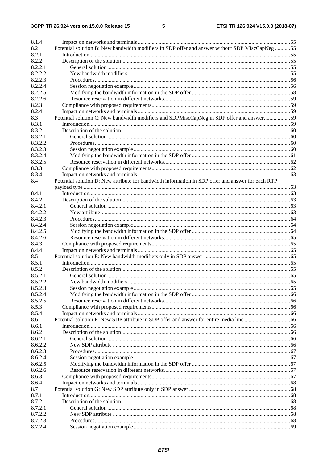### $5\phantom{a}$

| 8.1.4   |                                                                                                    |  |
|---------|----------------------------------------------------------------------------------------------------|--|
| 8.2     | Potential solution B: New bandwidth modifiers in SDP offer and answer without SDP MiscCapNeg 55    |  |
| 8.2.1   |                                                                                                    |  |
| 8.2.2   |                                                                                                    |  |
| 8.2.2.1 |                                                                                                    |  |
| 8.2.2.2 |                                                                                                    |  |
| 8.2.2.3 |                                                                                                    |  |
| 8.2.2.4 |                                                                                                    |  |
| 8.2.2.5 |                                                                                                    |  |
| 8.2.2.6 |                                                                                                    |  |
| 8.2.3   |                                                                                                    |  |
| 8.2.4   |                                                                                                    |  |
| 8.3     | Potential solution C: New bandwidth modifiers and SDPMiscCapNeg in SDP offer and answer59          |  |
| 8.3.1   |                                                                                                    |  |
| 8.3.2   |                                                                                                    |  |
| 8.3.2.1 |                                                                                                    |  |
| 8.3.2.2 |                                                                                                    |  |
| 8.3.2.3 |                                                                                                    |  |
| 8.3.2.4 |                                                                                                    |  |
| 8.3.2.5 |                                                                                                    |  |
| 8.3.3   |                                                                                                    |  |
| 8.3.4   |                                                                                                    |  |
| 8.4     | Potential solution D: New attribute for bandwidth information in SDP offer and answer for each RTP |  |
|         |                                                                                                    |  |
| 8.4.1   |                                                                                                    |  |
| 8.4.2   |                                                                                                    |  |
| 8.4.2.1 |                                                                                                    |  |
| 8.4.2.2 |                                                                                                    |  |
| 8.4.2.3 |                                                                                                    |  |
| 8.4.2.4 |                                                                                                    |  |
| 8.4.2.5 |                                                                                                    |  |
| 8.4.2.6 |                                                                                                    |  |
| 8.4.3   |                                                                                                    |  |
| 8.4.4   |                                                                                                    |  |
| 8.5     |                                                                                                    |  |
| 8.5.1   |                                                                                                    |  |
| 8.5.2   |                                                                                                    |  |
| 8.5.2.1 |                                                                                                    |  |
| 8.5.2.2 |                                                                                                    |  |
| 8.5.2.3 |                                                                                                    |  |
| 8.5.2.4 |                                                                                                    |  |
| 8.5.2.5 |                                                                                                    |  |
| 8.5.3   |                                                                                                    |  |
| 8.5.4   |                                                                                                    |  |
| 8.6     |                                                                                                    |  |
| 8.6.1   |                                                                                                    |  |
| 8.6.2   |                                                                                                    |  |
| 8.6.2.1 |                                                                                                    |  |
| 8.6.2.2 |                                                                                                    |  |
| 8.6.2.3 |                                                                                                    |  |
| 8.6.2.4 |                                                                                                    |  |
| 8.6.2.5 |                                                                                                    |  |
| 8.6.2.6 |                                                                                                    |  |
| 8.6.3   |                                                                                                    |  |
| 8.6.4   |                                                                                                    |  |
| 8.7     |                                                                                                    |  |
| 8.7.1   |                                                                                                    |  |
| 8.7.2   |                                                                                                    |  |
| 8.7.2.1 |                                                                                                    |  |
| 8.7.2.2 |                                                                                                    |  |
| 8.7.2.3 |                                                                                                    |  |
| 8.7.2.4 |                                                                                                    |  |
|         |                                                                                                    |  |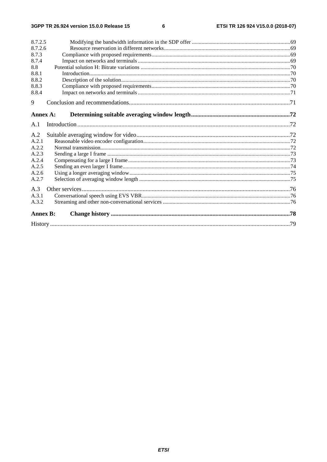$\bf 6$ 

| 8.7.2.5         |  |
|-----------------|--|
| 8.7.2.6         |  |
| 8.7.3           |  |
| 8.7.4           |  |
| 8.8             |  |
| 8.8.1           |  |
| 8.8.2           |  |
| 8.8.3           |  |
| 8.8.4           |  |
| 9               |  |
| Annex A:        |  |
| A.1             |  |
| A.2             |  |
| A.2.1           |  |
| A.2.2           |  |
| A.2.3           |  |
| A.2.4           |  |
| A.2.5           |  |
| A.2.6           |  |
| A.2.7           |  |
| A.3             |  |
| A.3.1           |  |
| A.3.2           |  |
| <b>Annex B:</b> |  |
|                 |  |
|                 |  |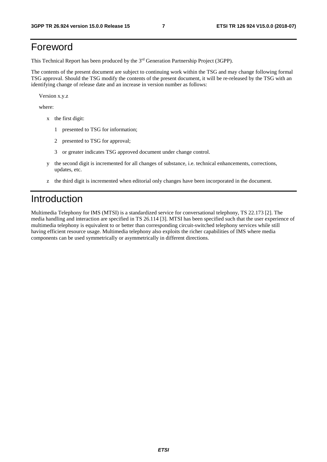# Foreword

This Technical Report has been produced by the 3rd Generation Partnership Project (3GPP).

The contents of the present document are subject to continuing work within the TSG and may change following formal TSG approval. Should the TSG modify the contents of the present document, it will be re-released by the TSG with an identifying change of release date and an increase in version number as follows:

Version x.y.z

where:

- x the first digit:
	- 1 presented to TSG for information;
	- 2 presented to TSG for approval;
	- 3 or greater indicates TSG approved document under change control.
- y the second digit is incremented for all changes of substance, i.e. technical enhancements, corrections, updates, etc.
- z the third digit is incremented when editorial only changes have been incorporated in the document.

# Introduction

Multimedia Telephony for IMS (MTSI) is a standardized service for conversational telephony, TS 22.173 [2]. The media handling and interaction are specified in TS 26.114 [3]. MTSI has been specified such that the user experience of multimedia telephony is equivalent to or better than corresponding circuit-switched telephony services while still having efficient resource usage. Multimedia telephony also exploits the richer capabilities of IMS where media components can be used symmetrically or asymmetrically in different directions.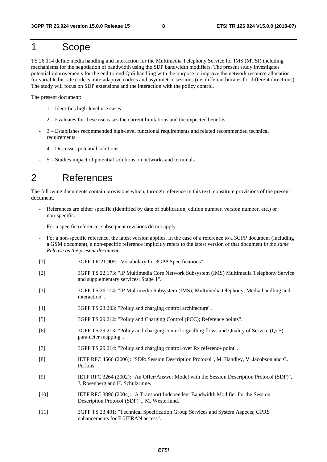# 1 Scope

TS 26.114 define media handling and interaction for the Multimedia Telephony Service for IMS (MTSI) including mechanisms for the negotiation of bandwidth using the SDP bandwidth modifiers. The present study investigates potential improvements for the end-to-end QoS handling with the purpose to improve the network resource allocation for variable bit-rate codecs, rate-adaptive codecs and asymmetric sessions (i.e. different bitrates for different directions). The study will focus on SDP extensions and the interaction with the policy control.

The present document:

- 1 Identifies high-level use cases
- 2 Evaluates for these use cases the current limitations and the expected benefits
- 3 Establishes recommended high-level functional requirements and related recommended technical requirements
- 4 Discusses potential solutions
- 5 Studies impact of potential solutions on networks and terminals

# 2 References

The following documents contain provisions which, through reference in this text, constitute provisions of the present document.

- References are either specific (identified by date of publication, edition number, version number, etc.) or non-specific.
- For a specific reference, subsequent revisions do not apply.
- For a non-specific reference, the latest version applies. In the case of a reference to a 3GPP document (including a GSM document), a non-specific reference implicitly refers to the latest version of that document *in the same Release as the present document*.
- [1] 3GPP TR 21.905: "Vocabulary for 3GPP Specifications".
- [2] 3GPP TS 22.173: "IP Multimedia Core Network Subsystem (IMS) Multimedia Telephony Service and supplementary services; Stage 1".
- [3] 3GPP TS 26.114: "IP Multimedia Subsystem (IMS); Multimedia telephony; Media handling and interaction".
- [4] 3GPP TS 23.203: "Policy and charging control architecture".
- [5] 3GPP TS 29.212: "Policy and Charging Control (PCC); Reference points".
- [6] 3GPP TS 29.213: "Policy and charging control signalling flows and Quality of Service (QoS) parameter mapping".
- [7] 3GPP TS 29.214: "Policy and charging control over Rx reference point".
- [8] IETF RFC 4566 (2006): "SDP: Session Description Protocol", M. Handley, V. Jacobson and C. Perkins.
- [9] IETF RFC 3264 (2002): "An Offer/Answer Model with the Session Description Protocol (SDP)", J. Rosenberg and H. Schulzrinne.
- [10] IETF RFC 3890 (2004): "A Transport Independent Bandwidth Modifier for the Session Description Protocol (SDP)"., M. Westerlund.
- [11] 3GPP TS 23.401: "Technical Specification Group Services and System Aspects; GPRS enhancements for E-UTRAN access".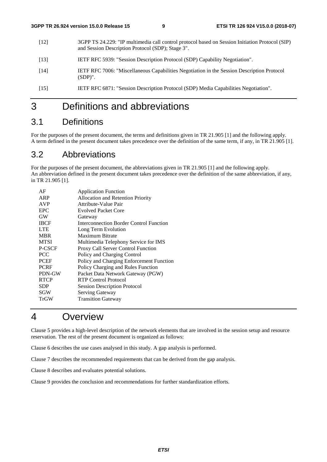- [12] 3GPP TS 24.229: "IP multimedia call control protocol based on Session Initiation Protocol (SIP) and Session Description Protocol (SDP); Stage 3".
- [13] IETF RFC 5939: "Session Description Protocol (SDP) Capability Negotiation".
- [14] IETF RFC 7006: "Miscellaneous Capabilities Negotiation in the Session Description Protocol (SDP)".
- [15] IETF RFC 6871: "Session Description Protocol (SDP) Media Capabilities Negotiation".

# 3 Definitions and abbreviations

# 3.1 Definitions

For the purposes of the present document, the terms and definitions given in TR 21.905 [1] and the following apply. A term defined in the present document takes precedence over the definition of the same term, if any, in TR 21.905 [1].

# 3.2 Abbreviations

For the purposes of the present document, the abbreviations given in TR 21.905 [1] and the following apply. An abbreviation defined in the present document takes precedence over the definition of the same abbreviation, if any, in TR 21.905 [1].

| AF          | <b>Application Function</b>              |
|-------------|------------------------------------------|
| ARP         | Allocation and Retention Priority        |
| <b>AVP</b>  | Attribute-Value Pair                     |
| <b>EPC</b>  | <b>Evolved Packet Core</b>               |
| <b>GW</b>   | Gateway                                  |
| <b>IBCF</b> | Interconnection Border Control Function  |
| <b>LTE</b>  | Long Term Evolution                      |
| <b>MBR</b>  | Maximum Bitrate                          |
| <b>MTSI</b> | Multimedia Telephony Service for IMS     |
| P-CSCF      | Proxy Call Server Control Function       |
| <b>PCC</b>  | Policy and Charging Control              |
| <b>PCEF</b> | Policy and Charging Enforcement Function |
| <b>PCRF</b> | Policy Charging and Rules Function       |
| PDN-GW      | Packet Data Network Gateway (PGW)        |
| <b>RTCP</b> | RTP Control Protocol                     |
| <b>SDP</b>  | <b>Session Description Protocol</b>      |
| SGW         | Serving Gateway                          |
| <b>TrGW</b> | <b>Transition Gateway</b>                |

# 4 Overview

Clause 5 provides a high-level description of the network elements that are involved in the session setup and resource reservation. The rest of the present document is organized as follows:

Clause 6 describes the use cases analysed in this study. A gap analysis is performed.

Clause 7 describes the recommended requirements that can be derived from the gap analysis.

Clause 8 describes and evaluates potential solutions.

Clause 9 provides the conclusion and recommendations for further standardization efforts.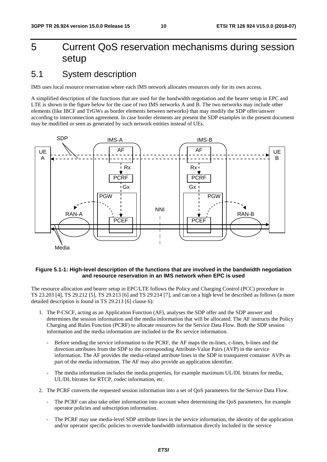# 5 Current QoS reservation mechanisms during session setup

# 5.1 System description

IMS uses local resource reservation where each IMS network allocates resources only for its own access.

A simplified description of the functions that are used for the bandwidth negotiation and the bearer setup in EPC and LTE is shown in the figure below for the case of two IMS networks A and B. The two networks may include other elements (like IBCF and TrGWs as border elements between networks) that may modify the SDP offer/answer according to interconnection agreement. In case border elements are present the SDP examples in the present document may be modified or seen as generated by such network entities instead of UEs.



#### **Figure 5.1-1: High-level description of the functions that are involved in the bandwidth negotiation and resource reservation in an IMS network when EPC is used**

The resource allocation and bearer setup in EPC/LTE follows the Policy and Charging Control (PCC) procedure in TS 23.203 [4], TS 29.212 [5], TS 29.213 [6] and TS 29.214 [7], and can on a high level be described as follows (a more detailed description is found in TS 29.213 [6] clause 6):

- 1. The P-CSCF, acting as an Application Function (AF), analyses the SDP offer and the SDP answer and determines the session information and the media information that will be allocated. The AF instructs the Policy Charging and Rules Function (PCRF) to allocate resources for the Service Data Flow. Both the SDP session information and the media information are included in the Rx service information.
	- Before sending the service information to the PCRF, the AF maps the m-lines, c-lines, b-lines and the direction attributes from the SDP to the corresponding Attribute-Value Pairs (AVP) in the service information. The AF provides the media-related attribute lines in the SDP in transparent container AVPs as part of the media information. The AF may also provide an application identifier.
	- The media information includes the media properties, for example maximum UL/DL bitrates for media, UL/DL bitrates for RTCP, codec information, etc.
- 2. The PCRF converts the requested session information into a set of QoS parameters for the Service Data Flow.
	- The PCRF can also take other information into account when determining the QoS parameters, for example operator policies and subscription information.
	- The PCRF may use media-level SDP attribute lines in the service information, the identity of the application and/or operator specific policies to override bandwidth information directly included in the service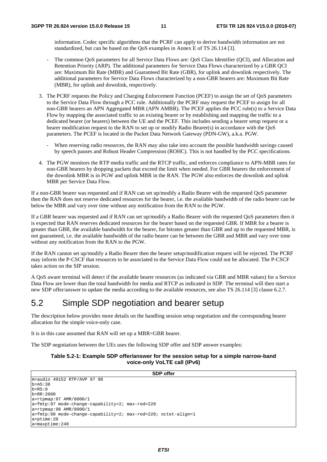information. Codec specific algorithms that the PCRF can apply to derive bandwidth information are not standardized, but can be based on the QoS examples in Annex E of TS 26.114 [3].

- The common OoS parameters for all Service Data Flows are: OoS Class Identifier (OCI), and Allocation and Retention Priority (ARP). The additional parameters for Service Data Flows characterized by a GBR QCI are: Maximum Bit Rate (MBR) and Guaranteed Bit Rate (GBR), for uplink and downlink respectively. The additional parameters for Service Data Flows characterized by a non-GBR bearers are: Maximum Bit Rate (MBR), for uplink and downlink, respectively.
- 3. The PCRF requests the Policy and Charging Enforcement Function (PCEF) to assign the set of QoS parameters to the Service Data Flow through a PCC rule. Additionally the PCRF may request the PCEF to assign for all non-GBR bearers an APN Aggregated MBR (APN AMBR). The PCEF applies the PCC rule(s) to a Service Data Flow by mapping the associated traffic to an existing bearer or by establishing and mapping the traffic to a dedicated bearer (or bearers) between the UE and the PCEF. This includes sending a bearer setup request or a bearer modification request to the RAN to set up or modify Radio Bearer(s) in accordance with the QoS parameters. The PCEF is located in the Packet Data Network Gateway (PDN-GW), a.k.a. PGW.
	- When reserving radio resources, the RAN may also take into account the possible bandwidth savings caused by speech pauses and Robust Header Compression (ROHC). This is not handled by the PCC specifications.
- 4. The PGW monitors the RTP media traffic and the RTCP traffic, and enforces compliance to APN-MBR rates for non-GBR bearers by dropping packets that exceed the limit when needed. For GBR bearers the enforcement of the downlink MBR is in PGW and uplink MBR in the RAN. The PGW also enforces the downlink and uplink MBR per Service Data Flow.

If a non-GBR bearer was requested and if RAN can set up/modify a Radio Bearer with the requested QoS parameter then the RAN does not reserve dedicated resources for the bearer, i.e. the available bandwidth of the radio bearer can be below the MBR and vary over time without any notification from the RAN to the PGW.

If a GBR bearer was requested and if RAN can set up/modify a Radio Bearer with the requested QoS parameters then it is expected that RAN reserves dedicated resources for the bearer based on the requested GBR. If MBR for a bearer is greater than GBR, the available bandwidth for the bearer, for bitrates greater than GBR and up to the requested MBR, is not guaranteed, i.e. the available bandwidth of the radio bearer can be between the GBR and MBR and vary over time without any notification from the RAN to the PGW.

If the RAN cannot set up/modify a Radio Bearer then the bearer setup/modification request will be rejected. The PCRF may inform the P-CSCF that resources to be associated to the Service Data Flow could not be allocated. The P-CSCF takes action on the SIP session.

A QoS aware terminal will detect if the available bearer resources (as indicated via GBR and MBR values) for a Service Data Flow are lower than the total bandwidth for media and RTCP as indicated in SDP. The terminal will then start a new SDP offer/answer to update the media according to the available resources, see also TS 26.114 [3] clause 6.2.7.

# 5.2 Simple SDP negotiation and bearer setup

The description below provides more details on the handling session setup negotiation and the corresponding bearer allocation for the simple voice-only case.

It is in this case assumed that RAN will set up a MBR=GBR bearer.

The SDP negotiation between the UEs uses the following SDP offer and SDP answer examples:

#### **Table 5.2-1: Example SDP offer/answer for the session setup for a simple narrow-band voice-only VoLTE call (IPv6)**

```
SDP offer
m=audio 49152 RTP/AVP 97 98 
b=AS:38b=RS:0b=RR:2000 
a=rtpmap:97 AMR/8000/1 
a=fmtp:97 mode-change-capability=2; max-red=220 
a=rtpmap:98 AMR/8000/1 
a=fmtp:98 mode-change-capability=2; max-red=220; octet-align=1 
a=ptime:20 
a=maxptime:240
```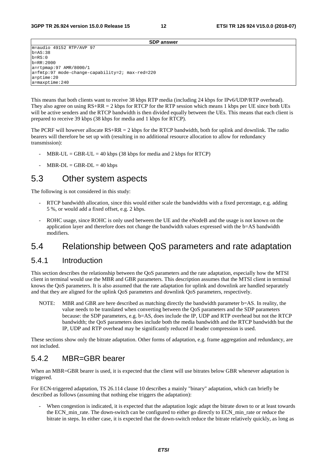**SDP answer**

m=audio 49152 RTP/AVP 97 b=AS:38  $b=R.S:0$ b=RR:2000 a=rtpmap:97 AMR/8000/1 a=fmtp:97 mode-change-capability=2; max-red=220 a=ptime:20 a=maxptime:240

This means that both clients want to receive 38 kbps RTP media (including 24 kbps for IPv6/UDP/RTP overhead). They also agree on using  $RS+RR = 2$  kbps for RTCP for the RTP session which means 1 kbps per UE since both UEs will be active senders and the RTCP bandwidth is then divided equally between the UEs. This means that each client is prepared to receive 39 kbps (38 kbps for media and 1 kbps for RTCP).

The PCRF will however allocate RS+RR = 2 kbps for the RTCP bandwidth, both for uplink and downlink. The radio bearers will therefore be set up with (resulting in no additional resource allocation to allow for redundancy transmission):

- $MBR-UL = GBR-UL = 40$  kbps (38 kbps for media and 2 kbps for RTCP)
- $MBR-DL = GBR-DL = 40 kbps$

# 5.3 Other system aspects

The following is not considered in this study:

- RTCP bandwidth allocation, since this would either scale the bandwidths with a fixed percentage, e.g. adding 5 %, or would add a fixed offset, e.g. 2 kbps.
- ROHC usage, since ROHC is only used between the UE and the eNodeB and the usage is not known on the application layer and therefore does not change the bandwidth values expressed with the b=AS bandwidth modifiers.

# 5.4 Relationship between QoS parameters and rate adaptation

### 5.4.1 Introduction

This section describes the relationship between the QoS parameters and the rate adaptation, especially how the MTSI client in terminal would use the MBR and GBR parameters. This description assumes that the MTSI client in terminal knows the QoS parameters. It is also assumed that the rate adaptation for uplink and downlink are handled separately and that they are aligned for the uplink QoS parameters and downlink QoS parameters, respectively.

NOTE: MBR and GBR are here described as matching directly the bandwidth parameter b=AS. In reality, the value needs to be translated when converting between the QoS parameters and the SDP parameters because: the SDP parameters, e.g. b=AS, does include the IP, UDP and RTP overhead but not the RTCP bandwidth; the QoS parameters does include both the media bandwidth and the RTCP bandwidth but the IP, UDP and RTP overhead may be significantly reduced if header compression is used.

These sections show only the bitrate adaptation. Other forms of adaptation, e.g. frame aggregation and redundancy, are not included.

# 5.4.2 MBR=GBR bearer

When an MBR=GBR bearer is used, it is expected that the client will use bitrates below GBR whenever adaptation is triggered.

For ECN-triggered adaptation, TS 26.114 clause 10 describes a mainly "binary" adaptation, which can briefly be described as follows (assuming that nothing else triggers the adaptation):

When congestion is indicated, it is expected that the adaptation logic adapt the bitrate down to or at least towards the ECN min rate. The down-switch can be configured to either go directly to ECN min rate or reduce the bitrate in steps. In either case, it is expected that the down-switch reduce the bitrate relatively quickly, as long as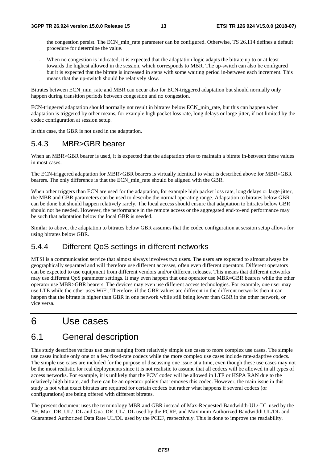the congestion persist. The ECN min rate parameter can be configured. Otherwise, TS 26.114 defines a default procedure for determine the value.

When no congestion is indicated, it is expected that the adaptation logic adapts the bitrate up to or at least towards the highest allowed in the session, which corresponds to MBR. The up-switch can also be configured but it is expected that the bitrate is increased in steps with some waiting period in-between each increment. This means that the up-switch should be relatively slow.

Bitrates between ECN\_min\_rate and MBR can occur also for ECN-triggered adaptation but should normally only happen during transition periods between congestion and no congestion.

ECN-triggered adaptation should normally not result in bitrates below ECN\_min\_rate, but this can happen when adaptation is triggered by other means, for example high packet loss rate, long delays or large jitter, if not limited by the codec configuration at session setup.

In this case, the GBR is not used in the adaptation.

# 5.4.3 MBR>GBR bearer

When an MBR>GBR bearer is used, it is expected that the adaptation tries to maintain a bitrate in-between these values in most cases.

The ECN-triggered adaptation for MBR>GBR bearers is virtually identical to what is described above for MBR=GBR bearers. The only difference is that the ECN\_min\_rate should be aligned with the GBR.

When other triggers than ECN are used for the adaptation, for example high packet loss rate, long delays or large jitter, the MBR and GBR parameters can be used to describe the normal operating range. Adaptation to bitrates below GBR can be done but should happen relatively rarely. The local access should ensure that adaptation to bitrates below GBR should not be needed. However, the performance in the remote access or the aggregated end-to-end performance may be such that adaptation below the local GBR is needed.

Similar to above, the adaptation to bitrates below GBR assumes that the codec configuration at session setup allows for using bitrates below GBR.

# 5.4.4 Different QoS settings in different networks

MTSI is a communication service that almost always involves two users. The users are expected to almost always be geographically separated and will therefore use different accesses, often even different operators. Different operators can be expected to use equipment from different vendors and/or different releases. This means that different networks may use different QoS parameter settings. It may even happen that one operator use MBR=GBR bearers while the other operator use MBR>GBR bearers. The devices may even use different access technologies. For example, one user may use LTE while the other uses WiFi. Therefore, if the GBR values are different in the different networks then it can happen that the bitrate is higher than GBR in one network while still being lower than GBR in the other network, or vice versa.

# 6 Use cases

# 6.1 General description

This study describes various use cases ranging from relatively simple use cases to more complex use cases. The simple use cases include only one or a few fixed-rate codecs while the more complex use cases include rate-adaptive codecs. The simple use cases are included for the purpose of discussing one issue at a time, even though these use cases may not be the most realistic for real deployments since it is not realistic to assume that all codecs will be allowed in all types of access networks. For example, it is unlikely that the PCM codec will be allowed in LTE or HSPA RAN due to the relatively high bitrate, and there can be an operator policy that removes this codec. However, the main issue in this study is not what exact bitrates are required for certain codecs but rather what happens if several codecs (or configurations) are being offered with different bitrates.

The present document uses the terminology MBR and GBR instead of Max-Requested-Bandwidth-UL/-DL used by the AF, Max\_DR\_UL/\_DL and Gua\_DR\_UL/\_DL used by the PCRF, and Maximum Authorized Bandwidth UL/DL and Guaranteed Authorized Data Rate UL/DL used by the PCEF, respectively. This is done to improve the readability.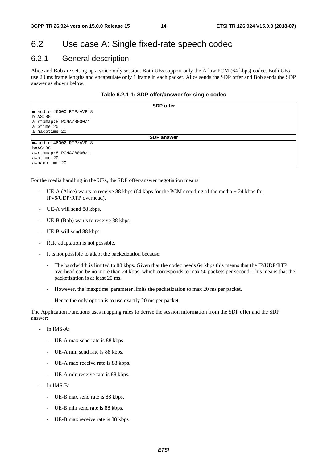# 6.2 Use case A: Single fixed-rate speech codec

# 6.2.1 General description

Alice and Bob are setting up a voice-only session. Both UEs support only the A-law PCM (64 kbps) codec. Both UEs use 20 ms frame lengths and encapsulate only 1 frame in each packet. Alice sends the SDP offer and Bob sends the SDP answer as shown below.

| Table 6.2.1-1: SDP offer/answer for single codec |  |
|--------------------------------------------------|--|
|--------------------------------------------------|--|

|                             | <b>SDP</b> offer  |
|-----------------------------|-------------------|
| $m = audio 46000 RTP/AVP 8$ |                   |
| $b = AS: 88$                |                   |
| $a = r$ tpmap:8 PCMA/8000/1 |                   |
| $a = p$ time: 20            |                   |
| $a = maxptime: 20$          |                   |
|                             | <b>SDP answer</b> |
| $m = audio 46002 RTP/AVP 8$ |                   |
| $b = AS: 88$                |                   |
| $a = r$ tpmap:8 PCMA/8000/1 |                   |
| $a = p$ time: 20            |                   |
| $a = maxptime: 20$          |                   |

For the media handling in the UEs, the SDP offer/answer negotiation means:

- UE-A (Alice) wants to receive 88 kbps (64 kbps for the PCM encoding of the media  $+ 24$  kbps for IPv6/UDP/RTP overhead).
- UE-A will send 88 kbps.
- UE-B (Bob) wants to receive 88 kbps.
- UE-B will send 88 kbps.
- Rate adaptation is not possible.
- It is not possible to adapt the packetization because:
	- The bandwidth is limited to 88 kbps. Given that the codec needs 64 kbps this means that the IP/UDP/RTP overhead can be no more than 24 kbps, which corresponds to max 50 packets per second. This means that the packetization is at least 20 ms.
	- However, the 'maxptime' parameter limits the packetization to max 20 ms per packet.
	- Hence the only option is to use exactly 20 ms per packet.

The Application Functions uses mapping rules to derive the session information from the SDP offer and the SDP answer:

- In IMS-A:
	- UE-A max send rate is 88 kbps.
	- UE-A min send rate is 88 kbps.
	- UE-A max receive rate is 88 kbps.
	- UE-A min receive rate is 88 kbps.
- In IMS-B:
	- UE-B max send rate is 88 kbps.
	- UE-B min send rate is 88 kbps.
	- UE-B max receive rate is 88 kbps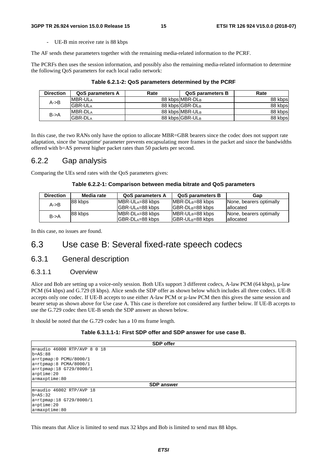- UE-B min receive rate is 88 kbps

The AF sends these parameters together with the remaining media-related information to the PCRF.

The PCRFs then uses the session information, and possibly also the remaining media-related information to determine the following QoS parameters for each local radio network:

| <b>Direction</b>  | <b>QoS parameters A</b> | Rate | <b>QoS parameters B</b> | Rate    |
|-------------------|-------------------------|------|-------------------------|---------|
| $A \rightarrow B$ | <b>MBR-ULA</b>          |      | 88 kbps MBR-DLB         | 88 kbps |
|                   | <b>GBR-ULA</b>          |      | 88 kbps GBR-DLB         | 88 kbps |
| $B - > A$         | MBR-DL <sub>A</sub>     |      | 88 kbps MBR-ULB         | 88 kbps |
|                   | <b>GBR-DLA</b>          |      | 88 kbps GBR-ULB         | 88 kbps |

**Table 6.2.1-2: QoS parameters determined by the PCRF** 

In this case, the two RANs only have the option to allocate MBR=GBR bearers since the codec does not support rate adaptation, since the 'maxptime' parameter prevents encapsulating more frames in the packet and since the bandwidths offered with b=AS prevent higher packet rates than 50 packets per second.

### 6.2.2 Gap analysis

Comparing the UEs send rates with the QoS parameters gives:

#### **Table 6.2.2-1: Comparison between media bitrate and QoS parameters**

| <b>Direction</b>  | Media rate | <b>QoS parameters A</b> | <b>QoS parameters B</b> | Gap                     |
|-------------------|------------|-------------------------|-------------------------|-------------------------|
| $A \rightarrow B$ | 88 kbps    | <b>IMBR-ULA=88 kbps</b> | $IMBR-DL_B=88$ kbps     | None, bearers optimally |
|                   |            | IGBR-ULA=88 kbps        | $IGBR-DLB=88$ kbps      | lallocated              |
| $B - > A$         | 88 kbps    | $IMBR-DLA=88 kbps$      | $IMBR-ULB=88 kbps$      | None, bearers optimally |
|                   |            | $ GBR-DL_A=88$ kbps     | $ GBR-UL_B=88$ kbps     | lallocated              |

In this case, no issues are found.

# 6.3 Use case B: Several fixed-rate speech codecs

### 6.3.1 General description

#### 6.3.1.1 Overview

Alice and Bob are setting up a voice-only session. Both UEs support 3 different codecs, A-law PCM (64 kbps), μ-law PCM (64 kbps) and G.729 (8 kbps). Alice sends the SDP offer as shown below which includes all three codecs. UE-B accepts only one codec. If UE-B accepts to use either A-law PCM or μ-law PCM then this gives the same session and bearer setup as shown above for Use case A. This case is therefore not considered any further below. If UE-B accepts to use the G.729 codec then UE-B sends the SDP answer as shown below.

It should be noted that the G.729 codec has a 10 ms frame length.

#### **Table 6.3.1.1-1: First SDP offer and SDP answer for use case B.**

|                              | <b>SDP</b> offer  |  |
|------------------------------|-------------------|--|
| $m = 46000$ RTP/AVP 8 0 18   |                   |  |
| $b = AS : 88$                |                   |  |
| $a = r$ tpmap: 0 PCMU/8000/1 |                   |  |
| a=rtpmap:8 PCMA/8000/1       |                   |  |
| a=rtpmap:18 G729/8000/1      |                   |  |
| $a = p$ time: 20             |                   |  |
| $a = maxptime:80$            |                   |  |
|                              | <b>SDP</b> answer |  |
| $m = audio 46002 RTP/AVP 18$ |                   |  |
| $b = AS: 32$                 |                   |  |
| a=rtpmap:18 G729/8000/1      |                   |  |
| $a = p$ time: 20             |                   |  |
| $a = maxptime:80$            |                   |  |

This means that Alice is limited to send max 32 kbps and Bob is limited to send max 88 kbps.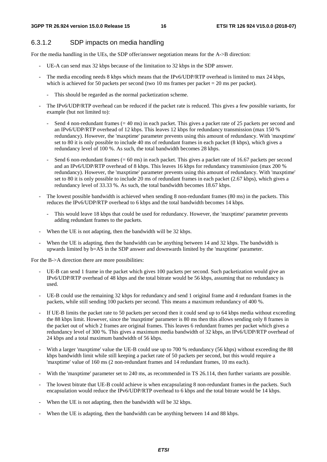### 6.3.1.2 SDP impacts on media handling

For the media handling in the UEs, the SDP offer/answer negotiation means for the A->B direction:

- UE-A can send max 32 kbps because of the limitation to 32 kbps in the SDP answer.
- The media encoding needs 8 kbps which means that the IPv6/UDP/RTP overhead is limited to max 24 kbps, which is achieved for 50 packets per second (two 10 ms frames per packet  $= 20$  ms per packet).
	- This should be regarded as the normal packetization scheme.
- The IPv6/UDP/RTP overhead can be reduced if the packet rate is reduced. This gives a few possible variants, for example (but not limited to):
	- Send 4 non-redundant frames  $(= 40 \text{ ms})$  in each packet. This gives a packet rate of 25 packets per second and an IPv6/UDP/RTP overhead of 12 kbps. This leaves 12 kbps for redundancy transmission (max 150 % redundancy). However, the 'maxptime' parameter prevents using this amount of redundancy. With 'maxptime' set to 80 it is only possible to include 40 ms of redundant frames in each packet (8 kbps), which gives a redundancy level of 100 %. As such, the total bandwidth becomes 28 kbps.
	- Send 6 non-redundant frames  $(= 60 \text{ ms})$  in each packet. This gives a packet rate of 16.67 packets per second and an IPv6/UDP/RTP overhead of 8 kbps. This leaves 16 kbps for redundancy transmission (max 200 % redundancy). However, the 'maxptime' parameter prevents using this amount of redundancy. With 'maxptime' set to 80 it is only possible to include 20 ms of redundant frames in each packet (2.67 kbps), which gives a redundancy level of 33.33 %. As such, the total bandwidth becomes 18.67 kbps.
- The lowest possible bandwidth is achieved when sending 8 non-redundant frames (80 ms) in the packets. This reduces the IPv6/UDP/RTP overhead to 6 kbps and the total bandwidth becomes 14 kbps.
	- This would leave 18 kbps that could be used for redundancy. However, the 'maxptime' parameter prevents adding redundant frames to the packets.
- When the UE is not adapting, then the bandwidth will be 32 kbps.
- When the UE is adapting, then the bandwidth can be anything between 14 and 32 kbps. The bandwidth is upwards limited by b=AS in the SDP answer and downwards limited by the 'maxptime' parameter.

For the B->A direction there are more possibilities:

- UE-B can send 1 frame in the packet which gives 100 packets per second. Such packetization would give an IPv6/UDP/RTP overhead of 48 kbps and the total bitrate would be 56 kbps, assuming that no redundancy is used.
- UE-B could use the remaining 32 kbps for redundancy and send 1 original frame and 4 redundant frames in the packets, while still sending 100 packets per second. This means a maximum redundancy of 400 %.
- If UE-B limits the packet rate to 50 packets per second then it could send up to 64 kbps media without exceeding the 88 kbps limit. However, since the 'maxptime' parameter is 80 ms then this allows sending only 8 frames in the packet out of which 2 frames are original frames. This leaves 6 redundant frames per packet which gives a redundancy level of 300 %. This gives a maximum media bandwidth of 32 kbps, an IPv6/UDP/RTP overhead of 24 kbps and a total maximum bandwidth of 56 kbps.
- With a larger 'maxptime' value the UE-B could use up to 700 % redundancy (56 kbps) without exceeding the 88 kbps bandwidth limit while still keeping a packet rate of 50 packets per second, but this would require a 'maxptime' value of 160 ms (2 non-redundant frames and 14 redundant frames, 10 ms each).
- With the 'maxptime' parameter set to 240 ms, as recommended in TS 26.114, then further variants are possible.
- The lowest bitrate that UE-B could achieve is when encapsulating 8 non-redundant frames in the packets. Such encapsulation would reduce the IPv6/UDP/RTP overhead to 6 kbps and the total bitrate would be 14 kbps.
- When the UE is not adapting, then the bandwidth will be 32 kbps.
- When the UE is adapting, then the bandwidth can be anything between 14 and 88 kbps.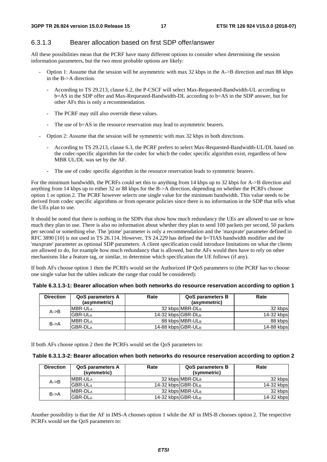### 6.3.1.3 Bearer allocation based on first SDP offer/answer

All these possibilities mean that the PCRF have many different options to consider when determining the session information parameters, but the two most probable options are likely:

- Option 1: Assume that the session will be asymmetric with max 32 kbps in the A->B direction and max 88 kbps in the B->A direction.
	- According to TS 29.213, clause 6.2, the P-CSCF will select Max-Requested-Bandwidth-UL according to b=AS in the SDP offer and Max-Requested-Bandwidth-DL according to b=AS in the SDP answer, but for other AFs this is only a recommendation.
	- The PCRF may still also override these values.
	- The use of b=AS in the resource reservation may lead to asymmetric bearers.
- Option 2: Assume that the session will be symmetric with max 32 kbps in both directions.
	- According to TS 29.213, clause 6.3, the PCRF prefers to select Max-Requested-Bandwidth-UL/DL based on the codec-specific algorithm for the codec for which the codec specific algorithm exist, regardless of how MBR UL/DL was set by the AF.
	- The use of codec specific algorithm in the resource reservation leads to symmetric bearers.

For the minimum bandwidth, the PCRFs could set this to anything from 14 kbps up to 32 kbps for A->B direction and anything from 14 kbps up to either 32 or 88 kbps for the B->A direction, depending on whether the PCRFs choose option 1 or option 2. The PCRF however selects one single value for the minimum bandwidth. This value needs to be derived from codec specific algorithms or from operator policies since there is no information in the SDP that tells what the UEs plan to use.

It should be noted that there is nothing in the SDPs that show how much redundancy the UEs are allowed to use or how much they plan to use. There is also no information about whether they plan to send 100 packets per second, 50 packets per second or something else. The 'ptime' parameter is only a recommendation and the 'maxprate' parameter defined in RFC 3890 [10] is not used in TS 26.114. However, TS 24.229 has defined the b=TIAS bandwidth modifier and the 'maxprate' parameter as optional SDP parameters. A client specification could introduce limitations on what the clients are allowed to do, for example how much redundancy that is allowed, but the AFs would then have to rely on other mechanisms like a feature tag, or similar, to determine which specification the UE follows (if any).

If both AFs choose option 1 then the PCRFs would set the Authorized IP QoS parameters to (the PCRF has to choose one single value but the tables indicate the range that could be considered):

| Table 6.3.1.3-1: Bearer allocation when both networks do resource reservation according to option 1 |  |  |
|-----------------------------------------------------------------------------------------------------|--|--|
|-----------------------------------------------------------------------------------------------------|--|--|

| <b>Direction</b>  | <b>QoS parameters A</b><br>(asymmetric) | Rate               | <b>QoS parameters B</b><br>(asymmetric) | Rate       |
|-------------------|-----------------------------------------|--------------------|-----------------------------------------|------------|
| $A \rightarrow B$ | <b>IMBR-ULA</b>                         |                    | 32 kbps MBR-DLB                         | 32 kbps    |
|                   | <b>GBR-ULA</b>                          | 14-32 kbps GBR-DLB |                                         | 14-32 kbps |
| $B - > A$         | <b>IMBR-DLA</b>                         |                    | 88 kbps MBR-ULB                         | 88 kbps    |
|                   | <b>GBR-DLA</b>                          | 14-88 kbps GBR-ULB |                                         | 14-88 kbps |

If both AFs choose option 2 then the PCRFs would set the QoS parameters to:

| <b>Direction</b>  | <b>QoS parameters A</b><br>(symmetric) | Rate               | <b>QoS parameters B</b><br>(symmetric) | Rate       |
|-------------------|----------------------------------------|--------------------|----------------------------------------|------------|
| $A \rightarrow B$ | <b>IMBR-ULA</b>                        |                    | 32 kbps MBR-DLB                        | 32 kbps    |
|                   | <b>GBR-ULA</b>                         | 14-32 kbps GBR-DLB |                                        | 14-32 kbps |
| $B - > A$         | <b>IMBR-DLA</b>                        |                    | 32 kbps MBR-ULB                        | 32 kbps    |
|                   | <b>GBR-DLA</b>                         | 14-32 kbps GBR-ULB |                                        | 14-32 kbps |

Another possibility is that the AF in IMS-A chooses option 1 while the AF in IMS-B chooses option 2. The respective PCRFs would set the QoS parameters to: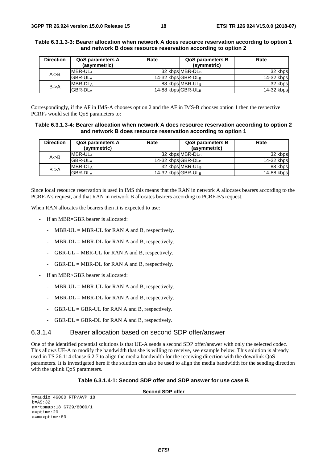| <b>Direction</b>  | <b>QoS parameters A</b><br>(asymmetric) | Rate               | <b>QoS parameters B</b><br>(symmetric) | Rate       |
|-------------------|-----------------------------------------|--------------------|----------------------------------------|------------|
| $A \rightarrow B$ | <b>IMBR-ULA</b>                         |                    | 32 kbps MBR-DLB                        | 32 kbps    |
|                   | <b>GBR-ULA</b>                          | 14-32 kbps GBR-DLB |                                        | 14-32 kbps |
|                   | <b>IMBR-DLA</b>                         |                    | 88 kbps MBR-ULB                        | 32 kbps    |
| $B - > A$         | <b>GBR-DLA</b>                          | 14-88 kbps GBR-ULB |                                        | 14-32 kbps |

#### **Table 6.3.1.3-3: Bearer allocation when network A does resource reservation according to option 1 and network B does resource reservation according to option 2**

Correspondingly, if the AF in IMS-A chooses option 2 and the AF in IMS-B chooses option 1 then the respective PCRFs would set the QoS parameters to:

#### **Table 6.3.1.3-4: Bearer allocation when network A does resource reservation according to option 2 and network B does resource reservation according to option 1**

| <b>Direction</b>  | <b>QoS parameters A</b><br>(symmetric) | Rate               | <b>QoS parameters B</b><br>(asymmetric) | Rate       |
|-------------------|----------------------------------------|--------------------|-----------------------------------------|------------|
| $A \rightarrow B$ | MBR-ULA                                |                    | 32 kbps MBR-DLB                         | 32 kbps    |
|                   | <b>GBR-ULA</b>                         | 14-32 kbps GBR-DLB |                                         | 14-32 kbps |
| $B - > A$         | MBR-DL <sub>A</sub>                    |                    | 32 kbps MBR-ULB                         | 88 kbps    |
|                   | <b>GBR-DLA</b>                         | 14-32 kbps GBR-ULB |                                         | 14-88 kbps |

Since local resource reservation is used in IMS this means that the RAN in network A allocates bearers according to the PCRF-A's request, and that RAN in network B allocates bearers according to PCRF-B's request.

When RAN allocates the bearers then it is expected to use:

- If an MBR=GBR bearer is allocated:
	- MBR-UL = MBR-UL for RAN A and B, respectively.
	- $MBR-DL = MBR-DL$  for RAN A and B, respectively.
	- $GBR-UL = MBR-UL$  for RAN A and B, respectively.
	- $GBR-DL = MBR-DL$  for RAN A and B, respectively.
- If an MBR>GBR bearer is allocated:
	- MBR-UL = MBR-UL for RAN A and B, respectively.
	- $MBR-DL = MBR-DL$  for RAN A and B, respectively.
	- $GBR-UL = GBR-UL$  for RAN A and B, respectively.
	- $GBR-DL = GBR-DL$  for RAN A and B, respectively.

### 6.3.1.4 Bearer allocation based on second SDP offer/answer

One of the identified potential solutions is that UE-A sends a second SDP offer/answer with only the selected codec. This allows UE-A to modify the bandwidth that she is willing to receive, see example below. This solution is already used in TS 26.114 clause 6.2.7 to align the media bandwidth for the receiving direction with the downlink QoS parameters. It is investigated here if the solution can also be used to align the media bandwidth for the sending direction with the uplink QoS parameters.

#### **Table 6.3.1.4-1: Second SDP offer and SDP answer for use case B**

| <b>Second SDP offer</b>      |  |
|------------------------------|--|
|                              |  |
| $m = audio 46000 RTP/AVP 18$ |  |
| $b = AS: 32$                 |  |
| a=rtpmap:18 G729/8000/1      |  |
| $a = p$ time: 20             |  |
| $a = maxptime:80$            |  |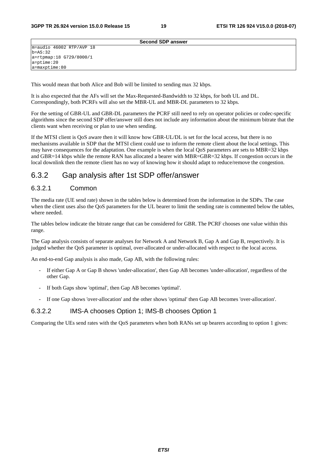|                                       | <b>Second SDP answer</b> |  |
|---------------------------------------|--------------------------|--|
| $m = audio 46002 RTP/AVP 18$          |                          |  |
| $b = AS: 32$                          |                          |  |
| a=rtpmap:18 G729/8000/1               |                          |  |
|                                       |                          |  |
| $a = ptime: 20$<br>$a = maxptime: 80$ |                          |  |

This would mean that both Alice and Bob will be limited to sending max 32 kbps.

It is also expected that the AFs will set the Max-Requested-Bandwidth to 32 kbps, for both UL and DL. Correspondingly, both PCRFs will also set the MBR-UL and MBR-DL parameters to 32 kbps.

For the setting of GBR-UL and GBR-DL parameters the PCRF still need to rely on operator policies or codec-specific algorithms since the second SDP offer/answer still does not include any information about the minimum bitrate that the clients want when receiving or plan to use when sending.

If the MTSI client is QoS aware then it will know how GBR-UL/DL is set for the local access, but there is no mechanisms available in SDP that the MTSI client could use to inform the remote client about the local settings. This may have consequences for the adaptation. One example is when the local QoS parameters are sets to MBR=32 kbps and GBR=14 kbps while the remote RAN has allocated a bearer with MBR=GBR=32 kbps. If congestion occurs in the local downlink then the remote client has no way of knowing how it should adapt to reduce/remove the congestion.

### 6.3.2 Gap analysis after 1st SDP offer/answer

### 6.3.2.1 Common

The media rate (UE send rate) shown in the tables below is determined from the information in the SDPs. The case when the client uses also the QoS parameters for the UL bearer to limit the sending rate is commented below the tables, where needed.

The tables below indicate the bitrate range that can be considered for GBR. The PCRF chooses one value within this range.

The Gap analysis consists of separate analyses for Network A and Network B, Gap A and Gap B, respectively. It is judged whether the QoS parameter is optimal, over-allocated or under-allocated with respect to the local access.

An end-to-end Gap analysis is also made, Gap AB, with the following rules:

- If either Gap A or Gap B shows 'under-allocation', then Gap AB becomes 'under-allocation', regardless of the other Gap.
- If both Gaps show 'optimal', then Gap AB becomes 'optimal'.
- If one Gap shows 'over-allocation' and the other shows 'optimal' then Gap AB becomes 'over-allocation'.

### 6.3.2.2 IMS-A chooses Option 1; IMS-B chooses Option 1

Comparing the UEs send rates with the QoS parameters when both RANs set up bearers according to option 1 gives: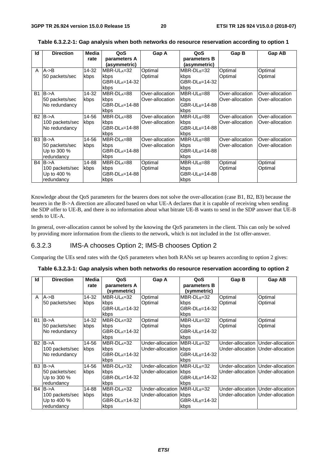| Id | <b>Direction</b>      | Media | QoS                 | Gap A            | QoS                        | Gap B           | Gap AB          |
|----|-----------------------|-------|---------------------|------------------|----------------------------|-----------------|-----------------|
|    |                       | rate  | parameters A        |                  | parameters B               |                 |                 |
|    |                       |       | (asymmetric)        |                  | (asymmetric)               |                 |                 |
| A  | $A \rightarrow B$     | 14-32 | MBR-ULA=32          | Optimal          | $MBR-DL_B=32$              | Optimal         | Optimal         |
|    | 50 packets/sec        | kbps  | kbps                | Optimal          | kbps                       | Optimal         | Optimal         |
|    |                       |       | GBR-ULA=14-32       |                  | GBR-DL <sub>B</sub> =14-32 |                 |                 |
|    |                       |       | kbps                |                  | kbps                       |                 |                 |
| B1 | $B - > A$             | 14-32 | MBR-DLA=88          | Over-allocation  | MBR-UL <sub>B</sub> =88    | Over-allocation | Over-allocation |
|    | 50 packets/sec        | kbps  | kbps                | lOver-allocation | kbps                       | Over-allocation | Over-allocation |
|    | No redundancy         |       | $GBR-DL_A=14-88$    |                  | GBR-UL <sub>B</sub> =14-88 |                 |                 |
|    |                       |       | kbps                |                  | kbps                       |                 |                 |
|    | $B2$ $B\rightarrow A$ | 14-56 | $MBR-DLA=88$        | Over-allocation  | $MBR-UL_B=88$              | Over-allocation | Over-allocation |
|    | 100 packets/sec       | kbps  | kbps                | Over-allocation  | kbps                       | Over-allocation | Over-allocation |
|    | No redundancy         |       | GBR-DL $_{A}=14-88$ |                  | GBR-UL <sub>B</sub> =14-88 |                 |                 |
|    |                       |       | kbps                |                  | kbps                       |                 |                 |
|    | $B3$ $B\rightarrow A$ | 14-56 | MBR-DLA=88          | Over-allocation  | MBR-UL <sub>B</sub> =88    | Over-allocation | Over-allocation |
|    | 50 packets/sec        | kbps  | kbps                | Over-allocation  | kbps                       | Over-allocation | Over-allocation |
|    | Up to 300 %           |       | GBR-DLA=14-88       |                  | GBR-UL <sub>B</sub> =14-88 |                 |                 |
|    | redundancy            |       | kbps                |                  | kbps                       |                 |                 |
|    | $B4$ $B\rightarrow A$ | 14-88 | MBR-DLA=88          | Optimal          | MBR-UL <sub>B</sub> =88    | Optimal         | Optimal         |
|    | 100 packets/sec       | kbps  | kbps                | Optimal          | kbps                       | Optimal         | Optimal         |
|    | Up to 400 %           |       | GBR-DLA=14-88       |                  | GBR-UL <sub>B</sub> =14-88 |                 |                 |
|    | redundancy            |       | kbps                |                  | kbps                       |                 |                 |

**Table 6.3.2.2-1: Gap analysis when both networks do resource reservation according to option 1** 

Knowledge about the QoS parameters for the bearers does not solve the over-allocation (case B1, B2, B3) because the bearers in the B->A direction are allocated based on what UE-A declares that it is capable of receiving when sending the SDP offer to UE-B, and there is no information about what bitrate UE-B wants to send in the SDP answer that UE-B sends to UE-A.

In general, over-allocation cannot be solved by the knowing the QoS parameters in the client. This can only be solved by providing more information from the clients to the network, which is not included in the 1st offer-answer.

### 6.3.2.3 IMS-A chooses Option 2; IMS-B chooses Option 2

Comparing the UEs send rates with the QoS parameters when both RANs set up bearers according to option 2 gives:

#### **Table 6.3.2.3-1: Gap analysis when both networks do resource reservation according to option 2**

| Id        | <b>Direction</b>      | Media | QoS                         | Gap A                        | QoS                         | Gap B   | Gap AB                              |
|-----------|-----------------------|-------|-----------------------------|------------------------------|-----------------------------|---------|-------------------------------------|
|           |                       | rate  | parameters A<br>(symmetric) |                              | parameters B<br>(symmetric) |         |                                     |
| A         | $A \rightarrow B$     | 14-32 | MBR-ULA=32                  | Optimal                      | MBR-DL <sub>B</sub> =32     | Optimal | Optimal                             |
|           | 50 packets/sec        | kbps  | kbps<br>GBR-ULA=14-32       | Optimal                      | kbps<br>$GBR-DL_B=14-32$    | Optimal | Optimal                             |
|           |                       |       | kbps                        |                              | kbps                        |         |                                     |
| B1        | $B - > A$             | 14-32 | MBR-DLA=32                  | Optimal                      | MBR-UL <sub>B</sub> =32     | Optimal | Optimal                             |
|           | 50 packets/sec        | kbps  | kbps                        | Optimal                      | kbps                        | Optimal | Optimal                             |
|           | No redundancy         |       | GBR-DL $_{A}=14-32$         |                              | GBR-UL <sub>B</sub> =14-32  |         |                                     |
|           |                       |       | kbps                        |                              | kbps                        |         |                                     |
| <b>B2</b> | $B - > A$             | 14-56 | MBR-DLA=32                  | Under-allocation IMBR-ULB=32 |                             |         | Under-allocation   Under-allocation |
|           | 100 packets/sec       | kbps  | kbps                        | Under-allocation kbps        |                             |         | Under-allocation   Under-allocation |
|           | No redundancy         |       | GBR-DLA=14-32               |                              | GBR-UL <sub>B</sub> =14-32  |         |                                     |
|           |                       |       | kbps                        |                              | kbps                        |         |                                     |
|           | $B3$ $B\rightarrow A$ | 14-56 | MBR-DLA=32                  | Under-allocation IMBR-ULB=32 |                             |         | Under-allocation   Under-allocation |
|           | 50 packets/sec        | kbps  | kbps                        | Under-allocation kbps        |                             |         | Under-allocation   Under-allocation |
|           | Up to 300 %           |       | GBR-DL $_{A}=14-32$         |                              | GBR-UL <sub>B</sub> =14-32  |         |                                     |
|           | redundancy            |       | kbps                        |                              | kbps                        |         |                                     |
|           | $B4$ $B\rightarrow A$ | 14-88 | MBR-DLA=32                  | Under-allocation IMBR-ULB=32 |                             |         | Under-allocation   Under-allocation |
|           | 100 packets/sec       | kbps  | kbps                        | Under-allocation kbps        |                             |         | Under-allocation   Under-allocation |
|           | Up to 400 %           |       | GBR-DL $_{A}=14-32$         |                              | GBR-UL <sub>B</sub> =14-32  |         |                                     |
|           | redundancy            |       | kbps                        |                              | kbps                        |         |                                     |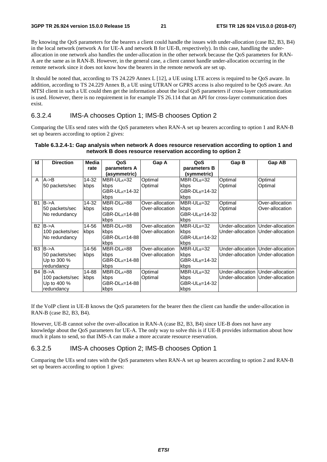By knowing the QoS parameters for the bearers a client could handle the issues with under-allocation (case B2, B3, B4) in the local network (network A for UE-A and network B for UE-B, respectively). In this case, handling the underallocation in one network also handles the under-allocation in the other network because the QoS parameters for RAN-A are the same as in RAN-B. However, in the general case, a client cannot handle under-allocation occurring in the remote network since it does not know how the bearers in the remote network are set up.

It should be noted that, according to TS 24.229 Annex L [12], a UE using LTE access is required to be QoS aware. In addition, according to TS 24.229 Annex B, a UE using UTRAN or GPRS access is also required to be QoS aware. An MTSI client in such a UE could then get the information about the local QoS parameters if cross-layer communication is used. However, there is no requirement in for example TS 26.114 that an API for cross-layer communication does exist.

### 6.3.2.4 IMS-A chooses Option 1; IMS-B chooses Option 2

Comparing the UEs send rates with the QoS parameters when RAN-A set up bearers according to option 1 and RAN-B set up bearers according to option 2 gives:

#### **Table 6.3.2.4-1: Gap analysis when network A does resource reservation according to option 1 and network B does resource reservation according to option 2**

| Id           | <b>Direction</b>      | Media | QoS                 | Gap A            | QoS                        | Gap B                             | Gap AB                              |
|--------------|-----------------------|-------|---------------------|------------------|----------------------------|-----------------------------------|-------------------------------------|
|              |                       | rate  | parameters A        |                  | parameters B               |                                   |                                     |
|              |                       |       | (asymmetric)        |                  | (symmetric)                |                                   |                                     |
| $\mathsf{A}$ | $A \rightarrow B$     | 14-32 | MBR-ULA=32          | Optimal          | MBR-DL <sub>B</sub> =32    | Optimal                           | Optimal                             |
|              | 50 packets/sec        | kbps  | kbps                | Optimal          | kbps                       | Optimal                           | Optimal                             |
|              |                       |       | GBR-ULA=14-32       |                  | GBR-DL <sub>B</sub> =14-32 |                                   |                                     |
|              |                       |       | kbps                |                  | kbps                       |                                   |                                     |
| <b>B1</b>    | $B - > A$             | 14-32 | MBR-DLA=88          | Over-allocation  | MBR-UL <sub>B</sub> =32    | Optimal                           | Over-allocation                     |
|              | 50 packets/sec        | kbps  | kbps                | Over-allocation  | kbps                       | Optimal                           | Over-allocation                     |
|              | No redundancy         |       | GBR-DL $_{A}=14-88$ |                  | GBR-UL <sub>B</sub> =14-32 |                                   |                                     |
|              |                       |       | kbps                |                  | kbps                       |                                   |                                     |
|              | $B2$ $B\rightarrow A$ | 14-56 | $MBR-DL = 88$       | Over-allocation  | MBR-UL <sub>B</sub> =32    |                                   | Under-allocation   Under-allocation |
|              | 100 packets/sec       | kbps  | kbps                | lOver-allocation | kbps                       | Under-allocation Under-allocation |                                     |
|              | No redundancy         |       | GBR-DLA=14-88       |                  | GBR-UL <sub>B</sub> =14-32 |                                   |                                     |
|              |                       |       | kbps                |                  | kbps                       |                                   |                                     |
|              | $B3$ $B\rightarrow A$ | 14-56 | $MBR-DLA=88$        | Over-allocation  | MBR-UL <sub>B</sub> =32    |                                   | Under-allocation   Under-allocation |
|              | 50 packets/sec        | kbps  | kbps                | Over-allocation  | kbps                       |                                   | Under-allocation   Under-allocation |
|              | Up to 300 %           |       | GBR-DLA=14-88       |                  | GBR-UL <sub>B</sub> =14-32 |                                   |                                     |
|              | redundancy            |       | kbps                |                  | kbps                       |                                   |                                     |
|              | $B4$ $B\rightarrow A$ | 14-88 | $MBR-DLA=88$        | Optimal          | $MBR-UL_B=32$              |                                   | Under-allocation   Under-allocation |
|              | 100 packets/sec       | kbps  | kbps                | Optimal          | kbps                       | Under-allocation Under-allocation |                                     |
|              | Up to 400 %           |       | GBR-DL $_{A}=14-88$ |                  | GBR-UL <sub>B</sub> =14-32 |                                   |                                     |
|              | redundancy            |       | kbps                |                  | kbps                       |                                   |                                     |

If the VoIP client in UE-B knows the QoS parameters for the bearer then the client can handle the under-allocation in RAN-B (case B2, B3, B4).

However, UE-B cannot solve the over-allocation in RAN-A (case B2, B3, B4) since UE-B does not have any knowledge about the QoS parameters for UE-A. The only way to solve this is if UE-B provides information about how much it plans to send, so that IMS-A can make a more accurate resource reservation.

### 6.3.2.5 IMS-A chooses Option 2; IMS-B chooses Option 1

Comparing the UEs send rates with the QoS parameters when RAN-A set up bearers according to option 2 and RAN-B set up bearers according to option 1 gives: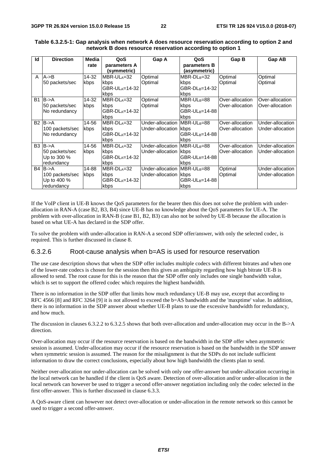| Id             | <b>Direction</b>      | Media | QoS                     | Gap A                        | QoS                        | Gap B           | Gap AB           |
|----------------|-----------------------|-------|-------------------------|------------------------------|----------------------------|-----------------|------------------|
|                |                       | rate  | parameters A            |                              | parameters B               |                 |                  |
|                |                       |       | (symmetric)             |                              | (asymmetric)               |                 |                  |
| A              | $A \rightarrow B$     | 14-32 | MBR-UL <sub>A</sub> =32 | Optimal                      | MBR-DL <sub>B</sub> =32    | Optimal         | Optimal          |
|                | 50 packets/sec        | kbps  | kbps                    | Optimal                      | kbps                       | Optimal         | Optimal          |
|                |                       |       | GBR-ULA=14-32           |                              | GBR-DL <sub>B</sub> =14-32 |                 |                  |
|                |                       |       | kbps                    |                              | kbps                       |                 |                  |
| <b>B1</b>      | $B - > A$             | 14-32 | MBR-DLA=32              | Optimal                      | MBR-UL <sub>B</sub> =88    | Over-allocation | Over-allocation  |
|                | 50 packets/sec        | kbps  | kbps                    | Optimal                      | kbps                       | Over-allocation | Over-allocation  |
|                | No redundancy         |       | GBR-DLA=14-32           |                              | GBR-UL <sub>B</sub> =14-88 |                 |                  |
|                |                       |       | kbps                    |                              | kbps                       |                 |                  |
| <b>B2</b>      | $B - > A$             | 14-56 | MBR-DL <sub>A=</sub> 32 | Under-allocation MBR-ULB=88  |                            | Over-allocation | Under-allocation |
|                | 100 packets/sec       | kbps  | kbps                    | Under-allocation kbps        |                            | Over-allocation | Under-allocation |
|                | No redundancy         |       | GBR-DLA=14-32           |                              | GBR-UL <sub>B</sub> =14-88 |                 |                  |
|                |                       |       | kbps                    |                              | kbps                       |                 |                  |
| B <sub>3</sub> | $B - > A$             | 14-56 | MBR-DLA=32              | Under-allocation IMBR-ULB=88 |                            | Over-allocation | Under-allocation |
|                | 50 packets/sec        | kbps  | kbps                    | Under-allocation kbps        |                            | Over-allocation | Under-allocation |
|                | Up to 300 %           |       | GBR-DLA=14-32           |                              | GBR-UL <sub>B</sub> =14-88 |                 |                  |
|                | redundancy            |       | kbps                    |                              | kbps                       |                 |                  |
|                | $B4$ $B\rightarrow A$ | 14-88 | $MBR-DLA=32$            | Under-allocation IMBR-ULB=88 |                            | Optimal         | Under-allocation |
|                | 100 packets/sec       | kbps  | kbps                    | Under-allocation kbps        |                            | Optimal         | Under-allocation |
|                | Up to 400 %           |       | $GBR-DLA=14-32$         |                              | GBR-UL <sub>B</sub> =14-88 |                 |                  |
|                | redundancy            |       | kbps                    |                              | kbps                       |                 |                  |

#### **Table 6.3.2.5-1: Gap analysis when network A does resource reservation according to option 2 and network B does resource reservation according to option 1**

If the VoIP client in UE-B knows the QoS parameters for the bearer then this does not solve the problem with underallocation in RAN-A (case B2, B3, B4) since UE-B has no knowledge about the QoS parameters for UE-A. The problem with over-allocation in RAN-B (case B1, B2, B3) can also not be solved by UE-B because the allocation is based on what UE-A has declared in the SDP offer.

To solve the problem with under-allocation in RAN-A a second SDP offer/answer, with only the selected codec, is required. This is further discussed in clause 8.

### 6.3.2.6 Root-cause analysis when b=AS is used for resource reservation

The use case description shows that when the SDP offer includes multiple codecs with different bitrates and when one of the lower-rate codecs is chosen for the session then this gives an ambiguity regarding how high bitrate UE-B is allowed to send. The root cause for this is the reason that the SDP offer only includes one single bandwidth value, which is set to support the offered codec which requires the highest bandwidth.

There is no information in the SDP offer that limits how much redundancy UE-B may use, except that according to RFC 4566 [8] and RFC 3264 [9] it is not allowed to exceed the b=AS bandwidth and the 'maxptime' value. In addition, there is no information in the SDP answer about whether UE-B plans to use the excessive bandwidth for redundancy, and how much.

The discussion in clauses 6.3.2.2 to 6.3.2.5 shows that both over-allocation and under-allocation may occur in the B->A direction.

Over-allocation may occur if the resource reservation is based on the bandwidth in the SDP offer when asymmetric session is assumed. Under-allocation may occur if the resource reservation is based on the bandwidth in the SDP answer when symmetric session is assumed. The reason for the misalignment is that the SDPs do not include sufficient information to draw the correct conclusions, especially about how high bandwidth the clients plan to send.

Neither over-allocation nor under-allocation can be solved with only one offer-answer but under-allocation occurring in the local network can be handled if the client is QoS aware. Detection of over-allocation and/or under-allocation in the local network can however be used to trigger a second offer-answer negotiation including only the codec selected in the first offer-answer. This is further discussed in clause 6.3.3.

A QoS-aware client can however not detect over-allocation or under-allocation in the remote network so this cannot be used to trigger a second offer-answer.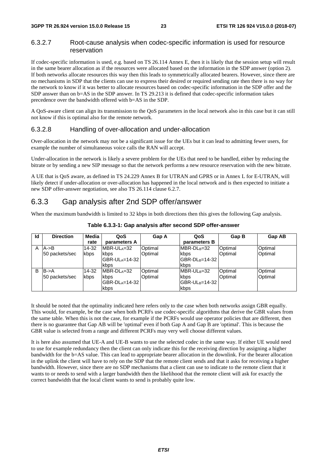### 6.3.2.7 Root-cause analysis when codec-specific information is used for resource reservation

If codec-specific information is used, e.g. based on TS 26.114 Annex E, then it is likely that the session setup will result in the same bearer allocation as if the resources were allocated based on the information in the SDP answer (option 2). If both networks allocate resources this way then this leads to symmetrically allocated bearers. However, since there are no mechanisms in SDP that the clients can use to express their desired or required sending rate then there is no way for the network to know if it was better to allocate resources based on codec-specific information in the SDP offer and the SDP answer than on b=AS in the SDP answer. In TS 29.213 it is defined that codec-specific information takes precedence over the bandwidth offered with b=AS in the SDP.

A QoS-aware client can align its transmission to the QoS parameters in the local network also in this case but it can still not know if this is optimal also for the remote network.

### 6.3.2.8 Handling of over-allocation and under-allocation

Over-allocation in the network may not be a significant issue for the UEs but it can lead to admitting fewer users, for example the number of simultaneous voice calls the RAN will accept.

Under-allocation in the network is likely a severe problem for the UEs that need to be handled, either by reducing the bitrate or by sending a new SIP message so that the network performs a new resource reservation with the new bitrate.

A UE that is QoS aware, as defined in TS 24.229 Annex B for UTRAN and GPRS or in Annex L for E-UTRAN, will likely detect if under-allocation or over-allocation has happened in the local network and is then expected to initiate a new SDP offer-answer negotiation, see also TS 26.114 clause 6.2.7.

# 6.3.3 Gap analysis after 2nd SDP offer/answer

When the maximum bandwidth is limited to 32 kbps in both directions then this gives the following Gap analysis.

| Id | <b>Direction</b>  | Media | QoS           | Gap A          | QoS                         | Gap B   | <b>Gap AB</b> |
|----|-------------------|-------|---------------|----------------|-----------------------------|---------|---------------|
|    |                   | rate  | parameters A  |                | parameters B                |         |               |
|    | $A \rightarrow B$ | 14-32 | MBR-ULA=32    | <b>Optimal</b> | MBR-DL <sub>B</sub> =32     | Optimal | Optimal       |
|    | 150 packets/sec   | kbps  | kbps          | <b>Optimal</b> | kbps                        | Optimal | Optimal       |
|    |                   |       | GBR-ULA=14-32 |                | IGBR-DL <sub>B</sub> =14-32 |         |               |
|    |                   |       | kbps          |                | kbps                        |         |               |
| B  | $B - > A$         | 14-32 | $MBR-DLA=32$  | Optimal        | MBR-UL <sub>B</sub> =32     | Optimal | Optimal       |
|    | 50 packets/sec    | kbps  | kbps          | <b>Optimal</b> | kbps                        | Optimal | Optimal       |
|    |                   |       | GBR-DLA=14-32 |                | IGBR-UL <sub>B</sub> =14-32 |         |               |
|    |                   |       | kbps          |                | kbps                        |         |               |

#### **Table 6.3.3-1: Gap analysis after second SDP offer-answer**

It should be noted that the optimality indicated here refers only to the case when both networks assign GBR equally. This would, for example, be the case when both PCRFs use codec-specific algorithms that derive the GBR values from the same table. When this is not the case, for example if the PCRFs would use operator policies that are different, then there is no guarantee that Gap AB will be 'optimal' even if both Gap A and Gap B are 'optimal'. This is because the GBR value is selected from a range and different PCRFs may very well choose different values.

It is here also assumed that UE-A and UE-B wants to use the selected codec in the same way. If either UE would need to use for example redundancy then the client can only indicate this for the receiving direction by assigning a higher bandwidth for the b=AS value. This can lead to appropriate bearer allocation in the downlink. For the bearer allocation in the uplink the client will have to rely on the SDP that the remote client sends and that it asks for receiving a higher bandwidth. However, since there are no SDP mechanisms that a client can use to indicate to the remote client that it wants to or needs to send with a larger bandwidth then the likelihood that the remote client will ask for exactly the correct bandwidth that the local client wants to send is probably quite low.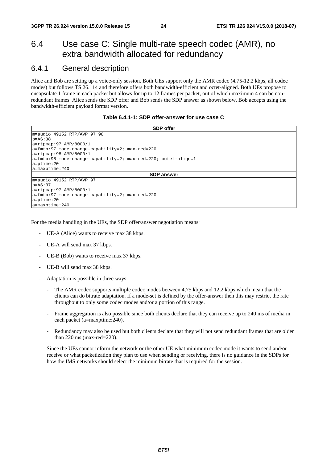# 6.4 Use case C: Single multi-rate speech codec (AMR), no extra bandwidth allocated for redundancy

### 6.4.1 General description

Alice and Bob are setting up a voice-only session. Both UEs support only the AMR codec (4.75-12.2 kbps, all codec modes) but follows TS 26.114 and therefore offers both bandwidth-efficient and octet-aligned. Both UEs propose to encapsulate 1 frame in each packet but allows for up to 12 frames per packet, out of which maximum 4 can be nonredundant frames. Alice sends the SDP offer and Bob sends the SDP answer as shown below. Bob accepts using the bandwidth-efficient payload format version.

#### **Table 6.4.1-1: SDP offer-answer for use case C**

| <b>SDP</b> offer                                                                                   |
|----------------------------------------------------------------------------------------------------|
| m=audio 49152 RTP/AVP 97 98                                                                        |
| $b = AS:38$                                                                                        |
| $a = r$ tpmap: 97 AMR/8000/1                                                                       |
| a=fmtp:97 mode-change-capability=2; max-red=220                                                    |
| a=rtpmap:98 AMR/8000/1                                                                             |
| $a = f$ mtp:98 mode-change-capability=2; max-red=220; octet-align=1                                |
| $a = p$ time: 20                                                                                   |
| $a = maxptime: 240$                                                                                |
| <b>SDP</b> answer                                                                                  |
| m=audio 49152 RTP/AVP 97                                                                           |
| $b = AS: 37$                                                                                       |
| $a = r$ tpmap: 97 AMR/8000/1                                                                       |
| $a = \frac{\text{fmtp:97} \text{ mode} - \text{change} - \text{capability}=2; \text{max-red}=220}$ |
| $a = p$ time: 20                                                                                   |
| $a = maxptime: 240$                                                                                |

For the media handling in the UEs, the SDP offer/answer negotiation means:

- UE-A (Alice) wants to receive max 38 kbps.
- UE-A will send max 37 kbps.
- UE-B (Bob) wants to receive max 37 kbps.
- UE-B will send max 38 kbps.
- Adaptation is possible in three ways:
	- The AMR codec supports multiple codec modes between 4,75 kbps and 12,2 kbps which mean that the clients can do bitrate adaptation. If a mode-set is defined by the offer-answer then this may restrict the rate throughout to only some codec modes and/or a portion of this range.
	- Frame aggregation is also possible since both clients declare that they can receive up to 240 ms of media in each packet (a=maxptime:240).
	- Redundancy may also be used but both clients declare that they will not send redundant frames that are older than 220 ms (max-red=220).
- Since the UEs cannot inform the network or the other UE what minimum codec mode it wants to send and/or receive or what packetization they plan to use when sending or receiving, there is no guidance in the SDPs for how the IMS networks should select the minimum bitrate that is required for the session.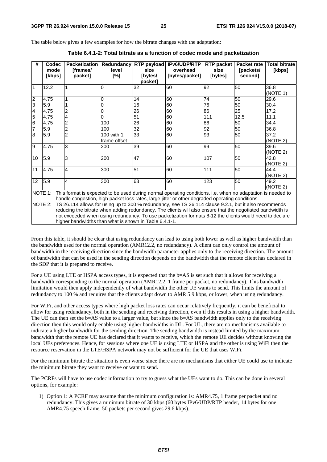The table below gives a few examples for how the bitrate changes with the adaptation:

| #               | Codec                                                                                                      | <b>Packetization</b> | Redundancy   | <b>RTP</b> payload | IPv6/UDP/RTP                                                                                                | <b>RTP</b> packet | <b>Packet rate</b> | <b>Total bitrate</b> |  |
|-----------------|------------------------------------------------------------------------------------------------------------|----------------------|--------------|--------------------|-------------------------------------------------------------------------------------------------------------|-------------------|--------------------|----------------------|--|
|                 | mode                                                                                                       | [frames/             | level        | size               | overhead                                                                                                    | size              | [packets/          | [kbps]               |  |
|                 | [kbps]                                                                                                     | packet]              | [%]          | [bytes/            | [bytes/packet]                                                                                              | [bytes]           | second]            |                      |  |
|                 |                                                                                                            |                      |              | packet]            |                                                                                                             |                   |                    |                      |  |
| $\mathbf{1}$    | 12.2                                                                                                       |                      | 0            | 32                 | 60                                                                                                          | 92                | 50                 | 36.8                 |  |
|                 |                                                                                                            |                      |              |                    |                                                                                                             |                   |                    | (NOTE 1)             |  |
| $\overline{2}$  | 4.75                                                                                                       |                      | 0            | 14                 | 60                                                                                                          | 74                | 50                 | 29.6                 |  |
| 3               | 5.9                                                                                                        |                      | 0            | 16                 | 60                                                                                                          | 76                | 50                 | 30.4                 |  |
| $\overline{4}$  | 4.75                                                                                                       | $\overline{c}$       | 0            | 26                 | 60                                                                                                          | 86                | 25                 | 17.2                 |  |
| $\overline{5}$  | 4.75                                                                                                       | 4                    | 0            | 51                 | 60                                                                                                          | 111               | 12.5               | 11.1                 |  |
| $6\overline{6}$ | 4.75                                                                                                       | $\overline{2}$       | 100          | 26                 | 60                                                                                                          | 86                | 50                 | 34.4                 |  |
| $\overline{7}$  | 5.9                                                                                                        | $\overline{2}$       | 100          | $\overline{32}$    | 60                                                                                                          | 92                | 50                 | 36.8                 |  |
| 8               | 5.9                                                                                                        | $\overline{2}$       | 100 with 1   | 33                 | 60                                                                                                          | 93                | 50                 | 37.2                 |  |
|                 |                                                                                                            |                      | frame offset |                    |                                                                                                             |                   |                    | (NOTE 2)             |  |
| 9               | 4.75                                                                                                       | 3                    | 200          | 39                 | 60                                                                                                          | 99                | 50                 | 39.6                 |  |
|                 |                                                                                                            |                      |              |                    |                                                                                                             |                   |                    | (NOTE 2)             |  |
| 10              | 5.9                                                                                                        | 3                    | 200          | 47                 | 60                                                                                                          | 107               | 50                 | 42.8                 |  |
|                 |                                                                                                            |                      |              |                    |                                                                                                             |                   |                    | (NOTE 2)             |  |
| 11              | 4.75                                                                                                       | 4                    | 300          | 51                 | 60                                                                                                          | 111               | 50                 | 44.4                 |  |
|                 |                                                                                                            |                      |              |                    |                                                                                                             |                   |                    | (NOTE 2)             |  |
| 12              | 5.9                                                                                                        | 4                    | 300          | 63                 | 60                                                                                                          | 123               | 50                 | 49.2                 |  |
|                 |                                                                                                            |                      |              |                    |                                                                                                             |                   |                    | (NOTE 2)             |  |
| NOTE 1:         |                                                                                                            |                      |              |                    | This format is expected to be used during normal operating conditions, i.e. when no adaptation is needed to |                   |                    |                      |  |
|                 | handle congestion, high packet loss rates, large jitter or other degraded operating conditions.            |                      |              |                    |                                                                                                             |                   |                    |                      |  |
| NOTE 2:         |                                                                                                            |                      |              |                    | TS 26.114 allows for using up to 300 % redundancy, see TS 26.114 clause 9.2.1, but it also recommends       |                   |                    |                      |  |
|                 | reducing the bitrate when adding redundancy. The clients will also ensure that the negotiated bandwidth is |                      |              |                    |                                                                                                             |                   |                    |                      |  |
|                 |                                                                                                            |                      |              |                    | not exceeded when using redundancy. To use packetization formats 8-12 the clients would need to declare     |                   |                    |                      |  |
|                 | higher bandwidths than what is shown in Table 6.4.1-1.                                                     |                      |              |                    |                                                                                                             |                   |                    |                      |  |

**Table 6.4.1-2: Total bitrate as a function of codec mode and packetization** 

From this table, it should be clear that using redundancy can lead to using both lower as well as higher bandwidth than the bandwidth used for the normal operation (AMR12.2, no redundancy). A client can only control the amount of bandwidth in the receiving direction since the bandwidth parameter applies only to the receiving direction. The amount of bandwidth that can be used in the sending direction depends on the bandwidth that the remote client has declared in the SDP that it is prepared to receive.

For a UE using LTE or HSPA access types, it is expected that the b=AS is set such that it allows for receiving a bandwidth corresponding to the normal operation (AMR12.2, 1 frame per packet, no redundancy). This bandwidth limitation would then apply independently of what bandwidth the other UE wants to send. This limits the amount of redundancy to 100 % and requires that the clients adapt down to AMR 5.9 kbps, or lower, when using redundancy.

For WiFi, and other access types where high packet loss rates can occur relatively frequently, it can be beneficial to allow for using redundancy, both in the sending and receiving direction, even if this results in using a higher bandwidth. The UE can then set the b=AS value to a larger value, but since the b=AS bandwidth applies only to the receiving direction then this would only enable using higher bandwidths in DL. For UL, there are no mechanisms available to indicate a higher bandwidth for the sending direction. The sending bandwidth is instead limited by the maximum bandwidth that the remote UE has declared that it wants to receive, which the remote UE decides without knowing the local UEs preferences. Hence, for sessions where one UE is using LTE or HSPA and the other is using WiFi then the resource reservation in the LTE/HSPA network may not be sufficient for the UE that uses WiFi.

For the minimum bitrate the situation is even worse since there are no mechanisms that either UE could use to indicate the minimum bitrate they want to receive or want to send.

The PCRFs will have to use codec information to try to guess what the UEs want to do. This can be done in several options, for example:

1) Option 1: A PCRF may assume that the minimum configuration is: AMR4.75, 1 frame per packet and no redundancy. This gives a minimum bitrate of 30 kbps (60 bytes IPv6/UDP/RTP header, 14 bytes for one AMR4.75 speech frame, 50 packets per second gives 29.6 kbps).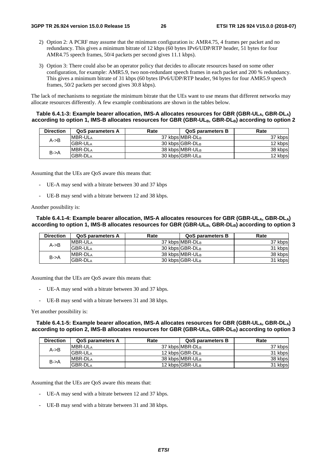- 2) Option 2: A PCRF may assume that the minimum configuration is: AMR4.75, 4 frames per packet and no redundancy. This gives a minimum bitrate of 12 kbps (60 bytes IPv6/UDP/RTP header, 51 bytes for four AMR4.75 speech frames, 50/4 packets per second gives 11.1 kbps).
- 3) Option 3: There could also be an operator policy that decides to allocate resources based on some other configuration, for example: AMR5.9, two non-redundant speech frames in each packet and 200 % redundancy. This gives a minimum bitrate of 31 kbps (60 bytes IPv6/UDP/RTP header, 94 bytes for four AMR5.9 speech frames, 50/2 packets per second gives 30.8 kbps).

The lack of mechanisms to negotiate the minimum bitrate that the UEs want to use means that different networks may allocate resources differently. A few example combinations are shown in the tables below.

#### **Table 6.4.1-3: Example bearer allocation, IMS-A allocates resources for GBR (GBR-ULA, GBR-DLA)**  according to option 1, IMS-B allocates resources for GBR (GBR-UL<sub>B</sub>, GBR-DL<sub>B</sub>) according to option 2

| <b>Direction</b>  | <b>QoS parameters A</b> | Rate | <b>QoS parameters B</b>     | Rate    |
|-------------------|-------------------------|------|-----------------------------|---------|
| $A \rightarrow B$ | MBR-ULA                 |      | 37 kbps MBR-DLB             | 37 kbps |
|                   | <b>GBR-ULA</b>          |      | 30 kbps GBR-DLB             | 12 kbps |
| $B - > A$         | MBR-DLA                 |      | 38 kbps MBR-ULB             | 38 kbps |
|                   | <b>GBR-DLA</b>          |      | 30 kbps GBR-UL <sub>B</sub> | 12 kbps |

Assuming that the UEs are QoS aware this means that:

- UE-A may send with a bitrate between 30 and 37 kbps
- UE-B may send with a bitrate between 12 and 38 kbps.

Another possibility is:

#### Table 6.4.1-4: Example bearer allocation, IMS-A allocates resources for GBR (GBR-UL<sub>A</sub>, GBR-DL<sub>A</sub>) according to option 1, IMS-B allocates resources for GBR (GBR-UL<sub>B</sub>, GBR-DL<sub>B</sub>) according to option 3

| <b>Direction</b> | <b>QoS parameters A</b> | Rate | <b>QoS parameters B</b> | Rate    |
|------------------|-------------------------|------|-------------------------|---------|
| A->B             | <b>MBR-ULA</b>          |      | 37 kbps MBR-DLB         | 37 kbps |
|                  | <b>GBR-ULA</b>          |      | 30 kbps GBR-DLB         | 31 kbps |
| $B - > A$        | <b>MBR-DLA</b>          |      | 38 kbps MBR-ULB         | 38 kbps |
|                  | <b>GBR-DLA</b>          |      | 30 kbps GBR-ULB         | 31 kbps |

Assuming that the UEs are QoS aware this means that:

- UE-A may send with a bitrate between 30 and 37 kbps.
- UE-B may send with a bitrate between 31 and 38 kbps.

Yet another possibility is:

Table 6.4.1-5: Example bearer allocation, IMS-A allocates resources for GBR (GBR-UL<sub>A</sub>, GBR-DL<sub>A</sub>) according to option 2, IMS-B allocates resources for GBR (GBR-UL<sub>B</sub>, GBR-DL<sub>B</sub>) according to option 3

| <b>Direction</b>  | <b>QoS parameters A</b> | Rate | <b>QoS parameters B</b> | Rate    |
|-------------------|-------------------------|------|-------------------------|---------|
| $A \rightarrow B$ | <b>MBR-ULA</b>          |      | 37 kbpsIMBR-DLB         | 37 kbps |
|                   | <b>GBR-ULA</b>          |      | 12 kbps GBR-DLB         | 31 kbps |
| $B - > A$         | <b>IMBR-DLA</b>         |      | 38 kbps MBR-ULB         | 38 kbps |
|                   | <b>GBR-DLA</b>          |      | 12 kbps GBR-ULB         | 31 kbps |

Assuming that the UEs are QoS aware this means that:

- UE-A may send with a bitrate between 12 and 37 kbps.
- UE-B may send with a bitrate between 31 and 38 kbps.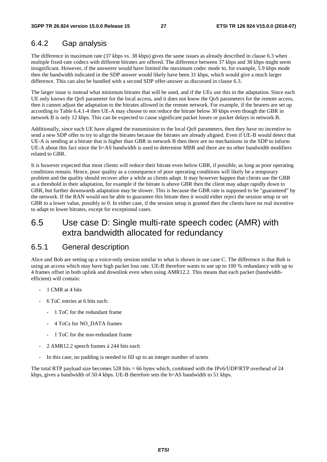# 6.4.2 Gap analysis

The difference in maximum rate (37 kbps vs. 38 kbps) gives the same issues as already described in clause 6.3 when multiple fixed-rate codecs with different bitrates are offered. The difference between 37 kbps and 38 kbps might seem insignificant. However, if the answerer would have limited the maximum codec mode to, for example, 5.9 kbps mode then the bandwidth indicated in the SDP answer would likely have been 31 kbps, which would give a much larger difference. This can also be handled with a second SDP offer-answer as discussed in clause 6.3.

The larger issue is instead what minimum bitrates that will be used, and if the UEs use this in the adaptation. Since each UE only knows the QoS parameter for the local access, and it does not know the QoS parameters for the remote access, then it cannot adjust the adaptation to the bitrates allowed in the remote network. For example, if the bearers are set up according to Table 6.4.1-4 then UE-A may choose to not reduce the bitrate below 30 kbps even though the GBR in network B is only 12 kbps. This can be expected to cause significant packet losses or packet delays in network B.

Additionally, since each UE have aligned the transmission to the local QoS parameters, then they have no incentive to send a new SDP offer to try to align the bitrates because the bitrates are already aligned. Even if UE-B would detect that UE-A is sending at a bitrate that is higher than GBR in network B then there are no mechanisms in the SDP to inform UE-A about this fact since the b=AS bandwidth is used to determine MBR and there are no other bandwidth modifiers related to GBR.

It is however expected that most clients will reduce their bitrate even below GBR, if possible, as long as poor operating conditions remain. Hence, poor quality as a consequence of poor operating conditions will likely be a temporary problem and the quality should recover after a while as clients adapt. It may however happen that clients use the GBR as a threshold in their adaptation, for example if the bitrate is above GBR then the client may adapt rapidly down to GBR, but further downwards adaptation may be slower. This is because the GBR rate is supposed to be "guaranteed" by the network. If the RAN would not be able to guarantee this bitrate then it would either reject the session setup or set GBR to a lower value, possibly to 0. In either case, if the session setup is granted then the clients have no real incentive to adapt to lower bitrates, except for exceptional cases.

# 6.5 Use case D: Single multi-rate speech codec (AMR) with extra bandwidth allocated for redundancy

### 6.5.1 General description

Alice and Bob are setting up a voice-only session similar to what is shown in use case C. The difference is that Bob is using an access which may have high packet loss rate. UE-B therefore wants to use up to 100 % redundancy with up to 4 frames offset in both uplink and downlink even when using AMR12.2. This means that each packet (bandwidthefficient) will contain:

- 1 CMR at 4 bits
- 6 ToC entries at 6 bits each:
	- 1 ToC for the redundant frame
	- 4 ToCs for NO\_DATA frames
	- 1 ToC for the non-redundant frame
- 2 AMR12.2 speech frames á 244 bits each
- In this case, no padding is needed to fill up to an integer number of octets

The total RTP payload size becomes 528 bits = 66 bytes which, combined with the IPv6/UDP/RTP overhead of 24 kbps, gives a bandwidth of 50.4 kbps. UE-B therefore sets the b=AS bandwidth to 51 kbps.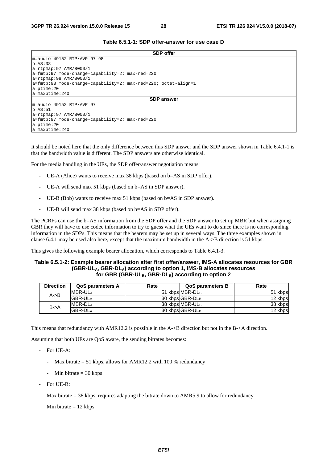#### **Table 6.5.1-1: SDP offer-answer for use case D**

| <b>SDP</b> offer                                                  |
|-------------------------------------------------------------------|
| m=audio 49152 RTP/AVP 97 98                                       |
| $b = AS:38$                                                       |
| a=rtpmap:97 AMR/8000/1                                            |
| $a = f m t p: 97$ mode-change-capability=2; $max - red = 220$     |
| $a = r$ tpmap: 98 AMR/8000/1                                      |
| $ a=fmtp:98$ mode-change-capability=2; max-red=220; octet-align=1 |
| $a = p$ time: 20                                                  |
| $a = maxptime: 240$                                               |
| <b>SDP</b> answer                                                 |
| m=audio 49152 RTP/AVP 97                                          |
| $b = AS: 51$                                                      |
| $a = r$ tpmap: 97 AMR/8000/1                                      |
| a=fmtp:97 mode-change-capability=2; max-red=220                   |
| $a = p$ time: 20                                                  |
| $\lambda$ =maxptime: 240                                          |

It should be noted here that the only difference between this SDP answer and the SDP answer shown in Table 6.4.1-1 is that the bandwidth value is different. The SDP answers are otherwise identical.

For the media handling in the UEs, the SDP offer/answer negotiation means:

- UE-A (Alice) wants to receive max 38 kbps (based on b=AS in SDP offer).
- UE-A will send max 51 kbps (based on b=AS in SDP answer).
- UE-B (Bob) wants to receive max 51 kbps (based on b=AS in SDP answer).
- UE-B will send max 38 kbps (based on b=AS in SDP offer).

The PCRFs can use the b=AS information from the SDP offer and the SDP answer to set up MBR but when assigning GBR they will have to use codec information to try to guess what the UEs want to do since there is no corresponding information in the SDPs. This means that the bearers may be set up in several ways. The three examples shown in clause 6.4.1 may be used also here, except that the maximum bandwidth in the A->B direction is 51 kbps.

This gives the following example bearer allocation, which corresponds to Table 6.4.1-3.

#### **Table 6.5.1-2: Example bearer allocation after first offer/answer, IMS-A allocates resources for GBR (GBR-ULA, GBR-DLA) according to option 1, IMS-B allocates resources**  for GBR (GBR-UL<sub>B</sub>, GBR-DL<sub>B</sub>) according to option 2

| <b>Direction</b>  | <b>QoS parameters A</b> | Rate | <b>QoS parameters B</b> | Rate    |
|-------------------|-------------------------|------|-------------------------|---------|
| $A \rightarrow B$ | <b>MBR-ULA</b>          |      | 51 kbpsIMBR-DLB         | 51 kbps |
|                   | <b>GBR-ULA</b>          |      | 30 kbps GBR-DLB         | 12 kbps |
| $B - > A$         | <b>IMBR-DLA</b>         |      | 38 kbps MBR-ULB         | 38 kbps |
|                   | <b>GBR-DLA</b>          |      | 30 kbps GBR-ULB         | 12 kbps |

This means that redundancy with AMR12.2 is possible in the A->B direction but not in the B->A direction.

Assuming that both UEs are QoS aware, the sending bitrates becomes:

- For UE-A:
	- Max bitrate = 51 kbps, allows for AMR12.2 with 100 % redundancy
	- Min bitrate  $=$  30 kbps
- For UE-B:

Max bitrate  $= 38$  kbps, requires adapting the bitrate down to AMR5.9 to allow for redundancy

Min bitrate  $= 12$  kbps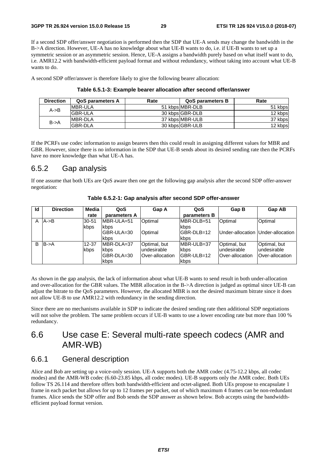If a second SDP offer/answer negotiation is performed then the SDP that UE-A sends may change the bandwidth in the B->A direction. However, UE-A has no knowledge about what UE-B wants to do, i.e. if UE-B wants to set up a symmetric session or an asymmetric session. Hence, UE-A assigns a bandwidth purely based on what itself want to do, i.e. AMR12.2 with bandwidth-efficient payload format and without redundancy, without taking into account what UE-B wants to do.

A second SDP offer/answer is therefore likely to give the following bearer allocation:

| <b>Direction</b>  | <b>QoS parameters A</b> | Rate | QoS parameters B | Rate    |
|-------------------|-------------------------|------|------------------|---------|
| $A \rightarrow B$ | IMBR-ULA                |      | 51 kbpsIMBR-DLB  | 51 kbps |
|                   | <b>GBR-ULA</b>          |      | 30 kbps GBR-DLB  | 12 kbps |
| $B - > A$         | <b>MBR-DLA</b>          |      | 37 kbps MBR-ULB  | 37 kbps |
|                   | lGBR-DLA                |      | 30 kbps GBR-ULB  | 12 kbps |

**Table 6.5.1-3: Example bearer allocation after second offer/answer** 

If the PCRFs use codec information to assign bearers then this could result in assigning different values for MBR and GBR. However, since there is no information in the SDP that UE-B sends about its desired sending rate then the PCRFs have no more knowledge than what UE-A has.

### 6.5.2 Gap analysis

If one assume that both UEs are QoS aware then one get the following gap analysis after the second SDP offer-answer negotiation:

| Id | <b>Direction</b>  | Media | QoS          | Gap A           | QoS          | Gap B                             | <b>Gap AB</b>   |
|----|-------------------|-------|--------------|-----------------|--------------|-----------------------------------|-----------------|
|    |                   | rate  | parameters A |                 | parameters B |                                   |                 |
|    | $A \rightarrow B$ | 30-51 | MBR-ULA=51   | Optimal         | MBR-DLB=51   | Optimal                           | Optimal         |
|    |                   | kbps  | kbps         |                 | kbps         |                                   |                 |
|    |                   |       | GBR-ULA=30   | Optimal         | IGBR-DLB=12  | Under-allocation Under-allocation |                 |
|    |                   |       | kbps         |                 | kbps         |                                   |                 |
| B  | $B - > A$         | 12-37 | MBR-DLA=37   | Optimal, but    | MBR-ULB=37   | Optimal, but                      | Optimal, but    |
|    |                   | kbps  | kbps         | lundesirable    | kbps         | lundesirable                      | lundesirable    |
|    |                   |       | GBR-DLA=30   | Over-allocation | IGBR-ULB=12  | Over-allocation                   | Over-allocation |
|    |                   |       | kbps         |                 | kbps         |                                   |                 |

**Table 6.5.2-1: Gap analysis after second SDP offer-answer** 

As shown in the gap analysis, the lack of information about what UE-B wants to send result in both under-allocation and over-allocation for the GBR values. The MBR allocation in the B->A direction is judged as optimal since UE-B can adjust the bitrate to the QoS parameters. However, the allocated MBR is not the desired maximum bitrate since it does not allow UE-B to use AMR12.2 with redundancy in the sending direction.

Since there are no mechanisms available in SDP to indicate the desired sending rate then additional SDP negotiations will not solve the problem. The same problem occurs if UE-B wants to use a lower encoding rate but more than 100 % redundancy.

# 6.6 Use case E: Several multi-rate speech codecs (AMR and AMR-WB)

### 6.6.1 General description

Alice and Bob are setting up a voice-only session. UE-A supports both the AMR codec (4.75-12.2 kbps, all codec modes) and the AMR-WB codec (6.60-23.85 kbps, all codec modes). UE-B supports only the AMR codec. Both UEs follow TS 26.114 and therefore offers both bandwidth-efficient and octet-aligned. Both UEs propose to encapsulate 1 frame in each packet but allows for up to 12 frames per packet, out of which maximum 4 frames can be non-redundant frames. Alice sends the SDP offer and Bob sends the SDP answer as shown below. Bob accepts using the bandwidthefficient payload format version.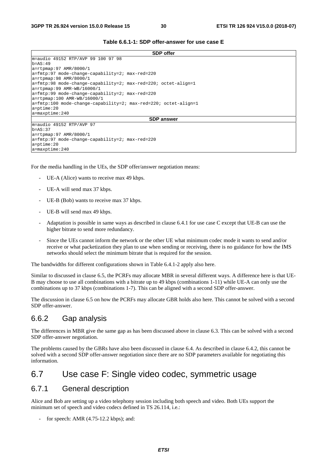|                                                                         | <b>SDP</b> offer  |
|-------------------------------------------------------------------------|-------------------|
| m=audio 49152 RTP/AVP 99 100 97 98                                      |                   |
| $b = AS: 49$                                                            |                   |
| $a = r$ tpmap: 97 AMR/8000/1                                            |                   |
| a=fmtp:97 mode-change-capability=2; max-red=220                         |                   |
| $a = r$ tpmap: 98 AMR/8000/1                                            |                   |
| $a = f$ mtp:98 mode-change-capability=2; max-red=220; octet-align=1     |                   |
| $a = r$ tpmap: 99 AMR-WB/16000/1                                        |                   |
| a=fmtp:99 mode-change-capability=2; max-red=220                         |                   |
| $a = r$ tpmap:100 AMR-WB/16000/1                                        |                   |
| $a = f m t p: 100$ mode-change-capability=2; max-red=220; octet-align=1 |                   |
| $a = p$ time: 20                                                        |                   |
| $a = maxptime: 240$                                                     |                   |
|                                                                         | <b>SDP</b> answer |
| lm=audio 49152 RTP/AVP 97                                               |                   |
| $b = AS: 37$                                                            |                   |
| $a = r$ tpmap: 97 AMR/8000/1                                            |                   |
| a=fmtp:97 mode-change-capability=2; max-red=220                         |                   |
| $a = p$ time: 20                                                        |                   |

For the media handling in the UEs, the SDP offer/answer negotiation means:

- UE-A (Alice) wants to receive max 49 kbps.
- UE-A will send max 37 kbps.

a=maxptime:240

- UE-B (Bob) wants to receive max 37 kbps.
- UE-B will send max 49 kbps.
- Adaptation is possible in same ways as described in clause 6.4.1 for use case C except that UE-B can use the higher bitrate to send more redundancy.
- Since the UEs cannot inform the network or the other UE what minimum codec mode it wants to send and/or receive or what packetization they plan to use when sending or receiving, there is no guidance for how the IMS networks should select the minimum bitrate that is required for the session.

The bandwidths for different configurations shown in Table 6.4.1-2 apply also here.

Similar to discussed in clause 6.5, the PCRFs may allocate MBR in several different ways. A difference here is that UE-B may choose to use all combinations with a bitrate up to 49 kbps (combinations 1-11) while UE-A can only use the combinations up to 37 kbps (combinations 1-7). This can be aligned with a second SDP offer-answer.

The discussion in clause 6.5 on how the PCRFs may allocate GBR holds also here. This cannot be solved with a second SDP offer-answer.

### 6.6.2 Gap analysis

The differences in MBR give the same gap as has been discussed above in clause 6.3. This can be solved with a second SDP offer-answer negotiation.

The problems caused by the GBRs have also been discussed in clause 6.4. As described in clause 6.4.2, this cannot be solved with a second SDP offer-answer negotiation since there are no SDP parameters available for negotiating this information.

# 6.7 Use case F: Single video codec, symmetric usage

### 6.7.1 General description

Alice and Bob are setting up a video telephony session including both speech and video. Both UEs support the minimum set of speech and video codecs defined in TS 26.114, i.e.:

for speech: AMR  $(4.75-12.2 \text{ kbps})$ ; and: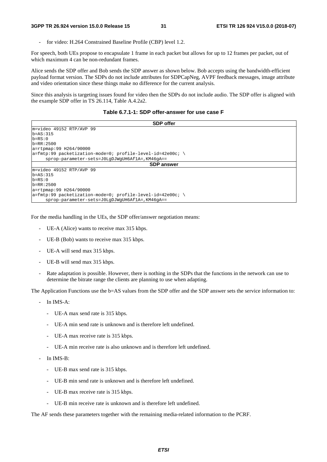for video: H.264 Constrained Baseline Profile (CBP) level 1.2.

For speech, both UEs propose to encapsulate 1 frame in each packet but allows for up to 12 frames per packet, out of which maximum 4 can be non-redundant frames.

Alice sends the SDP offer and Bob sends the SDP answer as shown below. Bob accepts using the bandwidth-efficient payload format version. The SDPs do not include attributes for SDPCapNeg, AVPF feedback messages, image attribute and video orientation since these things make no difference for the current analysis.

Since this analysis is targeting issues found for video then the SDPs do not include audio. The SDP offer is aligned with the example SDP offer in TS 26.114, Table A.4.2a2.

**Table 6.7.1-1: SDP offer-answer for use case F** 

| <b>SDP</b> offer                                                |
|-----------------------------------------------------------------|
| m=video 49152 RTP/AVP 99                                        |
| $b = AS: 315$                                                   |
| $b = RS: 0$                                                     |
| $b = RR : 2500$                                                 |
| a=rtpmap:99 H264/90000                                          |
| $ a=fmtp:99$ packetization-mode=0; profile-level-id=42e00c; \   |
| sprop-parameter-sets=J0LgDJWgUH6Af1A=, KM46qA==                 |
| <b>SDP</b> answer                                               |
| m=video 49152 RTP/AVP 99                                        |
| $b = AS: 315$                                                   |
| $b = RS: 0$                                                     |
| $b = RR : 2500$                                                 |
| a=rtpmap:99 H264/90000                                          |
| $a = f$ mtp:99 packetization-mode=0; profile-level-id=42e00c; \ |
| sprop-parameter-sets=J0LqDJWqUH6Af1A=, KM46qA==                 |

For the media handling in the UEs, the SDP offer/answer negotiation means:

- UE-A (Alice) wants to receive max 315 kbps.
- UE-B (Bob) wants to receive max 315 kbps.
- UE-A will send max 315 kbps.
- UE-B will send max 315 kbps.
- Rate adaptation is possible. However, there is nothing in the SDPs that the functions in the network can use to determine the bitrate range the clients are planning to use when adapting.

The Application Functions use the b=AS values from the SDP offer and the SDP answer sets the service information to:

- In IMS-A:
	- UE-A max send rate is 315 kbps.
	- UE-A min send rate is unknown and is therefore left undefined.
	- UE-A max receive rate is 315 kbps.
	- UE-A min receive rate is also unknown and is therefore left undefined.
- In IMS-B:
	- UE-B max send rate is 315 kbps.
	- UE-B min send rate is unknown and is therefore left undefined.
	- UE-B max receive rate is 315 kbps.
	- UE-B min receive rate is unknown and is therefore left undefined.

The AF sends these parameters together with the remaining media-related information to the PCRF.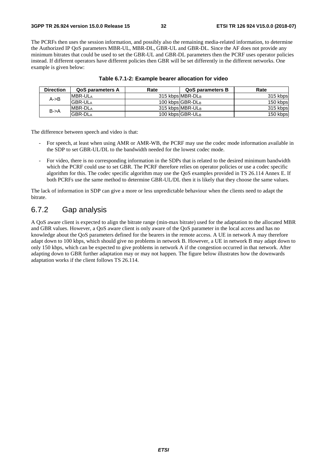The PCRFs then uses the session information, and possibly also the remaining media-related information, to determine the Authorized IP QoS parameters MBR-UL, MBR-DL, GBR-UL and GBR-DL. Since the AF does not provide any minimum bitrates that could be used to set the GBR-UL and GBR-DL parameters then the PCRF uses operator policies instead. If different operators have different policies then GBR will be set differently in the different networks. One example is given below:

| <b>Direction</b>  | <b>QoS parameters A</b> | Rate | <b>QoS parameters B</b> | Rate     |
|-------------------|-------------------------|------|-------------------------|----------|
| $A \rightarrow B$ | <b>MBR-ULA</b>          |      | 315 kbps MBR-DLB        | 315 kbps |
|                   | <b>GBR-ULA</b>          |      | 100 kbps GBR-DLB        | 150 kbps |
| $B - > A$         | <b>IMBR-DLA</b>         |      | 315 kbps MBR-ULB        | 315 kbps |
|                   | <b>GBR-DLA</b>          |      | 100 kbps GBR-ULB        | 150 kbps |

The difference between speech and video is that:

- For speech, at least when using AMR or AMR-WB, the PCRF may use the codec mode information available in the SDP to set GBR-UL/DL to the bandwidth needed for the lowest codec mode.
- For video, there is no corresponding information in the SDPs that is related to the desired minimum bandwidth which the PCRF could use to set GBR. The PCRF therefore relies on operator policies or use a codec specific algorithm for this. The codec specific algorithm may use the QoS examples provided in TS 26.114 Annex E. If both PCRFs use the same method to determine GBR-UL/DL then it is likely that they choose the same values.

The lack of information in SDP can give a more or less unpredictable behaviour when the clients need to adapt the bitrate.

# 6.7.2 Gap analysis

A QoS aware client is expected to align the bitrate range (min-max bitrate) used for the adaptation to the allocated MBR and GBR values. However, a QoS aware client is only aware of the QoS parameter in the local access and has no knowledge about the QoS parameters defined for the bearers in the remote access. A UE in network A may therefore adapt down to 100 kbps, which should give no problems in network B. However, a UE in network B may adapt down to only 150 kbps, which can be expected to give problems in network A if the congestion occurred in that network. After adapting down to GBR further adaptation may or may not happen. The figure below illustrates how the downwards adaptation works if the client follows TS 26.114.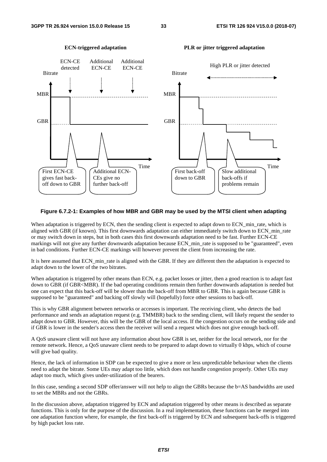

#### **ECN-triggered adaptation PLR or jitter triggered adaptation**

#### **Figure 6.7.2-1: Examples of how MBR and GBR may be used by the MTSI client when adapting**

When adaptation is triggered by ECN, then the sending client is expected to adapt down to ECN\_min\_rate, which is aligned with GBR (if known). This first downwards adaptation can either immediately switch down to ECN\_min\_rate or may switch down in steps, but in both cases this first downwards adaptation need to be fast. Further ECN-CE markings will not give any further downwards adaptation because ECN min rate is supposed to be "guaranteed", even in bad conditions. Further ECN-CE markings will however prevent the client from increasing the rate.

It is here assumed that ECN\_min\_rate is aligned with the GBR. If they are different then the adaptation is expected to adapt down to the lower of the two bitrates.

When adaptation is triggered by other means than ECN, e.g. packet losses or jitter, then a good reaction is to adapt fast down to GBR (if GBR<MBR). If the bad operating conditions remain then further downwards adaptation is needed but one can expect that this back-off will be slower than the back-off from MBR to GBR. This is again because GBR is supposed to be "guaranteed" and backing off slowly will (hopefully) force other sessions to back-off.

This is why GBR alignment between networks or accesses is important. The receiving client, who detects the bad performance and sends an adaptation request (e.g. TMMBR) back to the sending client, will likely request the sender to adapt down to GBR. However, this will be the GBR of the local access. If the congestion occurs on the sending side and if GBR is lower in the sender's access then the receiver will send a request which does not give enough back-off.

A QoS unaware client will not have any information about how GBR is set, neither for the local network, nor for the remote network. Hence, a QoS unaware client needs to be prepared to adapt down to virtually 0 kbps, which of course will give bad quality.

Hence, the lack of information in SDP can be expected to give a more or less unpredictable behaviour when the clients need to adapt the bitrate. Some UEs may adapt too little, which does not handle congestion properly. Other UEs may adapt too much, which gives under-utilization of the bearers.

In this case, sending a second SDP offer/answer will not help to align the GBRs because the b=AS bandwidths are used to set the MBRs and not the GBRs.

In the discussion above, adaptation triggered by ECN and adaptation triggered by other means is described as separate functions. This is only for the purpose of the discussion. In a real implementation, these functions can be merged into one adaptation function where, for example, the first back-off is triggered by ECN and subsequent back-offs is triggered by high packet loss rate.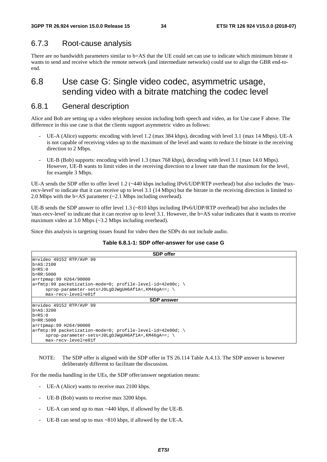### 6.7.3 Root-cause analysis

There are no bandwidth parameters similar to b=AS that the UE could set can use to indicate which minimum bitrate it wants to send and receive which the remote network (and intermediate networks) could use to align the GBR end-toend.

# 6.8 Use case G: Single video codec, asymmetric usage, sending video with a bitrate matching the codec level

### 6.8.1 General description

Alice and Bob are setting up a video telephony session including both speech and video, as for Use case F above. The difference in this use case is that the clients support asymmetric video as follows:

- UE-A (Alice) supports: encoding with level 1.2 (max 384 kbps), decoding with level 3.1 (max 14 Mbps). UE-A is not capable of receiving video up to the maximum of the level and wants to reduce the bitrate in the receiving direction to 2 Mbps.
- UE-B (Bob) supports: encoding with level 1.3 (max 768 kbps), decoding with level 3.1 (max 14.0 Mbps). However, UE-B wants to limit video in the receiving direction to a lower rate than the maximum for the level, for example 3 Mbps.

UE-A sends the SDP offer to offer level 1.2 (~440 kbps including IPv6/UDP/RTP overhead) but also includes the 'maxrecv-level' to indicate that it can receive up to level 3.1 (14 Mbps) but the bitrate in the receiving direction is limited to 2.0 Mbps with the b=AS parameter (~2.1 Mbps including overhead).

UE-B sends the SDP answer to offer level 1.3 (~810 kbps including IPv6/UDP/RTP overhead) but also includes the 'max-recv-level' to indicate that it can receive up to level 3.1. However, the b=AS value indicates that it wants to receive maximum video at 3.0 Mbps (~3.2 Mbps including overhead).

Since this analysis is targeting issues found for video then the SDPs do not include audio.

#### **Table 6.8.1-1: SDP offer-answer for use case G**

| <b>SDP</b> offer                                              |  |
|---------------------------------------------------------------|--|
| m=video 49152 RTP/AVP 99                                      |  |
| $b = AS: 2100$                                                |  |
| $b=RS:0$                                                      |  |
| $\mathsf{lb} = \mathsf{RR} : 5000$                            |  |
| a=rtpmap:99 H264/90000                                        |  |
| $ a=fmtp:99$ packetization-mode=0; profile-level-id=42e00c; \ |  |
| $sprop-parameter-sets=J0LqDJWqUH6Af1A=$ , KM46qA==; \         |  |
| max-recv-level=e01f                                           |  |
| <b>SDP</b> answer                                             |  |
| m=video 49152 RTP/AVP 99                                      |  |
| $b = AS: 3200$                                                |  |
| $b=RS:0$                                                      |  |
| $b = RR: 5000$                                                |  |
| a=rtpmap:99 H264/90000                                        |  |
| $ a=fmtp:99$ packetization-mode=0; profile-level-id=42e00d; \ |  |
| $sprop-parameter-sets=J0LqDJWqUH6Af1A=$ , KM46qA==;           |  |
| max-recv-level=e01f                                           |  |

#### NOTE: The SDP offer is aligned with the SDP offer in TS 26.114 Table A.4.13. The SDP answer is however deliberately different to facilitate the discussion.

For the media handling in the UEs, the SDP offer/answer negotiation means:

- UE-A (Alice) wants to receive max 2100 kbps.
- UE-B (Bob) wants to receive max 3200 kbps.
- UE-A can send up to max  $\sim$  440 kbps, if allowed by the UE-B.
- UE-B can send up to max  $\sim 810$  kbps, if allowed by the UE-A.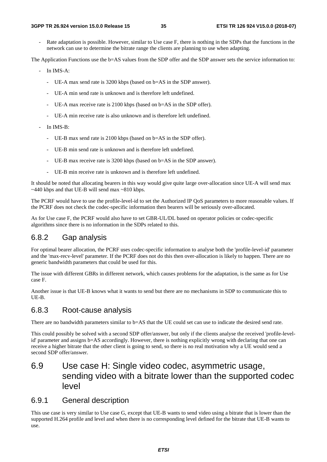Rate adaptation is possible. However, similar to Use case F, there is nothing in the SDPs that the functions in the network can use to determine the bitrate range the clients are planning to use when adapting.

The Application Functions use the b=AS values from the SDP offer and the SDP answer sets the service information to:

- In IMS-A:
	- UE-A max send rate is 3200 kbps (based on b=AS in the SDP answer).
	- UE-A min send rate is unknown and is therefore left undefined.
	- UE-A max receive rate is 2100 kbps (based on b=AS in the SDP offer).
	- UE-A min receive rate is also unknown and is therefore left undefined.
- In IMS-B:
	- UE-B max send rate is 2100 kbps (based on b=AS in the SDP offer).
	- UE-B min send rate is unknown and is therefore left undefined.
	- UE-B max receive rate is 3200 kbps (based on b=AS in the SDP answer).
	- UE-B min receive rate is unknown and is therefore left undefined.

It should be noted that allocating bearers in this way would give quite large over-allocation since UE-A will send max  $\sim$ 440 kbps and that UE-B will send max  $\sim$ 810 kbps.

The PCRF would have to use the profile-level-id to set the Authorized IP QoS parameters to more reasonable values. If the PCRF does not check the codec-specific information then bearers will be seriously over-allocated.

As for Use case F, the PCRF would also have to set GBR-UL/DL based on operator policies or codec-specific algorithms since there is no information in the SDPs related to this.

### 6.8.2 Gap analysis

For optimal bearer allocation, the PCRF uses codec-specific information to analyse both the 'profile-level-id' parameter and the 'max-recv-level' parameter. If the PCRF does not do this then over-allocation is likely to happen. There are no generic bandwidth parameters that could be used for this.

The issue with different GBRs in different network, which causes problems for the adaptation, is the same as for Use case F.

Another issue is that UE-B knows what it wants to send but there are no mechanisms in SDP to communicate this to UE-B.

### 6.8.3 Root-cause analysis

There are no bandwidth parameters similar to b=AS that the UE could set can use to indicate the desired send rate.

This could possibly be solved with a second SDP offer/answer, but only if the clients analyse the received 'profile-levelid' parameter and assigns b=AS accordingly. However, there is nothing explicitly wrong with declaring that one can receive a higher bitrate that the other client is going to send, so there is no real motivation why a UE would send a second SDP offer/answer.

# 6.9 Use case H: Single video codec, asymmetric usage, sending video with a bitrate lower than the supported codec level

### 6.9.1 General description

This use case is very similar to Use case G, except that UE-B wants to send video using a bitrate that is lower than the supported H.264 profile and level and when there is no corresponding level defined for the bitrate that UE-B wants to use.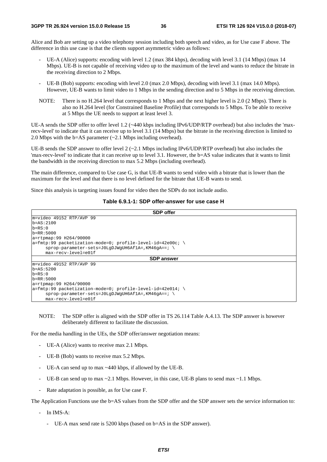Alice and Bob are setting up a video telephony session including both speech and video, as for Use case F above. The difference in this use case is that the clients support asymmetric video as follows:

- UE-A (Alice) supports: encoding with level 1.2 (max 384 kbps), decoding with level 3.1 (14 Mbps) (max 14 Mbps). UE-B is not capable of receiving video up to the maximum of the level and wants to reduce the bitrate in the receiving direction to 2 Mbps.
- UE-B (Bob) supports: encoding with level 2.0 (max 2.0 Mbps), decoding with level 3.1 (max 14.0 Mbps). However, UE-B wants to limit video to 1 Mbps in the sending direction and to 5 Mbps in the receiving direction.
- NOTE: There is no H.264 level that corresponds to 1 Mbps and the next higher level is 2.0 (2 Mbps). There is also no H.264 level (for Constrained Baseline Profile) that corresponds to 5 Mbps. To be able to receive at 5 Mbps the UE needs to support at least level 3.

UE-A sends the SDP offer to offer level 1.2 (~440 kbps including IPv6/UDP/RTP overhead) but also includes the 'maxrecv-level' to indicate that it can receive up to level 3.1 (14 Mbps) but the bitrate in the receiving direction is limited to 2.0 Mbps with the b=AS parameter (~2.1 Mbps including overhead).

UE-B sends the SDP answer to offer level  $2$  ( $\sim$ 2.1 Mbps including IPv6/UDP/RTP overhead) but also includes the 'max-recv-level' to indicate that it can receive up to level 3.1. However, the b=AS value indicates that it wants to limit the bandwidth in the receiving direction to max 5.2 Mbps (including overhead).

The main difference, compared to Use case G, is that UE-B wants to send video with a bitrate that is lower than the maximum for the level and that there is no level defined for the bitrate that UE-B wants to send.

Since this analysis is targeting issues found for video then the SDPs do not include audio.

### **Table 6.9.1-1: SDP offer-answer for use case H**

| <b>SDP</b> offer                                              |  |  |  |  |  |
|---------------------------------------------------------------|--|--|--|--|--|
| m=video 49152 RTP/AVP 99                                      |  |  |  |  |  |
| $\mathsf{lb} = \mathsf{AS} : 2100$                            |  |  |  |  |  |
| $b = RS: 0$                                                   |  |  |  |  |  |
| $b = RR: 5000$                                                |  |  |  |  |  |
| $a = r$ tpmap: 99 H264/90000                                  |  |  |  |  |  |
| $ a=fmtp:99$ packetization-mode=0; profile-level-id=42e00c; \ |  |  |  |  |  |
| $sprop-parameter-sets=J0LqDJWqUH6AflA=$ , KM46qA==; \         |  |  |  |  |  |
| max-recv-level=e01f                                           |  |  |  |  |  |
| <b>SDP</b> answer                                             |  |  |  |  |  |
| $m = video$ 49152 RTP/AVP 99                                  |  |  |  |  |  |
| $\mathsf{lb} = \mathsf{AS} : 5200$                            |  |  |  |  |  |
| $b = RS: 0$                                                   |  |  |  |  |  |
| $b = RR: 5000$                                                |  |  |  |  |  |
| a=rtpmap:99 H264/90000                                        |  |  |  |  |  |
| $ a=fmtp:99$ packetization-mode=0; profile-level-id=42e014; \ |  |  |  |  |  |
| $sprop-parameter -sets=J0LqDJWqUH6AflA=$ , KM46qA==; \        |  |  |  |  |  |
| max-recv-level=e01f                                           |  |  |  |  |  |

NOTE: The SDP offer is aligned with the SDP offer in TS 26.114 Table A.4.13. The SDP answer is however deliberately different to facilitate the discussion.

For the media handling in the UEs, the SDP offer/answer negotiation means:

- UE-A (Alice) wants to receive max 2.1 Mbps.
- UE-B (Bob) wants to receive max 5.2 Mbps.
- UE-A can send up to max  $\sim$  440 kbps, if allowed by the UE-B.
- UE-B can send up to max  $\sim$  2.1 Mbps. However, in this case, UE-B plans to send max  $\sim$  1.1 Mbps.
- Rate adaptation is possible, as for Use case F.

The Application Functions use the b=AS values from the SDP offer and the SDP answer sets the service information to:

- In IMS-A:
	- UE-A max send rate is 5200 kbps (based on b=AS in the SDP answer).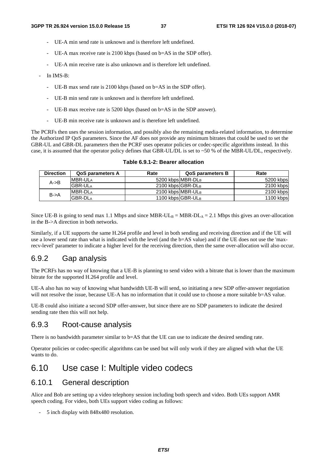- UE-A min send rate is unknown and is therefore left undefined.
- UE-A max receive rate is 2100 kbps (based on b=AS in the SDP offer).
- UE-A min receive rate is also unknown and is therefore left undefined.
- In IMS-B:
	- UE-B max send rate is 2100 kbps (based on b=AS in the SDP offer).
	- UE-B min send rate is unknown and is therefore left undefined.
	- UE-B max receive rate is 5200 kbps (based on b=AS in the SDP answer).
	- UE-B min receive rate is unknown and is therefore left undefined.

The PCRFs then uses the session information, and possibly also the remaining media-related information, to determine the Authorized IP QoS parameters. Since the AF does not provide any minimum bitrates that could be used to set the GBR-UL and GBR-DL parameters then the PCRF uses operator policies or codec-specific algorithms instead. In this case, it is assumed that the operator policy defines that GBR-UL/DL is set to ~50 % of the MBR-UL/DL, respectively.

| <b>Direction</b>  | <b>QoS parameters A</b> | Rate              | <b>QoS parameters B</b> | Rate      |
|-------------------|-------------------------|-------------------|-------------------------|-----------|
| $A \rightarrow B$ | <b>IMBR-ULA</b>         | 5200 kbps MBR-DLB |                         | 5200 kbps |
|                   | <b>GBR-ULA</b>          | 2100 kbps GBR-DLB |                         | 2100 kbps |
| $B \rightarrow A$ | <b>IMBR-DLA</b>         | 2100 kbps MBR-ULB |                         | 2100 kbps |
|                   | <b>GBR-DLA</b>          | 1100 kbps GBR-ULB |                         | 1100 kbps |

### **Table 6.9.1-2: Bearer allocation**

Since UE-B is going to send max 1.1 Mbps and since MBR-UL $_B = MBR-DL_A = 2.1$  Mbps this gives an over-allocation in the B->A direction in both networks.

Similarly, if a UE supports the same H.264 profile and level in both sending and receiving direction and if the UE will use a lower send rate than what is indicated with the level (and the b=AS value) and if the UE does not use the 'maxrecv-level' parameter to indicate a higher level for the receiving direction, then the same over-allocation will also occur.

## 6.9.2 Gap analysis

The PCRFs has no way of knowing that a UE-B is planning to send video with a bitrate that is lower than the maximum bitrate for the supported H.264 profile and level.

UE-A also has no way of knowing what bandwidth UE-B will send, so initiating a new SDP offer-answer negotiation will not resolve the issue, because UE-A has no information that it could use to choose a more suitable b=AS value.

UE-B could also initiate a second SDP offer-answer, but since there are no SDP parameters to indicate the desired sending rate then this will not help.

## 6.9.3 Root-cause analysis

There is no bandwidth parameter similar to b=AS that the UE can use to indicate the desired sending rate.

Operator policies or codec-specific algorithms can be used but will only work if they are aligned with what the UE wants to do.

## 6.10 Use case I: Multiple video codecs

## 6.10.1 General description

Alice and Bob are setting up a video telephony session including both speech and video. Both UEs support AMR speech coding. For video, both UEs support video coding as follows:

- 5 inch display with 848x480 resolution.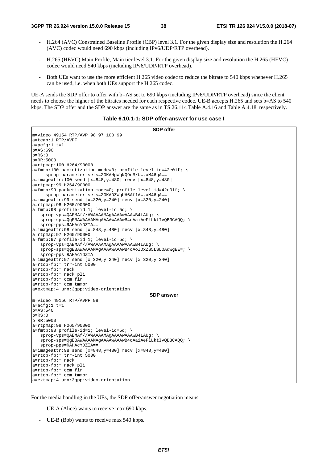- H.264 (AVC) Constrained Baseline Profile (CBP) level 3.1. For the given display size and resolution the H.264 (AVC) codec would need 690 kbps (including IPv6/UDP/RTP overhead).
- H.265 (HEVC) Main Profile, Main tier level 3.1. For the given display size and resolution the H.265 (HEVC) codec would need 540 kbps (including IPv6/UDP/RTP overhead).
- Both UEs want to use the more efficient H.265 video codec to reduce the bitrate to 540 kbps whenever H.265 can be used, i.e. when both UEs support the H.265 codec.

UE-A sends the SDP offer to offer with b=AS set to 690 kbps (including IPv6/UDP/RTP overhead) since the client needs to choose the higher of the bitrates needed for each respective codec. UE-B accepts H.265 and sets b=AS to 540 kbps. The SDP offer and the SDP answer are the same as in TS 26.114 Table A.4.16 and Table A.4.18, respectively.

| Table 6.10.1-1: SDP offer-answer for use case I |  |  |
|-------------------------------------------------|--|--|
|-------------------------------------------------|--|--|

| <b>SDP</b> offer                                                                             |
|----------------------------------------------------------------------------------------------|
| m=video 49154 RTP/AVP 98 97 100 99                                                           |
| a=tcap:1 RTP/AVPF                                                                            |
| $a = pcfq:1 t=1$                                                                             |
| $b = AS:690$                                                                                 |
| $b = RS: 0$                                                                                  |
| $b = RR: 5000$                                                                               |
| a=rtpmap:100 H264/90000                                                                      |
| a=fmtp:100 packetization-mode=0; profile-level-id=42e01f; \                                  |
| sprop-parameter-sets=Z0KAHpWqNO9oB/U=, aM46qA==                                              |
| $a = \text{imageattr}: 100 \text{ send } [x = 848, y = 480] \text{ rev } [x = 848, y = 480]$ |
| a=rtpmap:99 H264/90000                                                                       |
| $a = f$ mtp:99 packetization-mode=0; profile-level-id=42e01f; \                              |
| sprop-parameter-sets=Z0KADZWgUH6Af1A=, aM46gA==                                              |
| $a = \text{imageattr}: 99 \text{ send } [x = 320, y = 240] \text{ rev } [x = 320, y = 240]$  |
| a=rtpmap:98 H265/90000                                                                       |
| $a = f m t p : 98$ profile-id=1; level-id=5d; \                                              |
| sprop-vps=OAEMAf//AWAAAAMAqAAAAWAAAwB4LAUq; \                                                |
| $sprop-sps = QqEBAWAAAAMAqAAAWAAAWB4oAaiAerllktivQB3CAQQ;$                                   |
| $sprop-pps=RAHACYDZIA==$                                                                     |
| $a = \text{imageattr}: 98 \text{ send } [x = 848, y = 480] \text{ rev } [x = 848, y = 480]$  |
| a=rtpmap: 97 H265/90000                                                                      |
| $a = f m t p: 97$ profile-id=1; level-id=5d; \                                               |
| $sprop-vps = QAEMAf //AWAAAAMAGAAAAWAAAWWB4LAUq;$                                            |
| $sprop-sps = QgEBAWAAAAMAqAAAWAAAWB4oAoIDxZS5LSL0AdwgEE =: \ \ \ \ \$                        |
| sprop-pps=RAHAcYDZIA==                                                                       |
| $a = \text{imageattr}: 97 \text{ send } [x=320, y=240] \text{ recv } [x=320, y=240]$         |
| a=rtcp-fb:* trr-int 5000                                                                     |
| a=rtcp-fb:* nack                                                                             |
| a=rtcp-fb:* nack pli                                                                         |
| a=rtcp-fb:* ccm fir                                                                          |
| a=rtcp-fb:* ccm tmmbr                                                                        |
| a=extmap:4 urn:3gpp:video-orientation                                                        |
| <b>SDP</b> answer                                                                            |
| m=video 49156 RTP/AVPF 98                                                                    |
| $a = acfq:1 t=1$                                                                             |
| $b = AS: 540$                                                                                |
| $b = RS: 0$                                                                                  |
| $b = RR: 5000$                                                                               |
| a=rtpmap:98 H265/90000                                                                       |
| $a = f m t p: 98$ profile-id=1; level-id=5d; \                                               |
| sprop-vps=QAEMAf//AWAAAAMAqAAAAWAAAwB4LAUq; \                                                |
| sprop-sps=QgEBAWAAAAMAgAAAAwAAAwB4oAaiAeFlLktIvQB3CAQQ; \                                    |
| sprop-pps=RAHAcYDZIA==                                                                       |
| $a = \text{imageattr}: 98 \text{ send } [x = 848, y = 480] \text{ rev } [x = 848, y = 480]$  |
| a=rtcp-fb:* trr-int 5000                                                                     |
| a=rtcp-fb:* nack                                                                             |
| a=rtcp-fb:* nack pli                                                                         |
| a=rtcp-fb:* ccm fir                                                                          |
| a=rtcp-fb:* ccm tmmbr<br>a=extmap:4 urn:3gpp:video-orientation                               |
|                                                                                              |

For the media handling in the UEs, the SDP offer/answer negotiation means:

- UE-A (Alice) wants to receive max 690 kbps.
- UE-B (Bob) wants to receive max 540 kbps.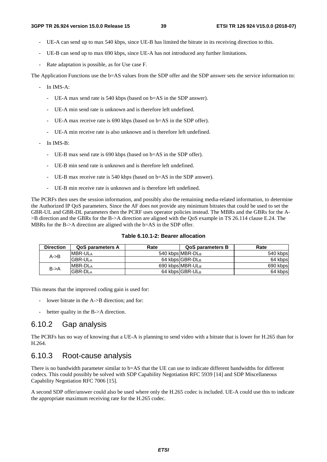- UE-A can send up to max 540 kbps, since UE-B has limited the bitrate in its receiving direction to this.
- UE-B can send up to max 690 kbps, since UE-A has not introduced any further limitations.
- Rate adaptation is possible, as for Use case F.

The Application Functions use the b=AS values from the SDP offer and the SDP answer sets the service information to:

- In IMS-A:
	- UE-A max send rate is 540 kbps (based on b=AS in the SDP answer).
	- UE-A min send rate is unknown and is therefore left undefined.
	- UE-A max receive rate is 690 kbps (based on b=AS in the SDP offer).
	- UE-A min receive rate is also unknown and is therefore left undefined.
- In IMS-B:
	- UE-B max send rate is 690 kbps (based on b=AS in the SDP offer).
	- UE-B min send rate is unknown and is therefore left undefined.
	- UE-B max receive rate is 540 kbps (based on b=AS in the SDP answer).
	- UE-B min receive rate is unknown and is therefore left undefined.

The PCRFs then uses the session information, and possibly also the remaining media-related information, to determine the Authorized IP QoS parameters. Since the AF does not provide any minimum bitrates that could be used to set the GBR-UL and GBR-DL parameters then the PCRF uses operator policies instead. The MBRs and the GBRs for the A- >B direction and the GBRs for the B->A direction are aligned with the QoS example in TS 26.114 clause E.24. The MBRs for the B->A direction are aligned with the b=AS in the SDP offer.

| <b>Direction</b>  | <b>QoS parameters A</b> | Rate | <b>QoS parameters B</b> | Rate     |
|-------------------|-------------------------|------|-------------------------|----------|
| $A \rightarrow B$ | <b>IMBR-ULA</b>         |      | 540 kbps MBR-DLB        | 540 kbps |
|                   | <b>GBR-ULA</b>          |      | 64 kbps GBR-DLB         | 64 kbps  |
| $B - > A$         | <b>IMBR-DLA</b>         |      | 690 kbps MBR-ULB        | 690 kbps |
|                   | <b>GBR-DLA</b>          |      | 64 kbps GBR-ULB         | 64 kbps  |

This means that the improved coding gain is used for:

- lower bitrate in the A->B direction; and for:
- better quality in the B->A direction.

## 6.10.2 Gap analysis

The PCRFs has no way of knowing that a UE-A is planning to send video with a bitrate that is lower for H.265 than for H.264.

## 6.10.3 Root-cause analysis

There is no bandwidth parameter similar to b=AS that the UE can use to indicate different bandwidths for different codecs. This could possibly be solved with SDP Capability Negotiation RFC 5939 [14] and SDP Miscellaneous Capability Negotiation RFC 7006 [15].

A second SDP offer/answer could also be used where only the H.265 codec is included. UE-A could use this to indicate the appropriate maximum receiving rate for the H.265 codec.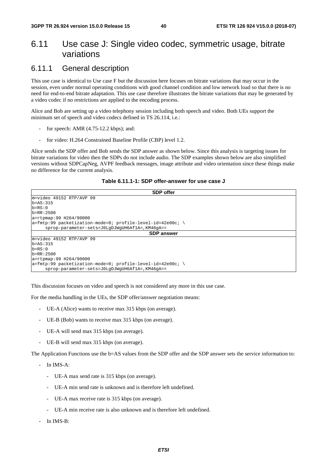## 6.11 Use case J: Single video codec, symmetric usage, bitrate variations

## 6.11.1 General description

This use case is identical to Use case F but the discussion here focuses on bitrate variations that may occur in the session, even under normal operating conditions with good channel condition and low network load so that there is no need for end-to-end bitrate adaptation. This use case therefore illustrates the bitrate variations that may be generated by a video codec if no restrictions are applied to the encoding process.

Alice and Bob are setting up a video telephony session including both speech and video. Both UEs support the minimum set of speech and video codecs defined in TS 26.114, i.e.:

- for speech: AMR (4.75-12.2 kbps); and:
- for video: H.264 Constrained Baseline Profile (CBP) level 1.2.

Alice sends the SDP offer and Bob sends the SDP answer as shown below. Since this analysis is targeting issues for bitrate variations for video then the SDPs do not include audio. The SDP examples shown below are also simplified versions without SDPCapNeg, AVPF feedback messages, image attribute and video orientation since these things make no difference for the current analysis.

| Table 6.11.1-1: SDP offer-answer for use case J |  |  |
|-------------------------------------------------|--|--|
|-------------------------------------------------|--|--|

| <b>SDP</b> offer                                              |  |  |  |  |  |
|---------------------------------------------------------------|--|--|--|--|--|
| m=video 49152 RTP/AVP 99                                      |  |  |  |  |  |
| $b = AS: 315$                                                 |  |  |  |  |  |
| $b = RS: 0$                                                   |  |  |  |  |  |
| $b = RR: 2500$                                                |  |  |  |  |  |
| a=rtpmap:99 H264/90000                                        |  |  |  |  |  |
| $ a=fmtp:99$ packetization-mode=0; profile-level-id=42e00c; \ |  |  |  |  |  |
| sprop-parameter-sets=J0LgDJWgUH6Af1A=, KM46qA==               |  |  |  |  |  |
| <b>SDP</b> answer                                             |  |  |  |  |  |
| m=video 49152 RTP/AVP 99                                      |  |  |  |  |  |
| $b = AS: 315$                                                 |  |  |  |  |  |
| $b = RS: 0$                                                   |  |  |  |  |  |
| $b = RR: 2500$                                                |  |  |  |  |  |
| a=rtpmap:99 H264/90000                                        |  |  |  |  |  |
| $ a=fmtp:99$ packetization-mode=0; profile-level-id=42e00c; \ |  |  |  |  |  |
| sprop-parameter-sets=J0LqDJWqUH6Af1A=, KM46qA==               |  |  |  |  |  |

This discussion focuses on video and speech is not considered any more in this use case.

For the media handling in the UEs, the SDP offer/answer negotiation means:

- UE-A (Alice) wants to receive max 315 kbps (on average).
- UE-B (Bob) wants to receive max 315 kbps (on average).
- UE-A will send max 315 kbps (on average).
- UE-B will send max 315 kbps (on average).

The Application Functions use the b=AS values from the SDP offer and the SDP answer sets the service information to:

- In IMS-A:
	- UE-A max send rate is 315 kbps (on average).
	- UE-A min send rate is unknown and is therefore left undefined.
	- UE-A max receive rate is 315 kbps (on average).
	- UE-A min receive rate is also unknown and is therefore left undefined.
- In IMS-B: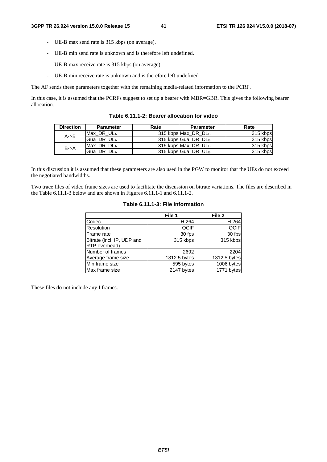$\overline{\phantom{a}}$ 

- UE-B max send rate is 315 kbps (on average).
- UE-B min send rate is unknown and is therefore left undefined.
- UE-B max receive rate is 315 kbps (on average).
- UE-B min receive rate is unknown and is therefore left undefined.

The AF sends these parameters together with the remaining media-related information to the PCRF.

In this case, it is assumed that the PCRFs suggest to set up a bearer with MBR=GBR. This gives the following bearer allocation.

| <b>Direction</b>  | <b>Parameter</b> | Rate | <b>Parameter</b>    | Rate     |
|-------------------|------------------|------|---------------------|----------|
| $A \rightarrow B$ | Max DR ULA       |      | 315 kbps Max DR DLB | 315 kbps |
|                   | Gua DR ULA       |      | 315 kbps Gua DR DLB | 315 kbps |
| $B - > A$         | Max DR DLA       |      | 315 kbps Max_DR_ULB | 315 kbps |
|                   | Gua DR DLA       |      | 315 kbps Gua DR ULB | 315 kbps |

**Table 6.11.1-2: Bearer allocation for video** 

In this discussion it is assumed that these parameters are also used in the PGW to monitor that the UEs do not exceed the negotiated bandwidths.

Two trace files of video frame sizes are used to facilitate the discussion on bitrate variations. The files are described in the Table 6.11.1-3 below and are shown in Figures 6.11.1-1 and 6.11.1-2.

| Table 6.11.1-3: File information |        |        |  |  |  |
|----------------------------------|--------|--------|--|--|--|
|                                  | File 1 | File 2 |  |  |  |
|                                  | H.264  |        |  |  |  |
| inn                              |        |        |  |  |  |

|              | .  2         |
|--------------|--------------|
| H.264        | H.264        |
| QCIF         | <b>QCIF</b>  |
| 30 fps       | 30 fps       |
| 315 kbps     | 315 kbps     |
|              |              |
| 2692         | 2204         |
| 1312.5 bytes | 1312.5 bytes |
| 595 bytes    | 1006 bytes   |
| 2147 bytes   | 1771 bytes   |
|              | 1 IIG 1      |

These files do not include any I frames.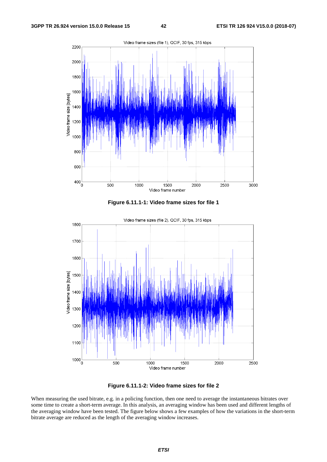

**Figure 6.11.1-1: Video frame sizes for file 1** 



**Figure 6.11.1-2: Video frame sizes for file 2** 

When measuring the used bitrate, e.g. in a policing function, then one need to average the instantaneous bitrates over some time to create a short-term average. In this analysis, an averaging window has been used and different lengths of the averaging window have been tested. The figure below shows a few examples of how the variations in the short-term bitrate average are reduced as the length of the averaging window increases.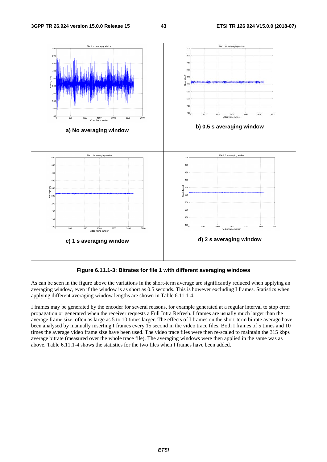

**Figure 6.11.1-3: Bitrates for file 1 with different averaging windows** 

As can be seen in the figure above the variations in the short-term average are significantly reduced when applying an averaging window, even if the window is as short as 0.5 seconds. This is however excluding I frames. Statistics when applying different averaging window lengths are shown in Table 6.11.1-4.

I frames may be generated by the encoder for several reasons, for example generated at a regular interval to stop error propagation or generated when the receiver requests a Full Intra Refresh. I frames are usually much larger than the average frame size, often as large as 5 to 10 times larger. The effects of I frames on the short-term bitrate average have been analysed by manually inserting I frames every 15 second in the video trace files. Both I frames of 5 times and 10 times the average video frame size have been used. The video trace files were then re-scaled to maintain the 315 kbps average bitrate (measured over the whole trace file). The averaging windows were then applied in the same was as above. Table 6.11.1-4 shows the statistics for the two files when I frames have been added.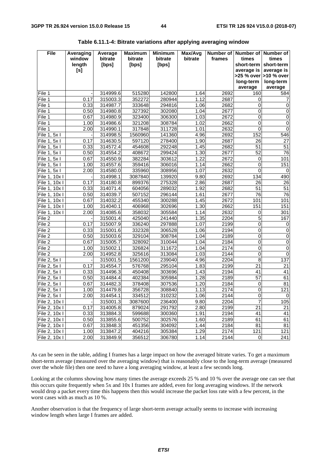| <b>File</b>         | Averaging | Average              | <b>Maximum</b>   | <b>Minimum</b>   | Max/Avg      | Number of    | <b>Number of</b> | Number of                |
|---------------------|-----------|----------------------|------------------|------------------|--------------|--------------|------------------|--------------------------|
|                     | window    | bitrate              | bitrate          | bitrate          | bitrate      | frames       | times            | times                    |
|                     | length    | [bps]                | [bps]            | [bps]            |              |              | short-term       | short-term               |
|                     | [s]       |                      |                  |                  |              |              | average is       | average is               |
|                     |           |                      |                  |                  |              |              |                  | >25 % over   > 10 % over |
|                     |           |                      |                  |                  |              |              | long-term        | long-term                |
| File 1              |           |                      |                  |                  |              |              | average          | average                  |
| File <sub>1</sub>   | 0.17      | 314999.6<br>315003.3 | 515280<br>352272 | 142800<br>280944 | 1.64<br>1.12 | 2692<br>2687 | 160<br>0         | 584                      |
| File 1              | 0.33      | 314987.7             | 333648           | 294816           | 1.06         | 2682         | 0                | 7<br>0                   |
| File 1              | 0.50      | 314980.8             | 327392           | 302080           | 1.04         | 2677         | 0                | 0                        |
| File 1              | 0.67      | 314980.9             | 323400           | 306300           | 1.03         | 2672         | 0                | $\pmb{0}$                |
| File 1              | 1.00      | 314986.6             | 321208           | 308784           | 1.02         | 2662         | 0                | $\mathbf 0$              |
| File 1              | 2.00      | 314990.1             | 317848           | 311728           | 1.01         | 2632         | 0                | $\mathbf 0$              |
| File 1,<br>5x1      |           | 314998.5             | 1560960          | 141360           | 4.96         | 2692         | 152              | 546                      |
| 5x1<br>File 1,      | 0.17      | 314630.5             | 597120           | 278400           | 1.90         | 2687         | 26               | 27                       |
| File 1, 5x I        | 0.33      | 314572.4             | 454608           | 292248           | 1.45         | 2682         | 51               | $\overline{51}$          |
| File 1, 5x I        | 0.50      | 314554.2             | 408672           | 299424           | 1.30         | 2677         | 52               | 76                       |
| File 1, 5x I        | 0.67      | 314550.9             | 382284           | 303612           | 1.22         | 2672         | 0                | 101                      |
| File 1, 5x I        | 1.00      | 314557.6             | 359416           | 306016           | 1.14         | 2662         | 0                | 151                      |
| File 1, 5x I        | 2.00      | 314580.0             | 335960           | 308956           | 1.07         | 2632         | 0                | 0                        |
| File 1, 10x I       |           | 314998.1             | 3087840          | 139920           | 9.80         | 2692         | 134              | 490                      |
| File 1, 10x I       | 0.17      | 314180.8             | 899376           | 275328           | 2.86         | 2687         | 26               | 26                       |
| File 1, 10x I       | 0.33      | 314071.4             | 604056           | 289032           | 1.92         | 2682         | 51               | 51                       |
| File 1, 10x I       | 0.50      | 314039.7             | 507152           | 296144           | 1.61         | 2677         | 76               | 76                       |
| File 1, 10x I       | 0.67      | 314032.2             | 455340           | 300288           | 1.45         | 2672         | 101              | 101                      |
| File 1, 10x I       | 1.00      | 314040.1             | 406968           | 302696           | 1.30         | 2662         | 151              | 151                      |
| File 1, 10x I       | 2.00      | 314085.6             | 358032           | 305584           | 1.14         | 2632         | 0                | 301                      |
| File 2              |           | 315001.4             | 425040           | 241440           | 1.35         | 2204         | 5                | 167                      |
| $\overline{File}$ 2 | 0.17      | 315007.9             | 336240           | 297888           | 1.07         | 2199         | 0                | 0                        |
| File 2              | 0.33      | 315001.6             | 332328           | 306528           | 1.06         | 2194         | 0                | 0                        |
| File 2              | 0.50      | 315003.6             | 329104           | 308784           | 1.04         | 2189         | 0                | 0                        |
| File 2              | 0.67      | 315005.7             | 328092           | 310044           | 1.04         | 2184         | 0                | $\pmb{0}$                |
| File 2              | 1.00      | 315002.1             | 326824           | 311672           | 1.04         | 2174         | 0                | 0                        |
| File 2              | 2.00      | 314952.8             | 325616           | 313084           | 1.03         | 2144         | 0                | $\mathbf 0$              |
| File 2, 5x I        |           | 315001.5             | 1561200          | 239040           | 4.96         | 2204         | 8                | 137                      |
| File 2, 5x I        | 0.17      | 314554.7             | 576768           | 295104           | 1.83         | 2199         | 21               | 21                       |
| File 2, 5x I        | 0.33      | 314496.3             | 450408           | 303696           | 1.43         | 2194         | 41               | 41                       |
| File 2, 5x I        | 0.50      | 314484.4             | 402384           | 305984           | 1.28         | 2189         | $\overline{57}$  | 61                       |
| File 2, 5x I        | 0.67      | 314482.3             | 378408           | 307536           | 1.20         | 2184         | 0                | 81                       |
| File 2, 5x I        | 1.00      | 314479.8             | 356728           | 308840           | 1.13         | 2174         | 0                | 121                      |
| File 2, 5x I        | 2.00      | 314454.1             | 334512           | 310232           | 1.06         | 2144         | $\overline{0}$   | $\overline{0}$           |
| File 2, 10x I       |           | 315001.3             | 3087600          | 236400           | 9.80         | 2204         | $\overline{7}$   | 105                      |
| File 2, 10x I       | 0.17      | 314005.8             | 879024           | 291792           | 2.80         | 2199         | $\overline{21}$  | 21                       |
| File 2, 10x I       | 0.33      | 313884.3             | 599688           | 300360           | 1.91         | 2194         | 41               | 41                       |
| File 2, 10x I       | 0.50      | 313855.6             | 500752           | 302576           | 1.60         | 2189         | 61               | 61                       |
| File 2, 10x I       | 0.67      | 313848.3             | 451356           | 304092           | 1.44         | 2184         | 81               | 81                       |
| File 2, 10x I       | 1.00      | 313847.2             | 404216           | 305384           | 1.29         | 2174         | 121              | 121                      |
| File 2, 10x I       | 2.00      | 313849.9             | 356512           | 306780           | 1.14         | 2144         | $\overline{0}$   | 241                      |

| Table 6.11.1-4: Bitrate variations after applying averaging window |  |  |  |
|--------------------------------------------------------------------|--|--|--|
|--------------------------------------------------------------------|--|--|--|

As can be seen in the table, adding I frames has a large impact on how the averaged bitrate varies. To get a maximum short-term average (measured over the averaging window) that is reasonably close to the long-term average (measured over the whole file) then one need to have a long averaging window, at least a few seconds long.

Looking at the columns showing how many times the average exceeds 25 % and 10 % over the average one can see that this occurs quite frequently when 5x and 10x I frames are added, even for long averaging windows. If the network would drop a packet every time this happens then this would increase the packet loss rate with a few percent, in the worst cases with as much as 10 %.

Another observation is that the frequency of large short-term average actually seems to increase with increasing window length when large I frames are added.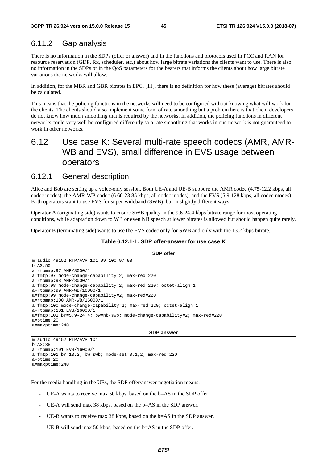## 6.11.2 Gap analysis

There is no information in the SDPs (offer or answer) and in the functions and protocols used in PCC and RAN for resource reservation (GDP, Rx, scheduler, etc.) about how large bitrate variations the clients want to use. There is also no information in the SDPs or in the QoS parameters for the bearers that informs the clients about how large bitrate variations the networks will allow.

In addition, for the MBR and GBR bitrates in EPC, [11], there is no definition for how these (average) bitrates should be calculated.

This means that the policing functions in the networks will need to be configured without knowing what will work for the clients. The clients should also implement some form of rate smoothing but a problem here is that client developers do not know how much smoothing that is required by the networks. In addition, the policing functions in different networks could very well be configured differently so a rate smoothing that works in one network is not guaranteed to work in other networks.

## 6.12 Use case K: Several multi-rate speech codecs (AMR, AMR-WB and EVS), small difference in EVS usage between operators

## 6.12.1 General description

Alice and Bob are setting up a voice-only session. Both UE-A and UE-B support: the AMR codec (4.75-12.2 kbps, all codec modes); the AMR-WB codec (6.60-23.85 kbps, all codec modes); and the EVS (5.9-128 kbps, all codec modes). Both operators want to use EVS for super-wideband (SWB), but in slightly different ways.

Operator A (originating side) wants to ensure SWB quality in the 9.6-24.4 kbps bitrate range for most operating conditions, while adaptation down to WB or even NB speech at lower bitrates is allowed but should happen quite rarely.

Operator B (terminating side) wants to use the EVS codec only for SWB and only with the 13.2 kbps bitrate.

#### **Table 6.12.1-1: SDP offer-answer for use case K**

| <b>SDP</b> offer                                                                                                 |  |  |
|------------------------------------------------------------------------------------------------------------------|--|--|
| m=audio 49152 RTP/AVP 101 99 100 97 98                                                                           |  |  |
| $b = AS:50$                                                                                                      |  |  |
| $a = r$ tpmap: 97 AMR/8000/1                                                                                     |  |  |
| $a = f$ mtp:97 mode-change-capability=2; max-red=220                                                             |  |  |
| $a = r$ tpmap: 98 AMR/8000/1                                                                                     |  |  |
| $a = \frac{\text{Imtp:98} \text{ mode}-\text{change-capability}=2; \text{max-red}=220; \text{octet-align=1}}{2}$ |  |  |
| $a = r$ tpmap: 99 AMR-WB/16000/1                                                                                 |  |  |
| a=fmtp:99 mode-change-capability=2; max-red=220                                                                  |  |  |
| a=rtpmap:100 AMR-WB/16000/1                                                                                      |  |  |
| $a = f$ mtp:100 mode-change-capability=2; max-red=220; octet-align=1                                             |  |  |
| $a = r$ tpmap: 101 EVS/16000/1                                                                                   |  |  |
| a=fmtp:101 br=5.9-24.4; bw=nb-swb; mode-change-capability=2; max-red=220                                         |  |  |
| $a = p$ time: 20                                                                                                 |  |  |
| $a = maxptime: 240$                                                                                              |  |  |
| <b>SDP</b> answer                                                                                                |  |  |
| lm=audio 49152 RTP/AVP 101                                                                                       |  |  |
| $b = AS:38$                                                                                                      |  |  |
| $a = r$ tpmap: 101 EVS/16000/1                                                                                   |  |  |
| $a = f m t p: 101$ br=13.2; bw=swb; mode-set=0,1,2; max-red=220                                                  |  |  |
| $a = p$ time: 20                                                                                                 |  |  |
| $a = maxptime: 240$                                                                                              |  |  |

For the media handling in the UEs, the SDP offer/answer negotiation means:

- UE-A wants to receive max 50 kbps, based on the  $b=AS$  in the SDP offer.
- UE-A will send max 38 kbps, based on the b=AS in the SDP answer.
- UE-B wants to receive max 38 kbps, based on the b=AS in the SDP answer.
- UE-B will send max 50 kbps, based on the b=AS in the SDP offer.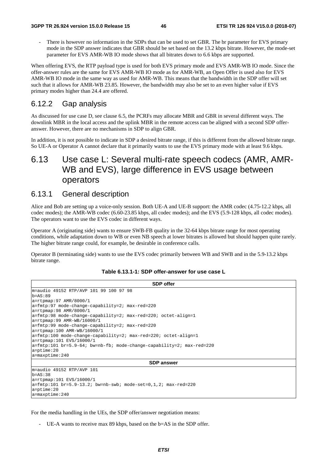There is however no information in the SDPs that can be used to set GBR. The br parameter for EVS primary mode in the SDP answer indicates that GBR should be set based on the 13.2 kbps bitrate. However, the mode-set parameter for EVS AMR-WB IO mode shows that all bitrates down to 6.6 kbps are supported.

When offering EVS, the RTP payload type is used for both EVS primary mode and EVS AMR-WB IO mode. Since the offer-answer rules are the same for EVS AMR-WB IO mode as for AMR-WB, an Open Offer is used also for EVS AMR-WB IO mode in the same way as used for AMR-WB. This means that the bandwidth in the SDP offer will set such that it allows for AMR-WB 23.85. However, the bandwidth may also be set to an even higher value if EVS primary modes higher than 24.4 are offered.

## 6.12.2 Gap analysis

As discussed for use case D, see clause 6.5, the PCRFs may allocate MBR and GBR in several different ways. The downlink MBR in the local access and the uplink MBR in the remote access can be aligned with a second SDP offeranswer. However, there are no mechanisms in SDP to align GBR.

In addition, it is not possible to indicate in SDP a desired bitrate range, if this is different from the allowed bitrate range. So UE-A or Operator A cannot declare that it primarily wants to use the EVS primary mode with at least 9.6 kbps.

## 6.13 Use case L: Several multi-rate speech codecs (AMR, AMR-WB and EVS), large difference in EVS usage between operators

### 6.13.1 General description

Alice and Bob are setting up a voice-only session. Both UE-A and UE-B support: the AMR codec (4.75-12.2 kbps, all codec modes); the AMR-WB codec (6.60-23.85 kbps, all codec modes); and the EVS (5.9-128 kbps, all codec modes). The operators want to use the EVS codec in different ways.

Operator A (originating side) wants to ensure SWB-FB quality in the 32-64 kbps bitrate range for most operating conditions, while adaptation down to WB or even NB speech at lower bitrates is allowed but should happen quite rarely. The higher bitrate range could, for example, be desirable in conference calls.

Operator B (terminating side) wants to use the EVS codec primarily between WB and SWB and in the 5.9-13.2 kbps bitrate range.

| <b>SDP</b> offer                                                                                                                                                                                                                                                                                                                                                                                                                                                                                                                                                                                                                                                                 |
|----------------------------------------------------------------------------------------------------------------------------------------------------------------------------------------------------------------------------------------------------------------------------------------------------------------------------------------------------------------------------------------------------------------------------------------------------------------------------------------------------------------------------------------------------------------------------------------------------------------------------------------------------------------------------------|
| m=audio 49152 RTP/AVP 101 99 100 97 98<br>$b = AS:89$<br>$a = r$ tpmap: 97 AMR/8000/1<br>$a = \frac{\text{fmtp:97}}{\text{mode}-\text{change}-\text{capability}=2; \text{max}-\text{red}=220}$<br>$a = r$ tpmap: 98 AMR/8000/1<br>$a = f$ mtp:98 mode-change-capability=2; max-red=220; octet-align=1<br>$a = r$ tpmap: 99 AMR-WB/16000/1<br>a=fmtp:99 mode-change-capability=2; max-red=220<br>$a = r$ tpmap:100 AMR-WB/16000/1<br>$a = f m t p: 100$ mode-change-capability=2; $max - red = 220$ ; octet-align=1<br>a=rtpmap:101 EVS/16000/1<br>$a = \frac{\text{Imtp:101 br} = 5.9 - 64}{\text{Br} = 64}$ bw=nb-fb; mode-change-capability=2; max-red=220<br>$a = p$ time: 20 |
| $a = maxptime: 240$                                                                                                                                                                                                                                                                                                                                                                                                                                                                                                                                                                                                                                                              |
| <b>SDP</b> answer                                                                                                                                                                                                                                                                                                                                                                                                                                                                                                                                                                                                                                                                |
| m=audio 49152 RTP/AVP 101<br>$b = AS: 38$<br>a=rtpmap:101 EVS/16000/1<br>$a = f m t p : 101$ br=5.9-13.2; bw=nb-swb; mode-set=0,1,2; max-red=220<br>$a = p$ time: 20                                                                                                                                                                                                                                                                                                                                                                                                                                                                                                             |

### **Table 6.13.1-1: SDP offer-answer for use case L**

For the media handling in the UEs, the SDP offer/answer negotiation means:

a=maxptime:240

UE-A wants to receive max 89 kbps, based on the b=AS in the SDP offer.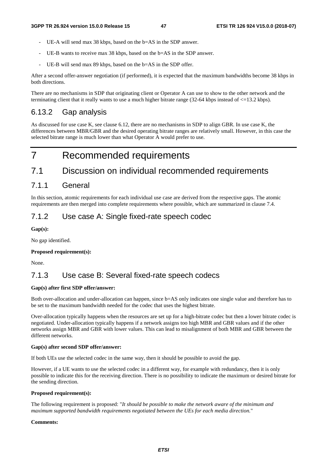- UE-A will send max 38 kbps, based on the b=AS in the SDP answer.
- UE-B wants to receive max 38 kbps, based on the b=AS in the SDP answer.
- UE-B will send max 89 kbps, based on the b=AS in the SDP offer.

After a second offer-answer negotiation (if performed), it is expected that the maximum bandwidths become 38 kbps in both directions.

There are no mechanisms in SDP that originating client or Operator A can use to show to the other network and the terminating client that it really wants to use a much higher bitrate range  $(32-64 \text{ kbps}$  instead of  $\leq$ =13.2 kbps).

## 6.13.2 Gap analysis

As discussed for use case K, see clause 6.12, there are no mechanisms in SDP to align GBR. In use case K, the differences between MBR/GBR and the desired operating bitrate ranges are relatively small. However, in this case the selected bitrate range is much lower than what Operator A would prefer to use.

## 7 Recommended requirements

## 7.1 Discussion on individual recommended requirements

### 7.1.1 General

In this section, atomic requirements for each individual use case are derived from the respective gaps. The atomic requirements are then merged into complete requirements where possible, which are summarized in clause 7.4.

## 7.1.2 Use case A: Single fixed-rate speech codec

**Gap(s):** 

No gap identified.

#### **Proposed requirement(s):**

None.

## 7.1.3 Use case B: Several fixed-rate speech codecs

### **Gap(s) after first SDP offer/answer:**

Both over-allocation and under-allocation can happen, since b=AS only indicates one single value and therefore has to be set to the maximum bandwidth needed for the codec that uses the highest bitrate.

Over-allocation typically happens when the resources are set up for a high-bitrate codec but then a lower bitrate codec is negotiated. Under-allocation typically happens if a network assigns too high MBR and GBR values and if the other networks assign MBR and GBR with lower values. This can lead to misalignment of both MBR and GBR between the different networks.

#### **Gap(s) after second SDP offer/answer:**

If both UEs use the selected codec in the same way, then it should be possible to avoid the gap.

However, if a UE wants to use the selected codec in a different way, for example with redundancy, then it is only possible to indicate this for the receiving direction. There is no possibility to indicate the maximum or desired bitrate for the sending direction.

#### **Proposed requirement(s):**

The following requirement is proposed: "*It should be possible to make the network aware of the minimum and maximum supported bandwidth requirements negotiated between the UEs for each media direction.*"

#### **Comments:**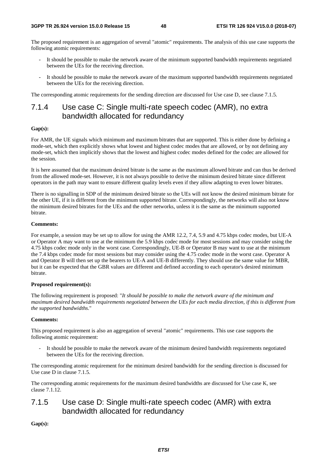The proposed requirement is an aggregation of several "atomic" requirements. The analysis of this use case supports the following atomic requirements:

- It should be possible to make the network aware of the minimum supported bandwidth requirements negotiated between the UEs for the receiving direction.
- It should be possible to make the network aware of the maximum supported bandwidth requirements negotiated between the UEs for the receiving direction.

The corresponding atomic requirements for the sending direction are discussed for Use case D, see clause 7.1.5.

## 7.1.4 Use case C: Single multi-rate speech codec (AMR), no extra bandwidth allocated for redundancy

#### **Gap(s):**

For AMR, the UE signals which minimum and maximum bitrates that are supported. This is either done by defining a mode-set, which then explicitly shows what lowest and highest codec modes that are allowed, or by not defining any mode-set, which then implicitly shows that the lowest and highest codec modes defined for the codec are allowed for the session.

It is here assumed that the maximum desired bitrate is the same as the maximum allowed bitrate and can thus be derived from the allowed mode-set. However, it is not always possible to derive the minimum desired bitrate since different operators in the path may want to ensure different quality levels even if they allow adapting to even lower bitrates.

There is no signalling in SDP of the minimum desired bitrate so the UEs will not know the desired minimum bitrate for the other UE, if it is different from the minimum supported bitrate. Correspondingly, the networks will also not know the minimum desired bitrates for the UEs and the other networks, unless it is the same as the minimum supported bitrate.

#### **Comments:**

For example, a session may be set up to allow for using the AMR 12.2, 7.4, 5.9 and 4.75 kbps codec modes, but UE-A or Operator A may want to use at the minimum the 5.9 kbps codec mode for most sessions and may consider using the 4.75 kbps codec mode only in the worst case. Correspondingly, UE-B or Operator B may want to use at the minimum the 7.4 kbps codec mode for most sessions but may consider using the 4.75 codec mode in the worst case. Operator A and Operator B will then set up the bearers to UE-A and UE-B differently. They should use the same value for MBR, but it can be expected that the GBR values are different and defined according to each operator's desired minimum bitrate.

#### **Proposed requirement(s):**

The following requirement is proposed: "*It should be possible to make the network aware of the minimum and maximum desired bandwidth requirements negotiated between the UEs for each media direction, if this is different from the supported bandwidths.*"

#### **Comments:**

This proposed requirement is also an aggregation of several "atomic" requirements. This use case supports the following atomic requirement:

It should be possible to make the network aware of the minimum desired bandwidth requirements negotiated between the UEs for the receiving direction.

The corresponding atomic requirement for the minimum desired bandwidth for the sending direction is discussed for Use case D in clause 7.1.5.

The corresponding atomic requirements for the maximum desired bandwidths are discussed for Use case K, see clause 7.1.12.

## 7.1.5 Use case D: Single multi-rate speech codec (AMR) with extra bandwidth allocated for redundancy

**Gap(s):**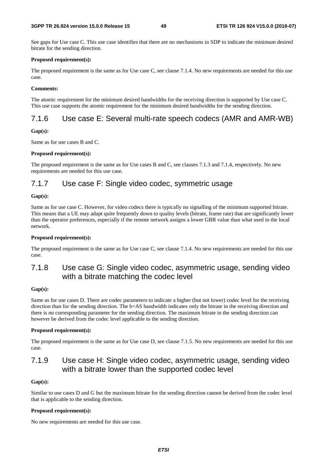See gaps for Use case C. This use case identifies that there are no mechanisms in SDP to indicate the minimum desired bitrate for the sending direction.

#### **Proposed requirement(s):**

The proposed requirement is the same as for Use case C, see clause 7.1.4. No new requirements are needed for this use case.

### **Comments:**

The atomic requirement for the minimum desired bandwidths for the receiving direction is supported by Use case C. This use case supports the atomic requirement for the minimum desired bandwidths for the sending direction.

## 7.1.6 Use case E: Several multi-rate speech codecs (AMR and AMR-WB)

### **Gap(s):**

Same as for use cases B and C.

### **Proposed requirement(s):**

The proposed requirement is the same as for Use cases B and C, see clauses 7.1.3 and 7.1.4, respectively. No new requirements are needed for this use case.

## 7.1.7 Use case F: Single video codec, symmetric usage

#### **Gap(s):**

Same as for use case C. However, for video codecs there is typically no signalling of the minimum supported bitrate. This means that a UE may adapt quite frequently down to quality levels (bitrate, frame rate) that are significantly lower than the operator preferences, especially if the remote network assigns a lower GBR value than what used in the local network.

### **Proposed requirement(s):**

The proposed requirement is the same as for Use case C, see clause 7.1.4. No new requirements are needed for this use case.

## 7.1.8 Use case G: Single video codec, asymmetric usage, sending video with a bitrate matching the codec level

### **Gap(s):**

Same as for use cases D. There are codec parameters to indicate a higher (but not lower) codec level for the receiving direction than for the sending direction. The b=AS bandwidth indicates only the bitrate in the receiving direction and there is no corresponding parameter for the sending direction. The maximum bitrate in the sending direction can however be derived from the codec level applicable to the sending direction.

### **Proposed requirement(s):**

The proposed requirement is the same as for Use case D, see clause 7.1.5. No new requirements are needed for this use case.

## 7.1.9 Use case H: Single video codec, asymmetric usage, sending video with a bitrate lower than the supported codec level

### **Gap(s):**

Similar to use cases D and G but the maximum bitrate for the sending direction cannot be derived from the codec level that is applicable to the sending direction.

#### **Proposed requirement(s):**

No new requirements are needed for this use case.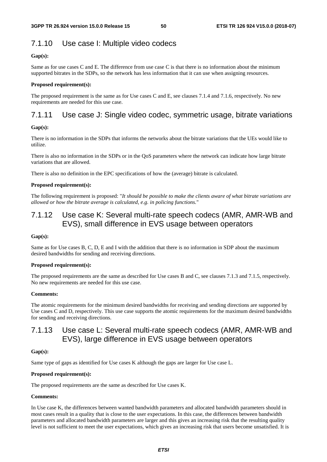## 7.1.10 Use case I: Multiple video codecs

### **Gap(s):**

Same as for use cases C and E. The difference from use case C is that there is no information about the minimum supported bitrates in the SDPs, so the network has less information that it can use when assigning resources.

### **Proposed requirement(s):**

The proposed requirement is the same as for Use cases C and E, see clauses 7.1.4 and 7.1.6, respectively. No new requirements are needed for this use case.

## 7.1.11 Use case J: Single video codec, symmetric usage, bitrate variations

### **Gap(s):**

There is no information in the SDPs that informs the networks about the bitrate variations that the UEs would like to utilize.

There is also no information in the SDPs or in the QoS parameters where the network can indicate how large bitrate variations that are allowed.

There is also no definition in the EPC specifications of how the (average) bitrate is calculated.

### **Proposed requirement(s):**

The following requirement is proposed: "*It should be possible to make the clients aware of what bitrate variations are allowed or how the bitrate average is calculated, e.g. in policing functions.*"

## 7.1.12 Use case K: Several multi-rate speech codecs (AMR, AMR-WB and EVS), small difference in EVS usage between operators

### **Gap(s):**

Same as for Use cases B, C, D, E and I with the addition that there is no information in SDP about the maximum desired bandwidths for sending and receiving directions.

### **Proposed requirement(s):**

The proposed requirements are the same as described for Use cases B and C, see clauses 7.1.3 and 7.1.5, respectively. No new requirements are needed for this use case.

### **Comments:**

The atomic requirements for the minimum desired bandwidths for receiving and sending directions are supported by Use cases C and D, respectively. This use case supports the atomic requirements for the maximum desired bandwidths for sending and receiving directions.

## 7.1.13 Use case L: Several multi-rate speech codecs (AMR, AMR-WB and EVS), large difference in EVS usage between operators

### **Gap(s):**

Same type of gaps as identified for Use cases K although the gaps are larger for Use case L.

### **Proposed requirement(s):**

The proposed requirements are the same as described for Use cases K.

### **Comments:**

In Use case K, the differences between wanted bandwidth parameters and allocated bandwidth parameters should in most cases result in a quality that is close to the user expectations. In this case, the differences between bandwidth parameters and allocated bandwidth parameters are larger and this gives an increasing risk that the resulting quality level is not sufficient to meet the user expectations, which gives an increasing risk that users become unsatisfied. It is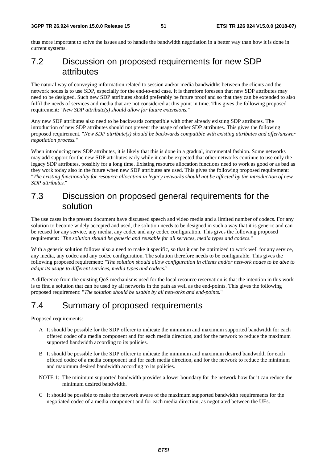thus more important to solve the issues and to handle the bandwidth negotiation in a better way than how it is done in current systems.

## 7.2 Discussion on proposed requirements for new SDP attributes

The natural way of conveying information related to session and/or media bandwidths between the clients and the network nodes is to use SDP, especially for the end-to-end case. It is therefore foreseen that new SDP attributes may need to be designed. Such new SDP attributes should preferably be future proof and so that they can be extended to also fulfil the needs of services and media that are not considered at this point in time. This gives the following proposed requirement: "*New SDP attribute(s) should allow for future extensions.*"

Any new SDP attributes also need to be backwards compatible with other already existing SDP attributes. The introduction of new SDP attributes should not prevent the usage of other SDP attributes. This gives the following proposed requirement. "*New SDP attribute(s) should be backwards compatible with existing attributes and offer/answer negotiation process.*"

When introducing new SDP attributes, it is likely that this is done in a gradual, incremental fashion. Some networks may add support for the new SDP attributes early while it can be expected that other networks continue to use only the legacy SDP attributes, possibly for a long time. Existing resource allocation functions need to work as good or as bad as they work today also in the future when new SDP attributes are used. This gives the following proposed requirement: "*The existing functionality for resource allocation in legacy networks should not be affected by the introduction of new SDP attributes.*"

## 7.3 Discussion on proposed general requirements for the solution

The use cases in the present document have discussed speech and video media and a limited number of codecs. For any solution to become widely accepted and used, the solution needs to be designed in such a way that it is generic and can be reused for any service, any media, any codec and any codec configuration. This gives the following proposed requirement: "*The solution should be generic and reusable for all services, media types and codecs.*"

With a generic solution follows also a need to make it specific, so that it can be optimized to work well for any service, any media, any codec and any codec configuration. The solution therefore needs to be configurable. This gives the following proposed requirement: "*The solution should allow configuration in clients and/or network nodes to be able to adapt its usage to different services, media types and codecs.*"

A difference from the existing QoS mechanisms used for the local resource reservation is that the intention in this work is to find a solution that can be used by all networks in the path as well as the end-points. This gives the following proposed requirement: "*The solution should be usable by all networks and end-points.*"

## 7.4 Summary of proposed requirements

Proposed requirements:

- A It should be possible for the SDP offerer to indicate the minimum and maximum supported bandwidth for each offered codec of a media component and for each media direction, and for the network to reduce the maximum supported bandwidth according to its policies.
- B It should be possible for the SDP offerer to indicate the minimum and maximum desired bandwidth for each offered codec of a media component and for each media direction, and for the network to reduce the minimum and maximum desired bandwidth according to its policies.
- NOTE 1: The minimum supported bandwidth provides a lower boundary for the network how far it can reduce the minimum desired bandwidth.
- C It should be possible to make the network aware of the maximum supported bandwidth requirements for the negotiated codec of a media component and for each media direction, as negotiated between the UEs.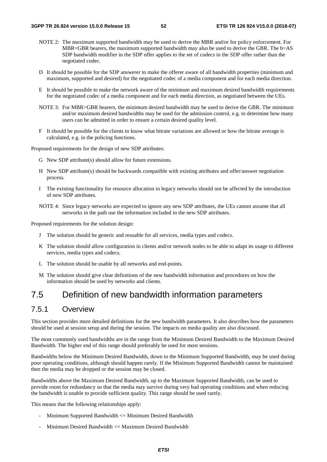- NOTE 2: The maximum supported bandwidth may be used to derive the MBR and/or for policy enforcement. For MBR=GBR bearers, the maximum supported bandwidth may also be used to derive the GBR. The b=AS SDP bandwidth modifier in the SDP offer applies to the set of codecs in the SDP offer rather than the negotiated codec.
- D It should be possible for the SDP answerer to make the offerer aware of all bandwidth properties (minimum and maximum, supported and desired) for the negotiated codec of a media component and for each media direction.
- E It should be possible to make the network aware of the minimum and maximum desired bandwidth requirements for the negotiated codec of a media component and for each media direction, as negotiated between the UEs.
- NOTE 3: For MBR>GBR bearers, the minimum desired bandwidth may be used to derive the GBR. The minimum and/or maximum desired bandwidths may be used for the admission control, e.g. to determine how many users can be admitted in order to ensure a certain desired quality level.
- F It should be possible for the clients to know what bitrate variations are allowed or how the bitrate average is calculated, e.g. in the policing functions.

Proposed requirements for the design of new SDP attributes:

- G New SDP attribute(s) should allow for future extensions.
- H New SDP attribute(s) should be backwards compatible with existing attributes and offer/answer negotiation process.
- I The existing functionality for resource allocation in legacy networks should not be affected by the introduction of new SDP attributes.
- NOTE 4: Since legacy networks are expected to ignore any new SDP attributes, the UEs cannot assume that all networks in the path use the information included in the new SDP attributes.

Proposed requirements for the solution design:

- J The solution should be generic and reusable for all services, media types and codecs.
- K The solution should allow configuration in clients and/or network nodes to be able to adapt its usage to different services, media types and codecs.
- L The solution should be usable by all networks and end-points.
- M The solution should give clear definitions of the new bandwidth information and procedures on how the information should be used by networks and clients.

## 7.5 Definition of new bandwidth information parameters

## 7.5.1 Overview

This section provides more detailed definitions for the new bandwidth parameters. It also describes how the parameters should be used at session setup and during the session. The impacts on media quality are also discussed.

The most commonly used bandwidths are in the range from the Minimum Desired Bandwidth to the Maximum Desired Bandwidth. The higher end of this range should preferably be used for most sessions.

Bandwidths below the Minimum Desired Bandwidth, down to the Minimum Supported Bandwidth, may be used during poor operating conditions, although should happen rarely. If the Minimum Supported Bandwidth cannot be maintained then the media may be dropped or the session may be closed.

Bandwidths above the Maximum Desired Bandwidth, up to the Maximum Supported Bandwidth, can be used to provide room for redundancy so that the media may survive during very bad operating conditions and when reducing the bandwidth is unable to provide sufficient quality. This range should be used rarely.

This means that the following relationships apply:

- Minimum Supported Bandwidth <= Minimum Desired Bandwidth
- $Minimum$  Desired Bandwidth  $\leq$  Maximum Desired Bandwidth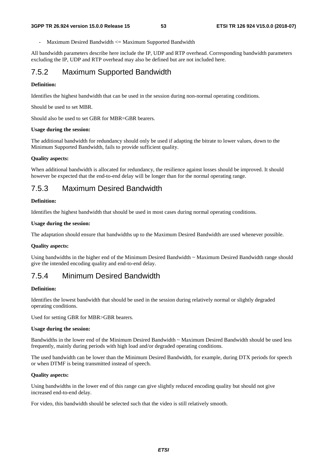Maximum Desired Bandwidth <= Maximum Supported Bandwidth

All bandwidth parameters describe here include the IP, UDP and RTP overhead. Corresponding bandwidth parameters excluding the IP, UDP and RTP overhead may also be defined but are not included here.

## 7.5.2 Maximum Supported Bandwidth

#### **Definition:**

Identifies the highest bandwidth that can be used in the session during non-normal operating conditions.

Should be used to set MBR.

Should also be used to set GBR for MBR=GBR bearers.

#### **Usage during the session:**

The additional bandwidth for redundancy should only be used if adapting the bitrate to lower values, down to the Minimum Supported Bandwidth, fails to provide sufficient quality.

#### **Quality aspects:**

When additional bandwidth is allocated for redundancy, the resilience against losses should be improved. It should however be expected that the end-to-end delay will be longer than for the normal operating range.

## 7.5.3 Maximum Desired Bandwidth

#### **Definition:**

Identifies the highest bandwidth that should be used in most cases during normal operating conditions.

#### **Usage during the session:**

The adaptation should ensure that bandwidths up to the Maximum Desired Bandwidth are used whenever possible.

#### **Quality aspects:**

Using bandwidths in the higher end of the Minimum Desired Bandwidth ~ Maximum Desired Bandwidth range should give the intended encoding quality and end-to-end delay.

## 7.5.4 Minimum Desired Bandwidth

#### **Definition:**

Identifies the lowest bandwidth that should be used in the session during relatively normal or slightly degraded operating conditions.

Used for setting GBR for MBR>GBR bearers.

#### **Usage during the session:**

Bandwidths in the lower end of the Minimum Desired Bandwidth ~ Maximum Desired Bandwidth should be used less frequently, mainly during periods with high load and/or degraded operating conditions.

The used bandwidth can be lower than the Minimum Desired Bandwidth, for example, during DTX periods for speech or when DTMF is being transmitted instead of speech.

#### **Quality aspects:**

Using bandwidths in the lower end of this range can give slightly reduced encoding quality but should not give increased end-to-end delay.

For video, this bandwidth should be selected such that the video is still relatively smooth.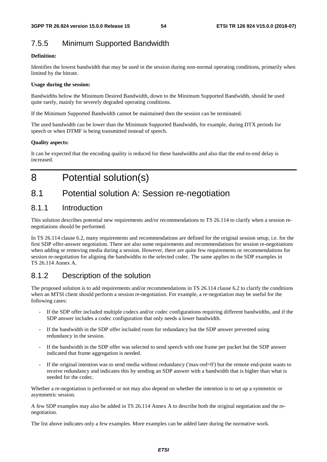## 7.5.5 Minimum Supported Bandwidth

### **Definition:**

Identifies the lowest bandwidth that may be used in the session during non-normal operating conditions, primarily when limited by the bitrate.

### **Usage during the session:**

Bandwidths below the Minimum Desired Bandwidth, down to the Minimum Supported Bandwidth, should be used quite rarely, mainly for severely degraded operating conditions.

If the Minimum Supported Bandwidth cannot be maintained then the session can be terminated.

The used bandwidth can be lower than the Minimum Supported Bandwidth, for example, during DTX periods for speech or when DTMF is being transmitted instead of speech.

### **Quality aspects:**

It can be expected that the encoding quality is reduced for these bandwidths and also that the end-to-end delay is increased.

# 8 Potential solution(s)

## 8.1 Potential solution A: Session re-negotiation

## 8.1.1 Introduction

This solution describes potential new requirements and/or recommendations to TS 26.114 to clarify when a session renegotiations should be performed.

In TS 26.114 clause 6.2, many requirements and recommendations are defined for the original session setup, i.e. for the first SDP offer-answer negotiation. There are also some requirements and recommendations for session re-negotiations when adding or removing media during a session. However, there are quite few requirements or recommendations for session re-negotiation for aligning the bandwidths to the selected codec. The same applies to the SDP examples in TS 26.114 Annex A.

## 8.1.2 Description of the solution

The proposed solution is to add requirements and/or recommendations in TS 26.114 clause 6.2 to clarify the conditions when an MTSI client should perform a session re-negotiation. For example, a re-negotiation may be useful for the following cases:

- If the SDP offer included multiple codecs and/or codec configurations requiring different bandwidths, and if the SDP answer includes a codec configuration that only needs a lower bandwidth.
- If the bandwidth in the SDP offer included room for redundancy but the SDP answer prevented using redundancy in the session.
- If the bandwidth in the SDP offer was selected to send speech with one frame per packet but the SDP answer indicated that frame aggregation is needed.
- If the original intention was to send media without redundancy ('max-red=0') but the remote end-point wants to receive redundancy and indicates this by sending an SDP answer with a bandwidth that is higher than what is needed for the codec.

Whether a re-negotiation is performed or not may also depend on whether the intention is to set up a symmetric or asymmetric session.

A few SDP examples may also be added in TS 26.114 Annex A to describe both the original negotiation and the renegotiation.

The list above indicates only a few examples. More examples can be added later during the normative work.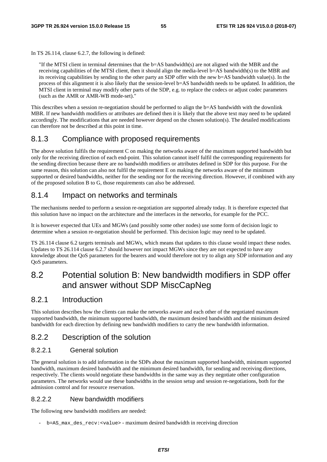In TS 26.114, clause 6.2.7, the following is defined:

"If the MTSI client in terminal determines that the b=AS bandwidth(s) are not aligned with the MBR and the receiving capabilities of the MTSI client, then it should align the media-level b=AS bandwidth(s) to the MBR and its receiving capabilities by sending to the other party an SDP offer with the new b=AS bandwidth value(s). In the process of this alignment it is also likely that the session-level b=AS bandwidth needs to be updated. In addition, the MTSI client in terminal may modify other parts of the SDP, e.g. to replace the codecs or adjust codec parameters (such as the AMR or AMR-WB mode-set)."

This describes when a session re-negotiation should be performed to align the b=AS bandwidth with the downlink MBR. If new bandwidth modifiers or attributes are defined then it is likely that the above text may need to be updated accordingly. The modifications that are needed however depend on the chosen solution(s). The detailed modifications can therefore not be described at this point in time.

## 8.1.3 Compliance with proposed requirements

The above solution fulfils the requirement C on making the networks aware of the maximum supported bandwidth but only for the receiving direction of each end-point. This solution cannot itself fulfil the corresponding requirements for the sending direction because there are no bandwidth modifiers or attributes defined in SDP for this purpose. For the same reason, this solution can also not fulfil the requirement E on making the networks aware of the minimum supported or desired bandwidths, neither for the sending nor for the receiving direction. However, if combined with any of the proposed solution B to G, those requirements can also be addressed.

## 8.1.4 Impact on networks and terminals

The mechanisms needed to perform a session re-negotiation are supported already today. It is therefore expected that this solution have no impact on the architecture and the interfaces in the networks, for example for the PCC.

It is however expected that UEs and MGWs (and possibly some other nodes) use some form of decision logic to determine when a session re-negotiation should be performed. This decision logic may need to be updated.

TS 26.114 clause 6.2 targets terminals and MGWs, which means that updates to this clause would impact these nodes. Updates to TS 26.114 clause 6.2.7 should however not impact MGWs since they are not expected to have any knowledge about the QoS parameters for the bearers and would therefore not try to align any SDP information and any QoS parameters.

## 8.2 Potential solution B: New bandwidth modifiers in SDP offer and answer without SDP MiscCapNeg

## 8.2.1 Introduction

This solution describes how the clients can make the networks aware and each other of the negotiated maximum supported bandwidth, the minimum supported bandwidth, the maximum desired bandwidth and the minimum desired bandwidth for each direction by defining new bandwidth modifiers to carry the new bandwidth information.

## 8.2.2 Description of the solution

### 8.2.2.1 General solution

The general solution is to add information in the SDPs about the maximum supported bandwidth, minimum supported bandwidth, maximum desired bandwidth and the minimum desired bandwidth, for sending and receiving directions, respectively. The clients would negotiate these bandwidths in the same way as they negotiate other configuration parameters. The networks would use these bandwidths in the session setup and session re-negotiations, both for the admission control and for resource reservation.

### 8.2.2.2 New bandwidth modifiers

The following new bandwidth modifiers are needed:

- b=AS\_max\_des\_recv:<value> - maximum desired bandwidth in receiving direction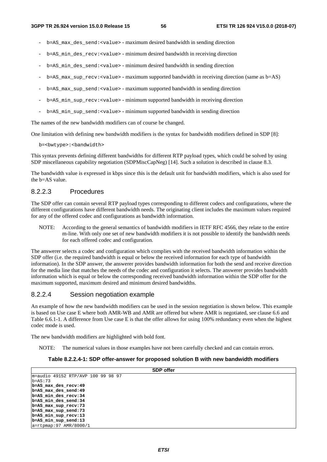- b=AS\_max\_des\_send:<value> maximum desired bandwidth in sending direction
- b=AS\_min\_des\_recv:<value> minimum desired bandwidth in receiving direction
- b=AS\_min\_des\_send:<value> minimum desired bandwidth in sending direction
- $b=AB$  max sup recv:  $\langle$ value $\rangle$  maximum supported bandwidth in receiving direction (same as  $b=AS$ )
- b=AS\_max\_sup\_send:<value> maximum supported bandwidth in sending direction
- $b = AS$  min sup  $recv: <$ value> minimum supported bandwidth in receiving direction
- b=AS\_min\_sup\_send:<value> minimum supported bandwidth in sending direction

The names of the new bandwidth modifiers can of course be changed.

One limitation with defining new bandwidth modifiers is the syntax for bandwidth modifiers defined in SDP [8]:

b=<br/>bwtype>:<br/>bandwidth>

This syntax prevents defining different bandwidths for different RTP payload types, which could be solved by using SDP miscellaneous capability negotiation (SDPMiscCapNeg) [14]. Such a solution is described in clause 8.3.

The bandwidth value is expressed in kbps since this is the default unit for bandwidth modifiers, which is also used for the b=AS value.

### 8.2.2.3 Procedures

The SDP offer can contain several RTP payload types corresponding to different codecs and configurations, where the different configurations have different bandwidth needs. The originating client includes the maximum values required for any of the offered codec and configurations as bandwidth information.

NOTE: According to the general semantics of bandwidth modifiers in IETF RFC 4566, they relate to the entire m-line. With only one set of new bandwidth modifiers it is not possible to identify the bandwidth needs for each offered codec and configuration.

The answerer selects a codec and configuration which complies with the received bandwidth information within the SDP offer (i.e. the required bandwidth is equal or below the received information for each type of bandwidth information). In the SDP answer, the answerer provides bandwidth information for both the send and receive direction for the media line that matches the needs of the codec and configuration it selects. The answerer provides bandwidth information which is equal or below the corresponding received bandwidth information within the SDP offer for the maximum supported, maximum desired and minimum desired bandwidths.

### 8.2.2.4 Session negotiation example

An example of how the new bandwidth modifiers can be used in the session negotiation is shown below. This example is based on Use case E where both AMR-WB and AMR are offered but where AMR is negotiated, see clause 6.6 and Table 6.6.1-1. A difference from Use case E is that the offer allows for using 100% redundancy even when the highest codec mode is used.

The new bandwidth modifiers are highlighted with bold font.

NOTE: The numerical values in those examples have not been carefully checked and can contain errors.

### **Table 8.2.2.4-1: SDP offer-answer for proposed solution B with new bandwidth modifiers**

|                                    | <b>SDP</b> offer |
|------------------------------------|------------------|
| m=audio 49152 RTP/AVP 100 99 98 97 |                  |
| $b = AS:73$                        |                  |
| b=AS max des recv: 49              |                  |
| b=AS max des send: 49              |                  |
| b=AS min des recv:34               |                  |
| b=AS min des send:34               |                  |
| b=AS max sup recv:73               |                  |
| b=AS max sup send:73               |                  |
| b=AS min sup recv:13               |                  |
| b=AS min sup send:13               |                  |
| $a = r$ tpmap: 97 AMR/8000/1       |                  |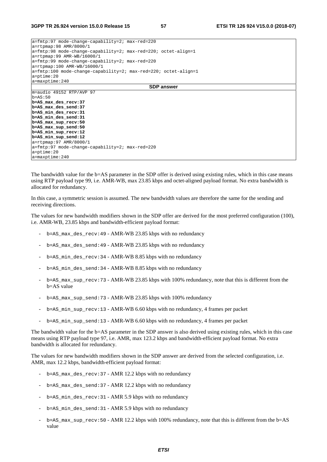| $a = f m t p: 97$ mode-change-capability=2; max-red=220                        |
|--------------------------------------------------------------------------------|
| $a = r$ tpmap: 98 AMR/8000/1                                                   |
| $a = f m t p : 98$ mode-change-capability=2; max-red=220; octet-align=1        |
| $a = r$ tpmap: 99 AMR-WB/16000/1                                               |
| a=fmtp:99 mode-change-capability=2; max-red=220                                |
| $a = r$ tpmap:100 AMR-WB/16000/1                                               |
| $a = f m t p: 100$ mode-change-capability=2; $max - red = 220$ ; octet-align=1 |
| $a = p$ time: 20                                                               |
| $a = maxptime: 240$                                                            |
| <b>SDP</b> answer                                                              |
| $m = audio 49152 RTP/AVP 97$                                                   |
| $b = AS:50$                                                                    |
| b=AS max des recv:37                                                           |
| b=AS_max_des_send:37                                                           |
| b=AS min des recv: 31                                                          |
| b=AS min des send: 31                                                          |
| $b = AS$ max sup recv: 50                                                      |
| b=AS_max_sup_send:50                                                           |
| $b = AS$ min sup recv: 12                                                      |
| b=AS min sup send:12                                                           |
| $a = r$ tpmap: 97 AMR/8000/1                                                   |
| $ a=fmtp:97$ mode-change-capability=2; max-red=220                             |
| $a = p$ time: 20                                                               |
| $a = maxptime: 240$                                                            |

The bandwidth value for the b=AS parameter in the SDP offer is derived using existing rules, which in this case means using RTP payload type 99, i.e. AMR-WB, max 23.85 kbps and octet-aligned payload format. No extra bandwidth is allocated for redundancy.

In this case, a symmetric session is assumed. The new bandwidth values are therefore the same for the sending and receiving directions.

The values for new bandwidth modifiers shown in the SDP offer are derived for the most preferred configuration (100), i.e. AMR-WB, 23.85 kbps and bandwidth-efficient payload format:

- b=AS\_max\_des\_recv:49 AMR-WB 23.85 kbps with no redundancy
- b=AS\_max\_des\_send:49 AMR-WB 23.85 kbps with no redundancy
- b=AS\_min\_des\_recv:34 AMR-WB 8.85 kbps with no redundancy
- b=AS\_min\_des\_send:34 AMR-WB 8.85 kbps with no redundancy
- $b = AS$  max\_sup\_recv:73 AMR-WB 23.85 kbps with 100% redundancy, note that this is different from the b=AS value
- b=AS\_max\_sup\_send:73 AMR-WB 23.85 kbps with 100% redundancy
- b=AS\_min\_sup\_recv:13 AMR-WB 6.60 kbps with no redundancy, 4 frames per packet
- b=AS\_min\_sup\_send:13 AMR-WB 6.60 kbps with no redundancy, 4 frames per packet

The bandwidth value for the b=AS parameter in the SDP answer is also derived using existing rules, which in this case means using RTP payload type 97, i.e. AMR, max 123.2 kbps and bandwidth-efficient payload format. No extra bandwidth is allocated for redundancy.

The values for new bandwidth modifiers shown in the SDP answer are derived from the selected configuration, i.e. AMR, max 12.2 kbps, bandwidth-efficient payload format:

- b=AS\_max\_des\_recv:37 AMR 12.2 kbps with no redundancy
- b=AS\_max\_des\_send:37 AMR 12.2 kbps with no redundancy
- b=AS\_min\_des\_recv:31 AMR 5.9 kbps with no redundancy
- b=AS\_min\_des\_send:31 AMR 5.9 kbps with no redundancy
- b=AS\_max\_sup\_recv:50 AMR 12.2 kbps with 100% redundancy, note that this is different from the b=AS value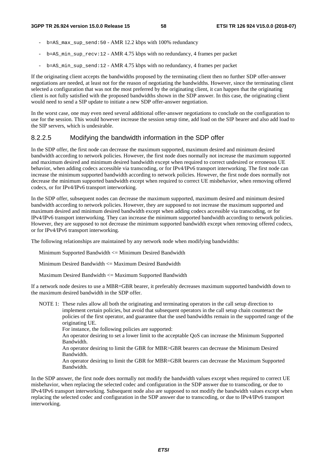- b=AS\_max\_sup\_send:50 AMR 12.2 kbps with 100% redundancy
- $b = AS\_min$  sup\_recv:12 AMR 4.75 kbps with no redundancy, 4 frames per packet
- b=AS\_min\_sup\_send:12 AMR 4.75 kbps with no redundancy, 4 frames per packet

If the originating client accepts the bandwidths proposed by the terminating client then no further SDP offer-answer negotiations are needed, at least not for the reason of negotiating the bandwidths. However, since the terminating client selected a configuration that was not the most preferred by the originating client, it can happen that the originating client is not fully satisfied with the proposed bandwidths shown in the SDP answer. In this case, the originating client would need to send a SIP update to initiate a new SDP offer-answer negotiation.

In the worst case, one may even need several additional offer-answer negotiations to conclude on the configuration to use for the session. This would however increase the session setup time, add load on the SIP bearer and also add load to the SIP servers, which is undesirable.

### 8.2.2.5 Modifying the bandwidth information in the SDP offer

In the SDP offer, the first node can decrease the maximum supported, maximum desired and minimum desired bandwidth according to network policies. However, the first node does normally not increase the maximum supported and maximum desired and minimum desired bandwidth except when required to correct undesired or erroneous UE behavior, when adding codecs accessible via transcoding, or for IPv4/IPv6 transport interworking. The first node can increase the minimum supported bandwidth according to network policies. However, the first node does normally not decrease the minimum supported bandwidth except when required to correct UE misbehavior, when removing offered codecs, or for IPv4/IPv6 transport interworking.

In the SDP offer, subsequent nodes can decrease the maximum supported, maximum desired and minimum desired bandwidth according to network policies. However, they are supposed to not increase the maximum supported and maximum desired and minimum desired bandwidth except when adding codecs accessible via transcoding, or for IPv4/IPv6 transport interworking. They can increase the minimum supported bandwidth according to network policies. However, they are supposed to not decrease the minimum supported bandwidth except when removing offered codecs, or for IPv4/IPv6 transport interworking.

The following relationships are maintained by any network node when modifying bandwidths:

Minimum Supported Bandwidth <= Minimum Desired Bandwidth

Minimum Desired Bandwidth <= Maximum Desired Bandwidth

Maximum Desired Bandwidth <= Maximum Supported Bandwidth

If a network node desires to use a MBR=GBR bearer, it preferably decreases maximum supported bandwidth down to the maximum desired bandwidth in the SDP offer.

NOTE 1: These rules allow all both the originating and terminating operators in the call setup direction to implement certain policies, but avoid that subsequent operators in the call setup chain counteract the policies of the first operator, and guarantee that the used bandwidths remain in the supported range of the originating UE.

For instance, the following policies are supported:

An operator desiring to set a lower limit to the acceptable QoS can increase the Minimum Supported Bandwidth.

An operator desiring to limit the GBR for MBR>GBR bearers can decrease the Minimum Desired Bandwidth.

An operator desiring to limit the GBR for MBR=GBR bearers can decrease the Maximum Supported Bandwidth.

In the SDP answer, the first node does normally not modify the bandwidth values except when required to correct UE misbehavior, when replacing the selected codec and configuration in the SDP answer due to transcoding, or due to IPv4/IPv6 transport interworking. Subsequent node also are supposed to not modify the bandwidth values except when replacing the selected codec and configuration in the SDP answer due to transcoding, or due to IPv4/IPv6 transport interworking.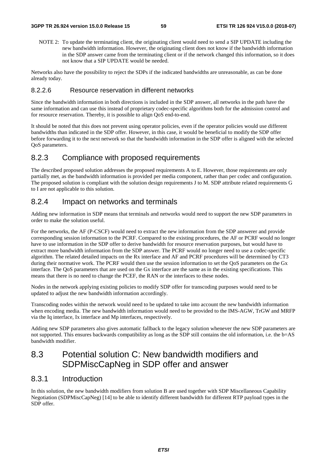NOTE 2: To update the terminating client, the originating client would need to send a SIP UPDATE including the new bandwidth information. However, the originating client does not know if the bandwidth information in the SDP answer came from the terminating client or if the network changed this information, so it does not know that a SIP UPDATE would be needed.

Networks also have the possibility to reject the SDPs if the indicated bandwidths are unreasonable, as can be done already today.

### 8.2.2.6 Resource reservation in different networks

Since the bandwidth information in both directions is included in the SDP answer, all networks in the path have the same information and can use this instead of proprietary codec-specific algorithms both for the admission control and for resource reservation. Thereby, it is possible to align QoS end-to-end.

It should be noted that this does not prevent using operator policies, even if the operator policies would use different bandwidths than indicated in the SDP offer. However, in this case, it would be beneficial to modify the SDP offer before forwarding it to the next network so that the bandwidth information in the SDP offer is aligned with the selected QoS parameters.

## 8.2.3 Compliance with proposed requirements

The described proposed solution addresses the proposed requirements A to E. However, those requirements are only partially met, as the bandwidth information is provided per media component, rather than per codec and configuration. The proposed solution is compliant with the solution design requirements J to M. SDP attribute related requirements G to I are not applicable to this solution.

## 8.2.4 Impact on networks and terminals

Adding new information in SDP means that terminals and networks would need to support the new SDP parameters in order to make the solution useful.

For the networks, the AF (P-CSCF) would need to extract the new information from the SDP answerer and provide corresponding session information to the PCRF. Compared to the existing procedures, the AF or PCRF would no longer have to use information in the SDP offer to derive bandwidth for resource reservation purposes, but would have to extract more bandwidth information from the SDP answer. The PCRF would no longer need to use a codec-specific algorithm. The related detailed impacts on the Rx interface and AF and PCRF procedures will be determined by CT3 during their normative work. The PCRF would then use the session information to set the QoS parameters on the Gx interface. The QoS parameters that are used on the Gx interface are the same as in the existing specifications. This means that there is no need to change the PCEF, the RAN or the interfaces to these nodes.

Nodes in the network applying existing policies to modify SDP offer for transcoding purposes would need to be updated to adjust the new bandwidth information accordingly.

Transcoding nodes within the network would need to be updated to take into account the new bandwidth information when encoding media. The new bandwidth information would need to be provided to the IMS-AGW, TrGW and MRFP via the Iq interface, Ix interface and Mp interfaces, respectively.

Adding new SDP parameters also gives automatic fallback to the legacy solution whenever the new SDP parameters are not supported. This ensures backwards compatibility as long as the SDP still contains the old information, i.e. the b=AS bandwidth modifier.

## 8.3 Potential solution C: New bandwidth modifiers and SDPMiscCapNeg in SDP offer and answer

## 8.3.1 Introduction

In this solution, the new bandwidth modifiers from solution B are used together with SDP Miscellaneous Capability Negotiation (SDPMiscCapNeg) [14] to be able to identify different bandwidth for different RTP payload types in the SDP offer.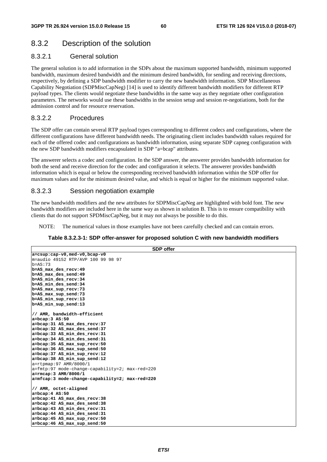## 8.3.2 Description of the solution

## 8.3.2.1 General solution

The general solution is to add information in the SDPs about the maximum supported bandwidth, minimum supported bandwidth, maximum desired bandwidth and the minimum desired bandwidth, for sending and receiving directions, respectively, by defining a SDP bandwidth modifier to carry the new bandwidth information. SDP Miscellaneous Capability Negotiation (SDPMiscCapNeg) [14] is used to identify different bandwidth modifiers for different RTP payload types. The clients would negotiate these bandwidths in the same way as they negotiate other configuration parameters. The networks would use these bandwidths in the session setup and session re-negotiations, both for the admission control and for resource reservation.

### 8.3.2.2 Procedures

The SDP offer can contain several RTP payload types corresponding to different codecs and configurations, where the different configurations have different bandwidth needs. The originating client includes bandwidth values required for each of the offered codec and configurations as bandwidth information, using separate SDP capneg configuration with the new SDP bandwidth modifiers encapsulated in SDP "a=bcap" attributes.

The answerer selects a codec and configuration. In the SDP answer, the answerer provides bandwidth information for both the send and receive direction for the codec and configuration it selects. The answerer provides bandwidth information which is equal or below the corresponding received bandwidth information within the SDP offer for maximum values and for the minimum desired value, and which is equal or higher for the minimum supported value.

### 8.3.2.3 Session negotiation example

The new bandwidth modifiers and the new attributes for SDPMiscCapNeg are highlighted with bold font. The new bandwidth modifiers are included here in the same way as shown in solution B. This is to ensure compatibility with clients that do not support SPDMiscCapNeg, but it may not always be possible to do this.

NOTE: The numerical values in those examples have not been carefully checked and can contain errors.

### **Table 8.3.2.3-1: SDP offer-answer for proposed solution C with new bandwidth modifiers**

| <b>SDP</b> offer                                                   |
|--------------------------------------------------------------------|
| a=csup:cap-v0,med-v0,bcap-v0                                       |
| m=audio 49152 RTP/AVP 100 99 98 97                                 |
| $b = AS:73$                                                        |
| b=AS max des recv: 49                                              |
| b=AS max des send: 49                                              |
| b=AS min des recv: 34                                              |
| b=AS min des send:34                                               |
| b=AS max sup recv: 73                                              |
| b=AS max sup send:73                                               |
| b=AS min sup recv:13                                               |
| b=AS min sup send:13                                               |
| // AMR, bandwidth-efficient                                        |
| $a = bcap: 3 As: 50$                                               |
| a=bcap: 31 AS max des recv: 37                                     |
| a=bcap:32 AS max des send:37                                       |
| a=bcap:33 AS min des recv:31                                       |
| a=bcap: 34 AS_min_des_send: 31                                     |
| a=bcap:35 AS max sup recv:50                                       |
| a=bcap:36 AS_max_sup_send:50                                       |
| a=bcap: 37 AS_min_sup_recv: 12                                     |
| a=bcap:38 AS_min_sup_send:12                                       |
| $a = r$ tpmap: 97 AMR/8000/1                                       |
| $a = \frac{fmtp:97 \text{ mode}-change-capability=2; max-red=220}$ |
| $a = rmcap: 3 AMR/8000/1$                                          |
| a=mfcap:3 mode-change-capability=2; max-red=220                    |
| // AMR, octet-aligned                                              |
| $a = bcap: 4 AS: 50$                                               |
| a=bcap: 41 AS max des recv: 38                                     |
| a=bcap: 42 AS max des send: 38                                     |
| a=bcap:43 AS min des recv:31                                       |
| a=bcap: 44 AS min des send: 31                                     |
| a=bcap: 45 AS max sup recv: 50                                     |
| a=bcap:46 AS max sup send:50                                       |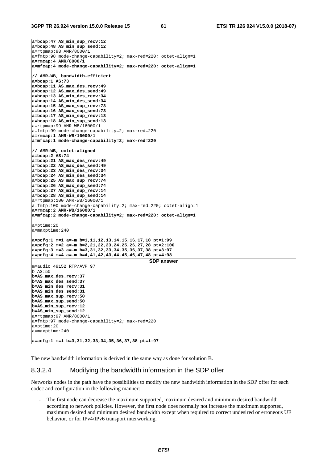**3GPP TR 26.924 version 15.0.0 Release 15 61 ETSI TR 126 924 V15.0.0 (2018-07)**

**a=bcap:47 AS\_min\_sup\_recv:12 a=bcap:48 AS\_min\_sup\_send:12**  a=rtpmap:98 AMR/8000/1 a=fmtp:98 mode-change-capability=2; max-red=220; octet-align=1 **a=rmcap:4 AMR/8000/1 a=mfcap:4 mode-change-capability=2; max-red=220; octet-align=1 // AMR-WB, bandwidth-efficient a=bcap:1 AS:73 a=bcap:11 AS\_max\_des\_recv:49 a=bcap:12 AS\_max\_des\_send:49 a=bcap:13 AS\_min\_des\_recv:34 a=bcap:14 AS\_min\_des\_send:34 a=bcap:15 AS\_max\_sup\_recv:73 a=bcap:16 AS\_max\_sup\_send:73 a=bcap:17 AS\_min\_sup\_recv:13 a=bcap:18 AS\_min\_sup\_send:13**  a=rtpmap:99 AMR-WB/16000/1 a=fmtp:99 mode-change-capability=2; max-red=220 **a=rmcap:1 AMR-WB/16000/1 a=mfcap:1 mode-change-capability=2; max-red=220 // AMR-WB, octet-aligned a=bcap:2 AS:74 a=bcap:21 AS\_max\_des\_recv:49 a=bcap:22 AS\_max\_des\_send:49 a=bcap:23 AS\_min\_des\_recv:34 a=bcap:24 AS\_min\_des\_send:34 a=bcap:25 AS\_max\_sup\_recv:74 a=bcap:26 AS\_max\_sup\_send:74 a=bcap:27 AS\_min\_sup\_recv:14 a=bcap:28 AS\_min\_sup\_send:14**  a=rtpmap:100 AMR-WB/16000/1 a=fmtp:100 mode-change-capability=2; max-red=220; octet-align=1 **a=rmcap:2 AMR-WB/16000/1 a=mfcap:2 mode-change-capability=2; max-red=220; octet-align=1**  a=ptime:20 a=maxptime:240 **a=pcfg:1 m=1 a=-m b=1,11,12,13,14,15,16,17,18 pt=1:99 a=pcfg:2 m=2 a=-m b=2,21,22,23,24,25,26,27,28 pt=2:100 a=pcfg:3 m=3 a=-m b=3,31,32,33,34,35,36,37,38 pt=3:97 a=pcfg:4 m=4 a=-m b=4,41,42,43,44,45,46,47,48 pt=4:98 SDP answer** m=audio 49152 RTP/AVP 97  $b=AS:50$ **b=AS\_max\_des\_recv:37 b=AS\_max\_des\_send:37 b=AS\_min\_des\_recv:31 b=AS\_min\_des\_send:31 b=AS\_max\_sup\_recv:50 b=AS\_max\_sup\_send:50 b=AS\_min\_sup\_recv:12 b=AS\_min\_sup\_send:12**  a=rtpmap:97 AMR/8000/1 a=fmtp:97 mode-change-capability=2; max-red=220 a=ptime:20 a=maxptime:240 **a=acfg:1 m=1 b=3,31,32,33,34,35,36,37,38 pt=1:97** 

The new bandwidth information is derived in the same way as done for solution B.

### 8.3.2.4 Modifying the bandwidth information in the SDP offer

Networks nodes in the path have the possibilities to modify the new bandwidth information in the SDP offer for each codec and configuration in the following manner:

The first node can decrease the maximum supported, maximum desired and minimum desired bandwidth according to network policies. However, the first node does normally not increase the maximum supported, maximum desired and minimum desired bandwidth except when required to correct undesired or erroneous UE behavior, or for IPv4/IPv6 transport interworking.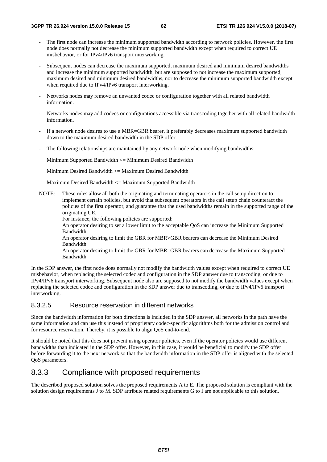- The first node can increase the minimum supported bandwidth according to network policies. However, the first node does normally not decrease the minimum supported bandwidth except when required to correct UE misbehavior, or for IPv4/IPv6 transport interworking.
- Subsequent nodes can decrease the maximum supported, maximum desired and minimum desired bandwidths and increase the minimum supported bandwidth, but are supposed to not increase the maximum supported, maximum desired and minimum desired bandwidths, nor to decrease the minimum supported bandwidth except when required due to IPv4/IPv6 transport interworking.
- Networks nodes may remove an unwanted codec or configuration together with all related bandwidth information.
- Networks nodes may add codecs or configurations accessible via transcoding together with all related bandwidth information.
- If a network node desires to use a MBR=GBR bearer, it preferably decreases maximum supported bandwidth down to the maximum desired bandwidth in the SDP offer.
- The following relationships are maintained by any network node when modifying bandwidths:

Minimum Supported Bandwidth <= Minimum Desired Bandwidth

Minimum Desired Bandwidth  $\leq$  Maximum Desired Bandwidth

Maximum Desired Bandwidth <= Maximum Supported Bandwidth

NOTE: These rules allow all both the originating and terminating operators in the call setup direction to implement certain policies, but avoid that subsequent operators in the call setup chain counteract the policies of the first operator, and guarantee that the used bandwidths remain in the supported range of the originating UE.

For instance, the following policies are supported:

An operator desiring to set a lower limit to the acceptable QoS can increase the Minimum Supported Bandwidth.

An operator desiring to limit the GBR for MBR>GBR bearers can decrease the Minimum Desired Bandwidth.

An operator desiring to limit the GBR for MBR=GBR bearers can decrease the Maximum Supported Bandwidth.

In the SDP answer, the first node does normally not modify the bandwidth values except when required to correct UE misbehavior, when replacing the selected codec and configuration in the SDP answer due to transcoding, or due to IPv4/IPv6 transport interworking. Subsequent node also are supposed to not modify the bandwidth values except when replacing the selected codec and configuration in the SDP answer due to transcoding, or due to IPv4/IPv6 transport interworking.

### 8.3.2.5 Resource reservation in different networks

Since the bandwidth information for both directions is included in the SDP answer, all networks in the path have the same information and can use this instead of proprietary codec-specific algorithms both for the admission control and for resource reservation. Thereby, it is possible to align QoS end-to-end.

It should be noted that this does not prevent using operator policies, even if the operator policies would use different bandwidths than indicated in the SDP offer. However, in this case, it would be beneficial to modify the SDP offer before forwarding it to the next network so that the bandwidth information in the SDP offer is aligned with the selected QoS parameters.

## 8.3.3 Compliance with proposed requirements

The described proposed solution solves the proposed requirements A to E. The proposed solution is compliant with the solution design requirements J to M. SDP attribute related requirements G to I are not applicable to this solution.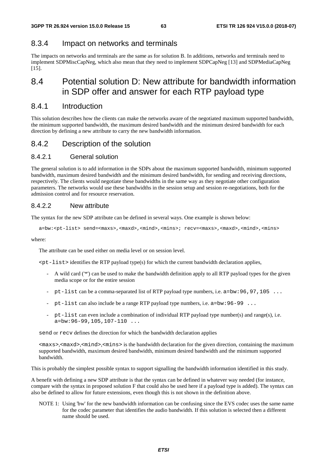## 8.3.4 Impact on networks and terminals

The impacts on networks and terminals are the same as for solution B. In additions, networks and terminals need to implement SDPMiscCapNeg, which also mean that they need to implement SDPCapNeg [13] and SDPMediaCapNeg [15].

## 8.4 Potential solution D: New attribute for bandwidth information in SDP offer and answer for each RTP payload type

## 8.4.1 Introduction

This solution describes how the clients can make the networks aware of the negotiated maximum supported bandwidth, the minimum supported bandwidth, the maximum desired bandwidth and the minimum desired bandwidth for each direction by defining a new attribute to carry the new bandwidth information.

## 8.4.2 Description of the solution

## 8.4.2.1 General solution

The general solution is to add information in the SDPs about the maximum supported bandwidth, minimum supported bandwidth, maximum desired bandwidth and the minimum desired bandwidth, for sending and receiving directions, respectively. The clients would negotiate these bandwidths in the same way as they negotiate other configuration parameters. The networks would use these bandwidths in the session setup and session re-negotiations, both for the admission control and for resource reservation.

## 8.4.2.2 New attribute

The syntax for the new SDP attribute can be defined in several ways. One example is shown below:

a=bw:<pt-list> send=<maxs>,<maxd>,<mind>,<mins>; recv=<maxs>,<maxd>,<mind>,<mins>

where:

The attribute can be used either on media level or on session level.

 $spt-list$  identifies the RTP payload type(s) for which the current bandwidth declaration applies,

- A wild card ('\*') can be used to make the bandwidth definition apply to all RTP payload types for the given media scope or for the entire session
- pt-list can be a comma-separated list of RTP payload type numbers, i.e.  $a = bw:96,97,105$  ...
- pt-list can also include be a range RTP payload type numbers, i.e.  $a = bw : 96-99$ ...
- pt-list can even include a combination of individual RTP payload type number(s) and range(s), i.e.  $a=bw:96-99,105,107-110...$

send or recv defines the direction for which the bandwidth declaration applies

<maxs>,<maxd>,<mind>,<mins> is the bandwidth declaration for the given direction, containing the maximum supported bandwidth, maximum desired bandwidth, minimum desired bandwidth and the minimum supported bandwidth.

This is probably the simplest possible syntax to support signalling the bandwidth information identified in this study.

A benefit with defining a new SDP attribute is that the syntax can be defined in whatever way needed (for instance, compare with the syntax in proposed solution F that could also be used here if a payload type is added). The syntax can also be defined to allow for future extensions, even though this is not shown in the definition above.

NOTE 1: Using 'bw' for the new bandwidth information can be confusing since the EVS codec uses the same name for the codec parameter that identifies the audio bandwidth. If this solution is selected then a different name should be used.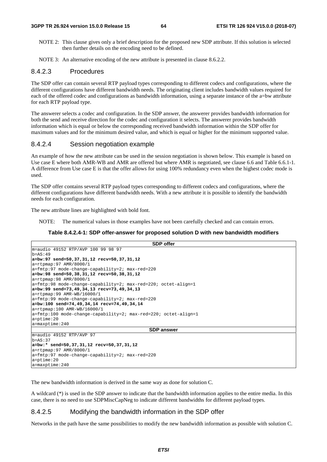NOTE 2: This clause gives only a brief description for the proposed new SDP attribute. If this solution is selected then further details on the encoding need to be defined.

NOTE 3: An alternative encoding of the new attribute is presented in clause 8.6.2.2.

### 8.4.2.3 Procedures

The SDP offer can contain several RTP payload types corresponding to different codecs and configurations, where the different configurations have different bandwidth needs. The originating client includes bandwidth values required for each of the offered codec and configurations as bandwidth information, using a separate instance of the a=bw attribute for each RTP payload type.

The answerer selects a codec and configuration. In the SDP answer, the answerer provides bandwidth information for both the send and receive direction for the codec and configuration it selects. The answerer provides bandwidth information which is equal or below the corresponding received bandwidth information within the SDP offer for maximum values and for the minimum desired value, and which is equal or higher for the minimum supported value.

### 8.4.2.4 Session negotiation example

An example of how the new attribute can be used in the session negotiation is shown below. This example is based on Use case E where both AMR-WB and AMR are offered but where AMR is negotiated, see clause 6.6 and Table 6.6.1-1. A difference from Use case E is that the offer allows for using 100% redundancy even when the highest codec mode is used.

The SDP offer contains several RTP payload types corresponding to different codecs and configurations, where the different configurations have different bandwidth needs. With a new attribute it is possible to identify the bandwidth needs for each configuration.

The new attribute lines are highlighted with bold font.

NOTE: The numerical values in those examples have not been carefully checked and can contain errors.

### **Table 8.4.2.4-1: SDP offer-answer for proposed solution D with new bandwidth modifiers**

| <b>SDP</b> offer                                                               |
|--------------------------------------------------------------------------------|
| m=audio 49152 RTP/AVP 100 99 98 97                                             |
| $b = AS:49$                                                                    |
| a=bw:97 send=50,37,31,12 recv=50,37,31,12                                      |
| $a = r$ tpmap: 97 AMR/8000/1                                                   |
| $a = f m t p: 97$ mode-change-capability=2; max-red=220                        |
| $ a=bw:98$ send=50,38,31,12 recv=50,38,31,12                                   |
| $a = r$ tpmap: 98 AMR/8000/1                                                   |
| $a = f$ mtp:98 mode-change-capability=2; max-red=220; octet-align=1            |
| a=bw:99 send=73,49,34,13 recv=73,49,34,13                                      |
| $a = r$ tpmap: 99 AMR-WB/16000/1                                               |
| $a = f m t p: 99$ mode-change-capability=2; max-red=220                        |
| a=bw:100 send=74,49,34,14 recv=74,49,34,14                                     |
| $a = r$ tpmap:100 AMR-WB/16000/1                                               |
| $a = f m t p: 100$ mode-change-capability=2; $max - red = 220$ ; octet-align=1 |
| $a = p$ time: 20                                                               |
| $a = maxptime: 240$                                                            |
| <b>SDP</b> answer                                                              |
| m=audio 49152 RTP/AVP 97                                                       |
| $b = AS: 37$                                                                   |
| $ a=bw:$ * send=50,37,31,12 recv=50,37,31,12                                   |
| $a = r$ tpmap: 97 AMR/8000/1                                                   |
| $a = f m t p: 97$ mode-change-capability=2; max-red=220                        |
| $a = p$ time: 20                                                               |
| $a = maxptime: 240$                                                            |

The new bandwidth information is derived in the same way as done for solution C.

A wildcard (\*) is used in the SDP answer to indicate that the bandwidth information applies to the entire media. In this case, there is no need to use SDPMiscCapNeg to indicate different bandwidths for different payload types.

### 8.4.2.5 Modifying the bandwidth information in the SDP offer

Networks in the path have the same possibilities to modify the new bandwidth information as possible with solution C.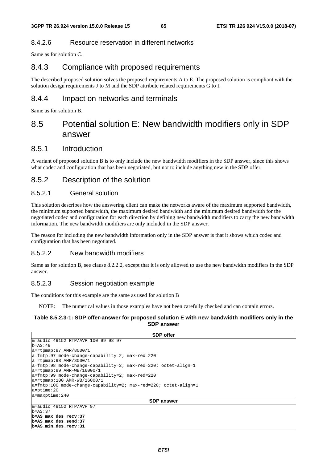### 8.4.2.6 Resource reservation in different networks

Same as for solution C.

## 8.4.3 Compliance with proposed requirements

The described proposed solution solves the proposed requirements A to E. The proposed solution is compliant with the solution design requirements J to M and the SDP attribute related requirements G to I.

## 8.4.4 Impact on networks and terminals

Same as for solution B.

## 8.5 Potential solution E: New bandwidth modifiers only in SDP answer

## 8.5.1 Introduction

A variant of proposed solution B is to only include the new bandwidth modifiers in the SDP answer, since this shows what codec and configuration that has been negotiated, but not to include anything new in the SDP offer.

## 8.5.2 Description of the solution

### 8.5.2.1 General solution

This solution describes how the answering client can make the networks aware of the maximum supported bandwidth, the minimum supported bandwidth, the maximum desired bandwidth and the minimum desired bandwidth for the negotiated codec and configuration for each direction by defining new bandwidth modifiers to carry the new bandwidth information. The new bandwidth modifiers are only included in the SDP answer.

The reason for including the new bandwidth information only in the SDP answer is that it shows which codec and configuration that has been negotiated.

### 8.5.2.2 New bandwidth modifiers

Same as for solution B, see clause 8.2.2.2, except that it is only allowed to use the new bandwidth modifiers in the SDP answer.

### 8.5.2.3 Session negotiation example

The conditions for this example are the same as used for solution B

NOTE: The numerical values in those examples have not been carefully checked and can contain errors.

### **Table 8.5.2.3-1: SDP offer-answer for proposed solution E with new bandwidth modifiers only in the SDP answer**

| <b>SDP</b> offer                                                   |
|--------------------------------------------------------------------|
| m=audio 49152 RTP/AVP 100 99 98 97                                 |
| $b = AS: 49$                                                       |
| $a = r$ tpmap: 97 AMR/8000/1                                       |
| $a = f m t p: 97$ mode-change-capability=2; $max - red = 220$      |
| $a = r$ tpmap: 98 AMR/8000/1                                       |
| $ a=fmtp:98$ mode-change-capability=2; max-red=220; octet-align=1  |
| $a = r$ tpmap: 99 AMR-WB/16000/1                                   |
| $a = \text{fmtp:99 mode-change-capability=2; max-red=220}$         |
| $ a=rtpmap:100$ AMR-WB/16000/1                                     |
| $ a=fmtp:100$ mode-change-capability=2; max-red=220; octet-align=1 |
| $a = p$ time: 20                                                   |
| $a = maxptime: 240$                                                |
| <b>SDP</b> answer                                                  |
| m=audio 49152 RTP/AVP 97                                           |
| $b = AS: 37$                                                       |
| b=AS max des recv:37                                               |
| b=AS max des send:37                                               |
| b=AS min des recv: 31                                              |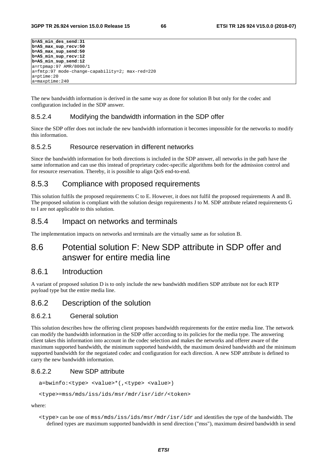```
b=AS_min_des_send:31 
b=AS_max_sup_recv:50 
b=AS_max_sup_send:50 
b=AS_min_sup_recv:12 
b=AS_min_sup_send:12 
a=rtpmap:97 AMR/8000/1 
a=fmtp:97 mode-change-capability=2; max-red=220 
a=ptime:20 
a=maxptime:240
```
The new bandwidth information is derived in the same way as done for solution B but only for the codec and configuration included in the SDP answer.

### 8.5.2.4 Modifying the bandwidth information in the SDP offer

Since the SDP offer does not include the new bandwidth information it becomes impossible for the networks to modify this information.

### 8.5.2.5 Resource reservation in different networks

Since the bandwidth information for both directions is included in the SDP answer, all networks in the path have the same information and can use this instead of proprietary codec-specific algorithms both for the admission control and for resource reservation. Thereby, it is possible to align QoS end-to-end.

## 8.5.3 Compliance with proposed requirements

This solution fulfils the proposed requirements C to E. However, it does not fulfil the proposed requirements A and B. The proposed solution is compliant with the solution design requirements J to M. SDP attribute related requirements G to I are not applicable to this solution.

### 8.5.4 Impact on networks and terminals

The implementation impacts on networks and terminals are the virtually same as for solution B.

## 8.6 Potential solution F: New SDP attribute in SDP offer and answer for entire media line

### 8.6.1 Introduction

A variant of proposed solution D is to only include the new bandwidth modifiers SDP attribute not for each RTP payload type but the entire media line.

### 8.6.2 Description of the solution

### 8.6.2.1 General solution

This solution describes how the offering client proposes bandwidth requirements for the entire media line. The network can modify the bandwidth information in the SDP offer according to its policies for the media type. The answering client takes this information into account in the codec selection and makes the networks and offerer aware of the maximum supported bandwidth, the minimum supported bandwidth, the maximum desired bandwidth and the minimum supported bandwidth for the negotiated codec and configuration for each direction. A new SDP attribute is defined to carry the new bandwidth information.

### 8.6.2.2 New SDP attribute

a=bwinfo:<type> <value>\*(,<type> <value>)

<type>=mss/mds/iss/ids/msr/mdr/isr/idr/<token>

where:

 $\times$ type> can be one of mss/mds/iss/ids/msr/mdr/isr/idr and identifies the type of the bandwidth. The defined types are maximum supported bandwidth in send direction ("mss"), maximum desired bandwidth in send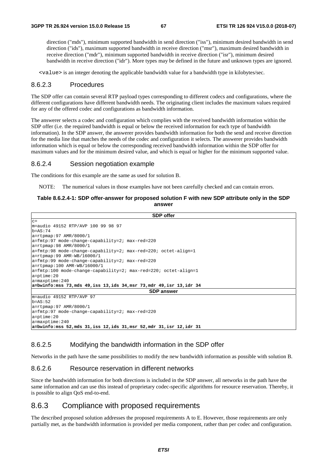direction ("mds"), minimum supported bandwidth in send direction ("iss"), minimum desired bandwidth in send direction ("ids"), maximum supported bandwidth in receive direction ("msr"), maximum desired bandwidth in receive direction ("mdr"), minimum supported bandwidth in receive direction ("isr"), minimum desired bandwidth in receive direction ("idr"). More types may be defined in the future and unknown types are ignored.

<value> is an integer denoting the applicable bandwidth value for a bandwidth type in kilobytes/sec.

### 8.6.2.3 Procedures

The SDP offer can contain several RTP payload types corresponding to different codecs and configurations, where the different configurations have different bandwidth needs. The originating client includes the maximum values required for any of the offered codec and configurations as bandwidth information.

The answerer selects a codec and configuration which complies with the received bandwidth information within the SDP offer (i.e. the required bandwidth is equal or below the received information for each type of bandwidth information). In the SDP answer, the answerer provides bandwidth information for both the send and receive direction for the media line that matches the needs of the codec and configuration it selects. The answerer provides bandwidth information which is equal or below the corresponding received bandwidth information within the SDP offer for maximum values and for the minimum desired value, and which is equal or higher for the minimum supported value.

### 8.6.2.4 Session negotiation example

The conditions for this example are the same as used for solution B.

NOTE: The numerical values in those examples have not been carefully checked and can contain errors.

### **Table 8.6.2.4-1: SDP offer-answer for proposed solution F with new SDP attribute only in the SDP answer**

| <b>SDP</b> offer                                                                                |
|-------------------------------------------------------------------------------------------------|
| $C =$                                                                                           |
| m=audio 49152 RTP/AVP 100 99 98 97                                                              |
| $b = AS:74$                                                                                     |
| $a = r$ tpmap: 97 AMR/8000/1                                                                    |
| $a = f m t p: 97$ mode-change-capability=2; max-red=220                                         |
| $a = r$ tpmap: 98 AMR/8000/1                                                                    |
| $a = f m t$ : 98 mode-change-capability=2; max-red=220; octet-align=1                           |
| $a = r$ tpmap: 99 AMR-WB/16000/1                                                                |
| $a = \frac{\text{Imtp:99}}{\text{mode}-\text{change}-\text{capability}=2}$ $\text{max-red}=220$ |
| $a = r$ tpmap:100 AMR-WB/16000/1                                                                |
| $a = f m t p: 100$ mode-change-capability=2; max-red=220; octet-align=1                         |
| $a = p$ time: 20                                                                                |
| $a = maxptime: 240$                                                                             |
| a=bwinfo:mss 73,mds 49,iss 13,ids 34,msr 73,mdr 49,isr 13,idr 34                                |
| <b>SDP</b> answer                                                                               |
| $m = \text{audio} 49152 RTP/AVP}$ 97                                                            |
| $b = AS: 52$                                                                                    |
| $a = r$ tpmap: 97 AMR/8000/1                                                                    |
| $a = \frac{\text{Imtp:97}}{\text{mode}-\text{change}-\text{capability}=2}$ $\text{max-red}=220$ |
| $a = p$ time: 20                                                                                |
| $a = maxptime: 240$                                                                             |
| a=bwinfo:mss 52,mds 31,iss 12,ids 31,msr 52,mdr 31,isr 12,idr 31                                |

### 8.6.2.5 Modifying the bandwidth information in the SDP offer

Networks in the path have the same possibilities to modify the new bandwidth information as possible with solution B.

### 8.6.2.6 Resource reservation in different networks

Since the bandwidth information for both directions is included in the SDP answer, all networks in the path have the same information and can use this instead of proprietary codec-specific algorithms for resource reservation. Thereby, it is possible to align QoS end-to-end.

### 8.6.3 Compliance with proposed requirements

The described proposed solution addresses the proposed requirements A to E. However, those requirements are only partially met, as the bandwidth information is provided per media component, rather than per codec and configuration.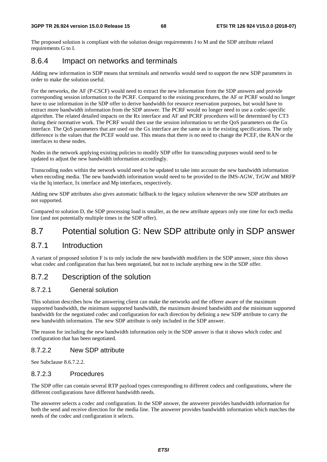The proposed solution is compliant with the solution design requirements J to M and the SDP attribute related requirements G to I.

## 8.6.4 Impact on networks and terminals

Adding new information in SDP means that terminals and networks would need to support the new SDP parameters in order to make the solution useful.

For the networks, the AF (P-CSCF) would need to extract the new information from the SDP answers and provide corresponding session information to the PCRF. Compared to the existing procedures, the AF or PCRF would no longer have to use information in the SDP offer to derive bandwidth for resource reservation purposes, but would have to extract more bandwidth information from the SDP answer. The PCRF would no longer need to use a codec-specific algorithm. The related detailed impacts on the Rx interface and AF and PCRF procedures will be determined by CT3 during their normative work. The PCRF would then use the session information to set the QoS parameters on the Gx interface. The QoS parameters that are used on the Gx interface are the same as in the existing specifications. The only difference is the values that the PCEF would use. This means that there is no need to change the PCEF, the RAN or the interfaces to these nodes.

Nodes in the network applying existing policies to modify SDP offer for transcoding purposes would need to be updated to adjust the new bandwidth information accordingly.

Transcoding nodes within the network would need to be updated to take into account the new bandwidth information when encoding media. The new bandwidth information would need to be provided to the IMS-AGW, TrGW and MRFP via the Iq interface, Ix interface and Mp interfaces, respectively.

Adding new SDP attributes also gives automatic fallback to the legacy solution whenever the new SDP attributes are not supported.

Compared to solution D, the SDP processing load is smaller, as the new attribute appears only one time for each media line (and not potentially multiple times in the SDP offer).

## 8.7 Potential solution G: New SDP attribute only in SDP answer

## 8.7.1 Introduction

A variant of proposed solution F is to only include the new bandwidth modifiers in the SDP answer, since this shows what codec and configuration that has been negotiated, but not to include anything new in the SDP offer.

## 8.7.2 Description of the solution

### 8.7.2.1 General solution

This solution describes how the answering client can make the networks and the offerer aware of the maximum supported bandwidth, the minimum supported bandwidth, the maximum desired bandwidth and the minimum supported bandwidth for the negotiated codec and configuration for each direction by defining a new SDP attribute to carry the new bandwidth information. The new SDP attribute is only included in the SDP answer.

The reason for including the new bandwidth information only in the SDP answer is that it shows which codec and configuration that has been negotiated.

### 8.7.2.2 New SDP attribute

See Subclause 8.6.7.2.2.

### 8.7.2.3 Procedures

The SDP offer can contain several RTP payload types corresponding to different codecs and configurations, where the different configurations have different bandwidth needs.

The answerer selects a codec and configuration. In the SDP answer, the answerer provides bandwidth information for both the send and receive direction for the media line. The answerer provides bandwidth information which matches the needs of the codec and configuration it selects.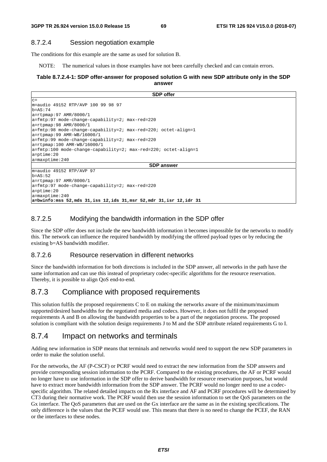### 8.7.2.4 Session negotiation example

The conditions for this example are the same as used for solution B.

NOTE: The numerical values in those examples have not been carefully checked and can contain errors.

### **Table 8.7.2.4-1: SDP offer-answer for proposed solution G with new SDP attribute only in the SDP answer**

| <b>SDP</b> offer                                                 |
|------------------------------------------------------------------|
| $C =$                                                            |
| m=audio 49152 RTP/AVP 100 99 98 97                               |
| b=AS:74                                                          |
| a=rtpmap:97 AMR/8000/1                                           |
| a=fmtp:97 mode-change-capability=2; max-red=220                  |
| a=rtpmap:98 AMR/8000/1                                           |
| a=fmtp:98 mode-change-capability=2; max-red=220; octet-align=1   |
| a=rtpmap:99 AMR-WB/16000/1                                       |
| a=fmtp:99 mode-change-capability=2; max-red=220                  |
| a=rtpmap:100 AMR-WB/16000/1                                      |
| a=fmtp:100 mode-change-capability=2; max-red=220; octet-align=1  |
| a=ptime:20                                                       |
| a=maxptime:240                                                   |
| <b>SDP</b> answer                                                |
| m=audio 49152 RTP/AVP 97                                         |
| $b = AS : 52$                                                    |
| a=rtpmap:97 AMR/8000/1                                           |
| a=fmtp:97 mode-change-capability=2; max-red=220                  |
| a=ptime:20                                                       |
| a=maxptime:240                                                   |
| a=bwinfo:mss 52,mds 31,iss 12,ids 31,msr 52,mdr 31,isr 12,idr 31 |

### 8.7.2.5 Modifying the bandwidth information in the SDP offer

Since the SDP offer does not include the new bandwidth information it becomes impossible for the networks to modify this. The network can influence the required bandwidth by modifying the offered payload types or by reducing the existing b=AS bandwidth modifier.

### 8.7.2.6 Resource reservation in different networks

Since the bandwidth information for both directions is included in the SDP answer, all networks in the path have the same information and can use this instead of proprietary codec-specific algorithms for the resource reservation. Thereby, it is possible to align QoS end-to-end.

## 8.7.3 Compliance with proposed requirements

This solution fulfils the proposed requirements C to E on making the networks aware of the minimum/maximum supported/desired bandwidths for the negotiated media and codecs. However, it does not fulfil the proposed requirements A and B on allowing the bandwidth properties to be a part of the negotiation process. The proposed solution is compliant with the solution design requirements J to M and the SDP attribute related requirements G to I.

## 8.7.4 Impact on networks and terminals

Adding new information in SDP means that terminals and networks would need to support the new SDP parameters in order to make the solution useful.

For the networks, the AF (P-CSCF) or PCRF would need to extract the new information from the SDP answers and provide corresponding session information to the PCRF. Compared to the existing procedures, the AF or PCRF would no longer have to use information in the SDP offer to derive bandwidth for resource reservation purposes, but would have to extract more bandwidth information from the SDP answer. The PCRF would no longer need to use a codecspecific algorithm. The related detailed impacts on the Rx interface and AF and PCRF procedures will be determined by CT3 during their normative work. The PCRF would then use the session information to set the QoS parameters on the Gx interface. The QoS parameters that are used on the Gx interface are the same as in the existing specifications. The only difference is the values that the PCEF would use. This means that there is no need to change the PCEF, the RAN or the interfaces to these nodes.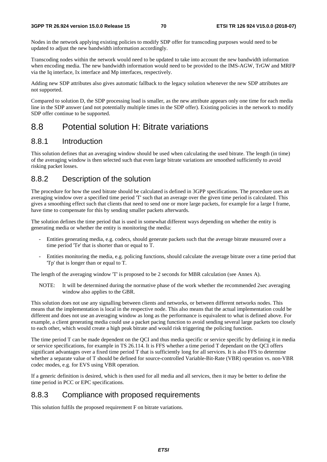Nodes in the network applying existing policies to modify SDP offer for transcoding purposes would need to be updated to adjust the new bandwidth information accordingly.

Transcoding nodes within the network would need to be updated to take into account the new bandwidth information when encoding media. The new bandwidth information would need to be provided to the IMS-AGW, TrGW and MRFP via the Iq interface, Ix interface and Mp interfaces, respectively.

Adding new SDP attributes also gives automatic fallback to the legacy solution whenever the new SDP attributes are not supported.

Compared to solution D, the SDP processing load is smaller, as the new attribute appears only one time for each media line in the SDP answer (and not potentially multiple times in the SDP offer). Existing policies in the network to modify SDP offer continue to be supported.

## 8.8 Potential solution H: Bitrate variations

## 8.8.1 Introduction

This solution defines that an averaging window should be used when calculating the used bitrate. The length (in time) of the averaging window is then selected such that even large bitrate variations are smoothed sufficiently to avoid risking packet losses.

## 8.8.2 Description of the solution

The procedure for how the used bitrate should be calculated is defined in 3GPP specifications. The procedure uses an averaging window over a specified time period 'T' such that an average over the given time period is calculated. This gives a smoothing effect such that clients that need to send one or more large packets, for example for a large I frame, have time to compensate for this by sending smaller packets afterwards.

The solution defines the time period that is used in somewhat different ways depending on whether the entity is generating media or whether the entity is monitoring the media:

- Entities generating media, e.g. codecs, should generate packets such that the average bitrate measured over a time period 'Te' that is shorter than or equal to T.
- Entities monitoring the media, e.g. policing functions, should calculate the average bitrate over a time period that 'Tp' that is longer than or equal to T.

The length of the averaging window 'T' is proposed to be 2 seconds for MBR calculation (see Annex A).

NOTE: It will be determined during the normative phase of the work whether the recommended 2sec averaging window also applies to the GBR.

This solution does not use any signalling between clients and networks, or between different networks nodes. This means that the implementation is local in the respective node. This also means that the actual implementation could be different and does not use an averaging window as long as the performance is equivalent to what is defined above. For example, a client generating media could use a packet pacing function to avoid sending several large packets too closely to each other, which would create a high peak bitrate and would risk triggering the policing function.

The time period T can be made dependent on the QCI and thus media specific or service specific by defining it in media or service specifications, for example in TS 26.114. It is FFS whether a time period T dependant on the QCI offers significant advantages over a fixed time period T that is sufficiently long for all services. It is also FFS to determine whether a separate value of T should be defined for source-controlled Variable-Bit-Rate (VBR) operation vs. non-VBR codec modes, e.g. for EVS using VBR operation.

If a generic definition is desired, which is then used for all media and all services, then it may be better to define the time period in PCC or EPC specifications.

## 8.8.3 Compliance with proposed requirements

This solution fulfils the proposed requirement F on bitrate variations.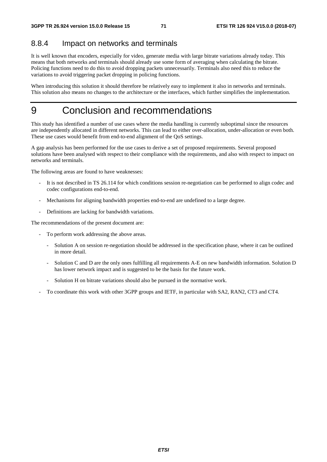## 8.8.4 Impact on networks and terminals

It is well known that encoders, especially for video, generate media with large bitrate variations already today. This means that both networks and terminals should already use some form of averaging when calculating the bitrate. Policing functions need to do this to avoid dropping packets unnecessarily. Terminals also need this to reduce the variations to avoid triggering packet dropping in policing functions.

When introducing this solution it should therefore be relatively easy to implement it also in networks and terminals. This solution also means no changes to the architecture or the interfaces, which further simplifies the implementation.

## 9 Conclusion and recommendations

This study has identified a number of use cases where the media handling is currently suboptimal since the resources are independently allocated in different networks. This can lead to either over-allocation, under-allocation or even both. These use cases would benefit from end-to-end alignment of the QoS settings.

A gap analysis has been performed for the use cases to derive a set of proposed requirements. Several proposed solutions have been analysed with respect to their compliance with the requirements, and also with respect to impact on networks and terminals.

The following areas are found to have weaknesses:

- It is not described in TS 26.114 for which conditions session re-negotiation can be performed to align codec and codec configurations end-to-end.
- Mechanisms for aligning bandwidth properties end-to-end are undefined to a large degree.
- Definitions are lacking for bandwidth variations.

The recommendations of the present document are:

- To perform work addressing the above areas.
	- Solution A on session re-negotiation should be addressed in the specification phase, where it can be outlined in more detail.
	- Solution C and D are the only ones fulfilling all requirements A-E on new bandwidth information. Solution D has lower network impact and is suggested to be the basis for the future work.
	- Solution H on bitrate variations should also be pursued in the normative work.
- To coordinate this work with other 3GPP groups and IETF, in particular with SA2, RAN2, CT3 and CT4.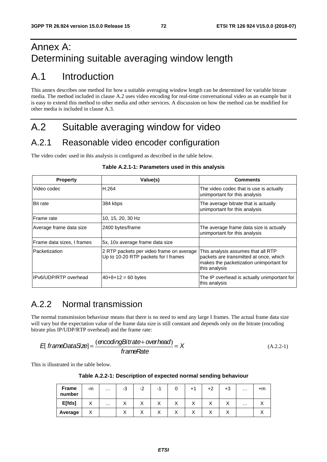## Annex A: Determining suitable averaging window length

## A.1 Introduction

This annex describes one method for how a suitable averaging window length can be determined for variable bitrate media. The method included in clause A.2 uses video encoding for real-time conversational video as an example but it is easy to extend this method to other media and other services. A discussion on how the method can be modified for other media is included in clause A.3.

# A.2 Suitable averaging window for video

#### A.2.1 Reasonable video encoder configuration

The video codec used in this analysis is configured as described in the table below.

| <b>Property</b>            | Value(s)                                                                         | <b>Comments</b>                                                                                                                          |
|----------------------------|----------------------------------------------------------------------------------|------------------------------------------------------------------------------------------------------------------------------------------|
| Video codec                | H.264                                                                            | The video codec that is use is actually<br>unimportant for this analysis                                                                 |
| <b>Bit rate</b>            | 384 kbps                                                                         | The average bitrate that is actually<br>unimportant for this analysis                                                                    |
| Frame rate                 | 10, 15, 20, 30 Hz                                                                |                                                                                                                                          |
| Average frame data size    | 2400 bytes/frame                                                                 | The average frame data size is actually<br>unimportant for this analysis                                                                 |
| Frame data sizes, I frames | 5x, 10x average frame data size                                                  |                                                                                                                                          |
| Packetization              | 2 RTP packets per video frame on average<br>Up to 10-20 RTP packets for I frames | This analysis assumes that all RTP<br>packets are transmitted at once, which<br>makes the packetization unimportant for<br>this analysis |
| IPv6/UDP/RTP overhead      | $40+8+12=60$ bytes                                                               | The IP overhead is actually unimportant for<br>this analysis                                                                             |

#### **Table A.2.1-1: Parameters used in this analysis**

#### A.2.2 Normal transmission

The normal transmission behaviour means that there is no need to send any large I frames. The actual frame data size will vary but the expectation value of the frame data size is still constant and depends only on the bitrate (encoding bitrate plus IP/UDP/RTP overhead) and the frame rate:

$$
E[frameDataSize] = \frac{(encodingBitrate + overhead)}{frameRate} = X \tag{A.2.2-1}
$$

This is illustrated in the table below.

**Table A.2.2-1: Description of expected normal sending behaviour** 

| <b>Frame</b><br>number | -m        | $\cdots$ | $\sim$<br>-3              | -2                        | -              | υ                         |                           | +2        | $+3$ | $\cdots$ | $+m$      |
|------------------------|-----------|----------|---------------------------|---------------------------|----------------|---------------------------|---------------------------|-----------|------|----------|-----------|
| E[fds]                 | $\lambda$ | $\cdots$ | $\checkmark$<br>$\lambda$ | $\checkmark$<br>$\lambda$ | v<br>$\lambda$ | $\checkmark$<br>$\lambda$ | $\checkmark$<br>$\lambda$ | $\lambda$ | ↗    | $\cdots$ | $\lambda$ |
| Average                | ∧         |          | $\checkmark$<br>$\lambda$ | ↗                         | ⌒              | $\checkmark$<br>$\lambda$ | $\lambda$<br>$\lambda$    | $\lambda$ |      |          |           |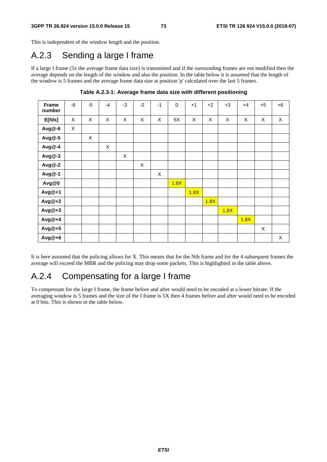This is independent of the window length and the position.

## A.2.3 Sending a large I frame

If a large I frame (5x the average frame data size) is transmitted and if the surrounding frames are not modified then the average depends on the length of the window and also the position. In the table below it is assumed that the length of the window is 5 frames and the average frame data size at position 'p' calculated over the last 5 frames.

| Frame<br>number | -6 | $-5$         | $-4$ | $-3$ | $-2$ | $-1$ | $\mathbf 0$ | $+1$ | $+2$ | $+3$ | $+4$ | $+5$ | $+6$ |
|-----------------|----|--------------|------|------|------|------|-------------|------|------|------|------|------|------|
| E[ <i>f</i> ds] | X  | X            | X    | X    | X    | X    | 5X          | X    | X    | X    | X    | X    | X    |
| Avg@-6          | X  |              |      |      |      |      |             |      |      |      |      |      |      |
| Avg@-5          |    | $\mathsf{X}$ |      |      |      |      |             |      |      |      |      |      |      |
| Avg@-4          |    |              | X    |      |      |      |             |      |      |      |      |      |      |
| Avg@-3          |    |              |      | X    |      |      |             |      |      |      |      |      |      |
| Avg@-2          |    |              |      |      | X    |      |             |      |      |      |      |      |      |
| Avg@-1          |    |              |      |      |      | X    |             |      |      |      |      |      |      |
| Avg@0           |    |              |      |      |      |      | 1.8X        |      |      |      |      |      |      |
| Avg@+1          |    |              |      |      |      |      |             | 1.8X |      |      |      |      |      |
| $Avg@+2$        |    |              |      |      |      |      |             |      | 1.8X |      |      |      |      |
| Avg@+3          |    |              |      |      |      |      |             |      |      | 1.8X |      |      |      |
| Avg@+4          |    |              |      |      |      |      |             |      |      |      | 1.8X |      |      |
| Avg@+5          |    |              |      |      |      |      |             |      |      |      |      | X    |      |
| Avg@+6          |    |              |      |      |      |      |             |      |      |      |      |      | X    |

**Table A.2.3-1: Average frame data size with different positioning** 

It is here assumed that the policing allows for X. This means that for the Nth frame and for the 4 subsequent frames the average will exceed the MBR and the policing may drop some packets. This is highlighted in the table above.

### A.2.4 Compensating for a large I frame

To compensate for the large I frame, the frame before and after would need to be encoded at a lower bitrate. If the averaging window is 5 frames and the size of the I frame is 5X then 4 frames before and after would need to be encoded at 0 bits. This is shown in the table below.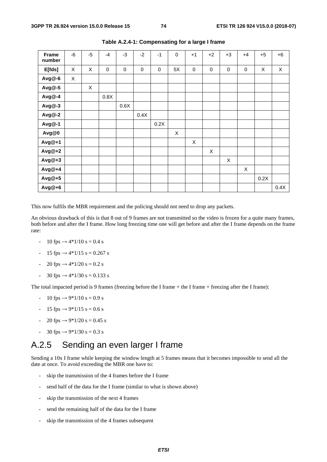| <b>Frame</b><br>number | -6 | $-5$        | $-4$        | $-3$      | $-2$        | $-1$ | $\mathbf 0$ | $+1$      | $+2$      | $+3$        | $+4$      | $+5$ | $+6$ |
|------------------------|----|-------------|-------------|-----------|-------------|------|-------------|-----------|-----------|-------------|-----------|------|------|
| E[fds]                 | X  | X           | $\mathbf 0$ | $\pmb{0}$ | $\mathbf 0$ | 0    | 5X          | $\pmb{0}$ | $\pmb{0}$ | $\mathbf 0$ | $\pmb{0}$ | X    | X    |
| Avg@-6                 | X  |             |             |           |             |      |             |           |           |             |           |      |      |
| Avg@-5                 |    | $\mathsf X$ |             |           |             |      |             |           |           |             |           |      |      |
| Avg@-4                 |    |             | 0.8X        |           |             |      |             |           |           |             |           |      |      |
| Avg@-3                 |    |             |             | 0.6X      |             |      |             |           |           |             |           |      |      |
| Avg@-2                 |    |             |             |           | 0.4X        |      |             |           |           |             |           |      |      |
| Avg@-1                 |    |             |             |           |             | 0.2X |             |           |           |             |           |      |      |
| Avg@0                  |    |             |             |           |             |      | X           |           |           |             |           |      |      |
| Avg@+1                 |    |             |             |           |             |      |             | X         |           |             |           |      |      |
| Avg@+2                 |    |             |             |           |             |      |             |           | X         |             |           |      |      |
| Avg@+3                 |    |             |             |           |             |      |             |           |           | X           |           |      |      |
| Avg@+4                 |    |             |             |           |             |      |             |           |           |             | X         |      |      |
| Avg@+5                 |    |             |             |           |             |      |             |           |           |             |           | 0.2X |      |
| Avg@+6                 |    |             |             |           |             |      |             |           |           |             |           |      | 0.4X |

**Table A.2.4-1: Compensating for a large I frame** 

This now fulfils the MBR requirement and the policing should not need to drop any packets.

An obvious drawback of this is that 8 out of 9 frames are not transmitted so the video is frozen for a quite many frames, both before and after the I frame. How long freezing time one will get before and after the I frame depends on the frame rate:

- $10$  fps  $\rightarrow 4*1/10$  s = 0.4 s
- 15 fps → 4\*1/15 s = 0.267 s
- 20 fps → 4\*1/20 s = 0.2 s
- 30 fps → 4\*1/30 s = 0.133 s

The total impacted period is 9 frames (freezing before the I frame + the I frame + freezing after the I frame):

- $10$  fps  $\rightarrow 9*1/10$  s = 0.9 s
- 15 fps → 9\*1/15 s = 0.6 s
- 20 fps → 9\*1/20 s = 0.45 s
- 30 fps → 9\*1/30 s = 0.3 s

#### A.2.5 Sending an even larger I frame

Sending a 10x I frame while keeping the window length at 5 frames means that it becomes impossible to send all the date at once. To avoid exceeding the MBR one have to:

- skip the transmission of the 4 frames before the I frame
- send half of the data for the I frame (similar to what is shown above)
- skip the transmission of the next 4 frames
- send the remaining half of the data for the I frame
- skip the transmission of the 4 frames subsequent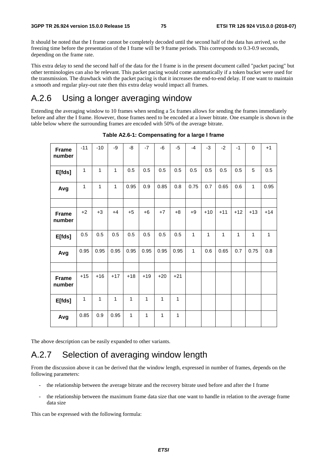It should be noted that the I frame cannot be completely decoded until the second half of the data has arrived, so the freezing time before the presentation of the I frame will be 9 frame periods. This corresponds to 0.3-0.9 seconds, depending on the frame rate.

This extra delay to send the second half of the data for the I frame is in the present document called "packet pacing" but other terminologies can also be relevant. This packet pacing would come automatically if a token bucket were used for the transmission. The drawback with the packet pacing is that it increases the end-to-end delay. If one want to maintain a smooth and regular play-out rate then this extra delay would impact all frames.

#### A.2.6 Using a longer averaging window

Extending the averaging window to 10 frames when sending a 5x frames allows for sending the frames immediately before and after the I frame. However, those frames need to be encoded at a lower bitrate. One example is shown in the table below where the surrounding frames are encoded with 50% of the average bitrate.

| <b>Frame</b><br>number | $-11$ | $-10$        | -9    | -8           | $-7$  | $-6$  | $-5$  | $-4$         | $-3$         | $-2$  | $-1$  | $\mathbf 0$  | $+1$         |
|------------------------|-------|--------------|-------|--------------|-------|-------|-------|--------------|--------------|-------|-------|--------------|--------------|
| E[fds]                 | 1     | 1            | 1     | 0.5          | 0.5   | 0.5   | 0.5   | 0.5          | 0.5          | 0.5   | 0.5   | 5            | 0.5          |
| Avg                    | 1     | $\mathbf{1}$ | 1     | 0.95         | 0.9   | 0.85  | 0.8   | 0.75         | 0.7          | 0.65  | 0.6   | $\mathbf{1}$ | 0.95         |
|                        |       |              |       |              |       |       |       |              |              |       |       |              |              |
| <b>Frame</b><br>number | $+2$  | $+3$         | $+4$  | $+5$         | $+6$  | $+7$  | $+8$  | $+9$         | $+10$        | $+11$ | $+12$ | $+13$        | $+14$        |
| E[fds]                 | 0.5   | 0.5          | 0.5   | 0.5          | 0.5   | 0.5   | 0.5   | $\mathbf{1}$ | $\mathbf{1}$ | 1     | 1     | 1            | $\mathbf{1}$ |
| Avg                    | 0.95  | 0.95         | 0.95  | 0.95         | 0.95  | 0.95  | 0.95  | 1            | 0.6          | 0.65  | 0.7   | 0.75         | 0.8          |
|                        |       |              |       |              |       |       |       |              |              |       |       |              |              |
| <b>Frame</b><br>number | $+15$ | $+16$        | $+17$ | $+18$        | $+19$ | $+20$ | $+21$ |              |              |       |       |              |              |
| E[fds]                 | 1     | $\mathbf{1}$ | 1     | 1            | 1     | 1     | 1     |              |              |       |       |              |              |
| Avg                    | 0.85  | 0.9          | 0.95  | $\mathbf{1}$ | 1     | 1     | 1     |              |              |       |       |              |              |

**Table A2.6-1: Compensating for a large I frame** 

The above description can be easily expanded to other variants.

#### A.2.7 Selection of averaging window length

From the discussion above it can be derived that the window length, expressed in number of frames, depends on the following parameters:

- the relationship between the average bitrate and the recovery bitrate used before and after the I frame
- the relationship between the maximum frame data size that one want to handle in relation to the average frame data size

This can be expressed with the following formula: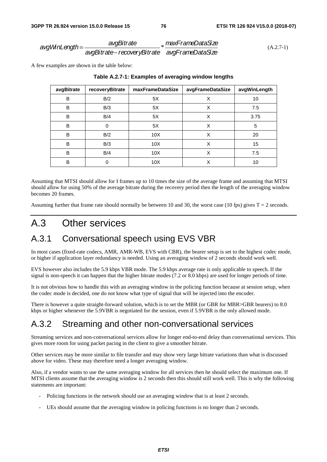*avgWinLength* <sup>=</sup> *avgBitrate avgBitrate*− *recoveryBitrate* \* *maxFrameDataSize avgFrameDataSize* (A.2.7-1)

A few examples are shown in the table below:

| avgBitrate | recoveryBitrate | maxFrameDataSize | avgFrameDataSize | avgWinLength |
|------------|-----------------|------------------|------------------|--------------|
| B          | B/2             | 5X               | X                | 10           |
| B          | B/3             | 5X               | X                | 7.5          |
| B          | B/4             | 5X               | X                | 3.75         |
| B          | 0               | 5X               | X                | 5            |
| B          | B/2             | 10X              | X                | 20           |
| B          | B/3             | 10X              | X                | 15           |
| B          | B/4             | 10 <sub>X</sub>  | X                | 7.5          |
| B          | 0               | 10 <sub>X</sub>  | X                | 10           |

#### **Table A.2.7-1: Examples of averaging window lengths**

Assuming that MTSI should allow for I frames up to 10 times the size of the average frame and assuming that MTSI should allow for using 50% of the average bitrate during the recovery period then the length of the averaging window becomes 20 frames.

Assuming further that frame rate should normally be between 10 and 30, the worst case (10 fps) gives  $T = 2$  seconds.

### A.3 Other services

#### A.3.1 Conversational speech using EVS VBR

In most cases (fixed-rate codecs, AMR, AMR-WB, EVS with CBR), the bearer setup is set to the highest codec mode, or higher if application layer redundancy is needed. Using an averaging window of 2 seconds should work well.

EVS however also includes the 5.9 kbps VBR mode. The 5.9 kbps average rate is only applicable to speech. If the signal is non-speech it can happen that the higher bitrate modes (7.2 or 8.0 kbps) are used for longer periods of time.

It is not obvious how to handle this with an averaging window in the policing function because at session setup, when the codec mode is decided, one do not know what type of signal that will be injected into the encoder.

There is however a quite straight-forward solution, which is to set the MBR (or GBR for MBR>GBR bearers) to 8.0 kbps or higher whenever the 5.9VBR is negotiated for the session, even if 5.9VBR is the only allowed mode.

## A.3.2 Streaming and other non-conversational services

Streaming services and non-conversational services allow for longer end-to-end delay than conversational services. This gives more room for using packet pacing in the client to give a smoother bitrate.

Other services may be more similar to file transfer and may show very large bitrate variations than what is discussed above for video. These may therefore need a longer averaging window.

Also, if a vendor wants to use the same averaging window for all services then he should select the maximum one. If MTSI clients assume that the averaging window is 2 seconds then this should still work well. This is why the following statements are important:

- Policing functions in the network should use an averaging window that is at least 2 seconds.
- UEs should assume that the averaging window in policing functions is no longer than 2 seconds.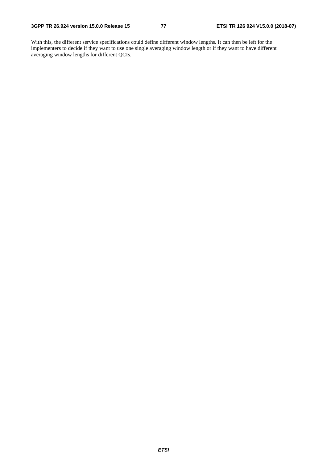With this, the different service specifications could define different window lengths. It can then be left for the implementers to decide if they want to use one single averaging window length or if they want to have different averaging window lengths for different QCIs.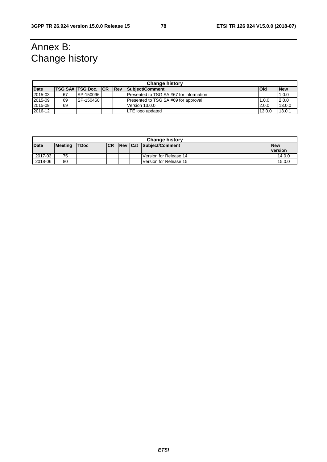# Annex B: Change history

|             | <b>Change history</b> |                             |  |            |                                         |            |            |  |  |  |  |
|-------------|-----------------------|-----------------------------|--|------------|-----------------------------------------|------------|------------|--|--|--|--|
| <b>Date</b> |                       | <b>ITSG SA# TSG Doc. CR</b> |  | <b>Rev</b> | Subject/Comment                         | <b>Old</b> | <b>New</b> |  |  |  |  |
| 2015-03     | 67                    | SP-150096                   |  |            | Presented to TSG SA #67 for information |            | 1.0.0      |  |  |  |  |
| 2015-09     | 69                    | SP-150450                   |  |            | Presented to TSG SA #69 for approval    | 1.0.0      | 2.0.0      |  |  |  |  |
| 2015-09     | 69                    |                             |  |            | Version 13.0.0                          | 2.0.0      | 13.0.0     |  |  |  |  |
| 2016-12     |                       |                             |  |            | LTE logo updated                        | 13.0.0     | 13.0.1     |  |  |  |  |

|             | <b>Change history</b> |             |           |  |  |                                |            |  |  |  |  |
|-------------|-----------------------|-------------|-----------|--|--|--------------------------------|------------|--|--|--|--|
| <b>Date</b> | <b>Meeting</b>        | <b>TDoc</b> | <b>CR</b> |  |  | <b>Rev Cat Subject/Comment</b> | <b>New</b> |  |  |  |  |
|             |                       |             |           |  |  |                                | version    |  |  |  |  |
| 2017-03     | 75                    |             |           |  |  | Version for Release 14         | 14.0.0     |  |  |  |  |
| 2018-06     | 80                    |             |           |  |  | Version for Release 15         | 15.0.0     |  |  |  |  |